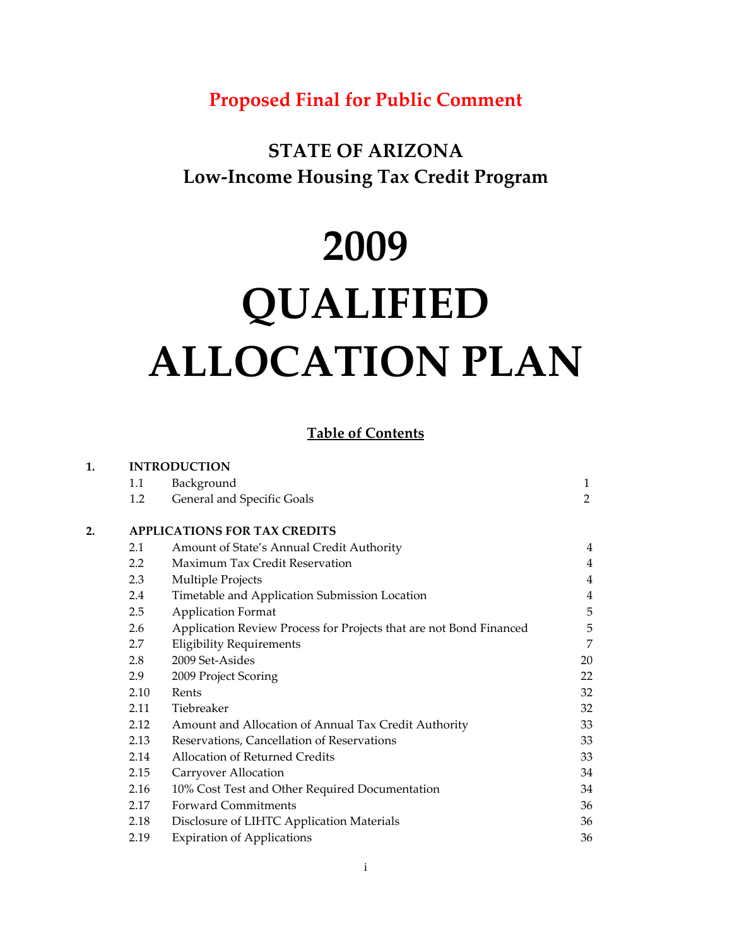# **Proposed Final for Public Comment**

## **STATE OF ARIZONA Low‐Income Housing Tax Credit Program**

# **2009**

# **QUALIFIED ALLOCATION PLAN**

#### **Table of Contents**

| 1. |      | <b>INTRODUCTION</b>                                                |    |  |  |
|----|------|--------------------------------------------------------------------|----|--|--|
|    | 1.1  | Background                                                         | 1  |  |  |
|    | 1.2  | General and Specific Goals                                         | 2  |  |  |
| 2. |      | <b>APPLICATIONS FOR TAX CREDITS</b>                                |    |  |  |
|    | 2.1  | Amount of State's Annual Credit Authority                          | 4  |  |  |
|    | 2.2  | <b>Maximum Tax Credit Reservation</b>                              | 4  |  |  |
|    | 2.3  | Multiple Projects                                                  | 4  |  |  |
|    | 2.4  | Timetable and Application Submission Location                      | 4  |  |  |
|    | 2.5  | <b>Application Format</b>                                          | 5  |  |  |
|    | 2.6  | Application Review Process for Projects that are not Bond Financed | 5  |  |  |
|    | 2.7  | <b>Eligibility Requirements</b>                                    | 7  |  |  |
|    | 2.8  | 2009 Set-Asides                                                    | 20 |  |  |
|    | 2.9  | 2009 Project Scoring                                               | 22 |  |  |
|    | 2.10 | Rents                                                              | 32 |  |  |
|    | 2.11 | Tiebreaker                                                         | 32 |  |  |
|    | 2.12 | Amount and Allocation of Annual Tax Credit Authority               | 33 |  |  |
|    | 2.13 | Reservations, Cancellation of Reservations                         | 33 |  |  |
|    | 2.14 | <b>Allocation of Returned Credits</b>                              | 33 |  |  |
|    | 2.15 | Carryover Allocation                                               | 34 |  |  |
|    | 2.16 | 10% Cost Test and Other Required Documentation                     | 34 |  |  |
|    | 2.17 | <b>Forward Commitments</b>                                         | 36 |  |  |
|    | 2.18 | Disclosure of LIHTC Application Materials                          | 36 |  |  |
|    | 2.19 | <b>Expiration of Applications</b>                                  | 36 |  |  |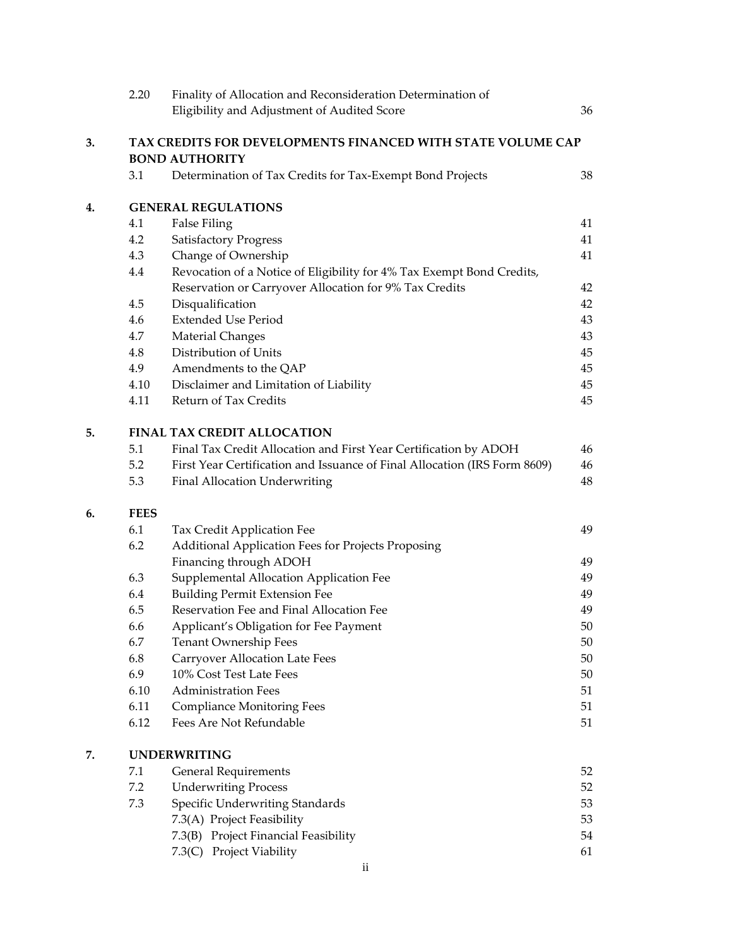|    | 2.20                        | Finality of Allocation and Reconsideration Determination of               |    |  |  |  |
|----|-----------------------------|---------------------------------------------------------------------------|----|--|--|--|
|    |                             | Eligibility and Adjustment of Audited Score                               | 36 |  |  |  |
| 3. |                             | TAX CREDITS FOR DEVELOPMENTS FINANCED WITH STATE VOLUME CAP               |    |  |  |  |
|    |                             | <b>BOND AUTHORITY</b>                                                     |    |  |  |  |
|    | 3.1                         | Determination of Tax Credits for Tax-Exempt Bond Projects                 | 38 |  |  |  |
| 4. |                             | <b>GENERAL REGULATIONS</b>                                                |    |  |  |  |
|    | 4.1                         | <b>False Filing</b>                                                       | 41 |  |  |  |
|    | 4.2                         | <b>Satisfactory Progress</b>                                              | 41 |  |  |  |
|    | 4.3                         | Change of Ownership                                                       | 41 |  |  |  |
|    | 4.4                         | Revocation of a Notice of Eligibility for 4% Tax Exempt Bond Credits,     |    |  |  |  |
|    |                             | Reservation or Carryover Allocation for 9% Tax Credits                    | 42 |  |  |  |
|    | 4.5                         | Disqualification                                                          | 42 |  |  |  |
|    | 4.6                         | <b>Extended Use Period</b>                                                | 43 |  |  |  |
|    | 4.7                         | Material Changes                                                          | 43 |  |  |  |
|    | 4.8                         | Distribution of Units                                                     | 45 |  |  |  |
|    | 4.9                         | Amendments to the QAP                                                     | 45 |  |  |  |
|    | 4.10                        | Disclaimer and Limitation of Liability                                    | 45 |  |  |  |
|    | 4.11                        | Return of Tax Credits                                                     | 45 |  |  |  |
| 5. | FINAL TAX CREDIT ALLOCATION |                                                                           |    |  |  |  |
|    | 5.1                         | Final Tax Credit Allocation and First Year Certification by ADOH          | 46 |  |  |  |
|    | 5.2                         | First Year Certification and Issuance of Final Allocation (IRS Form 8609) | 46 |  |  |  |
|    | 5.3                         | Final Allocation Underwriting                                             | 48 |  |  |  |
| 6. | <b>FEES</b>                 |                                                                           |    |  |  |  |
|    | 6.1                         | Tax Credit Application Fee                                                | 49 |  |  |  |
|    | 6.2                         | Additional Application Fees for Projects Proposing                        |    |  |  |  |
|    |                             | Financing through ADOH                                                    | 49 |  |  |  |
|    | 6.3                         | Supplemental Allocation Application Fee                                   | 49 |  |  |  |
|    | 6.4                         | <b>Building Permit Extension Fee</b>                                      | 49 |  |  |  |
|    | 6.5                         | Reservation Fee and Final Allocation Fee                                  | 49 |  |  |  |
|    | 6.6                         | Applicant's Obligation for Fee Payment                                    | 50 |  |  |  |
|    | 6.7                         | Tenant Ownership Fees                                                     | 50 |  |  |  |
|    | 6.8                         | <b>Carryover Allocation Late Fees</b>                                     | 50 |  |  |  |
|    | 6.9                         | 10% Cost Test Late Fees                                                   | 50 |  |  |  |
|    | 6.10                        | <b>Administration Fees</b>                                                | 51 |  |  |  |
|    | 6.11                        | <b>Compliance Monitoring Fees</b>                                         | 51 |  |  |  |
|    | 6.12                        | Fees Are Not Refundable                                                   | 51 |  |  |  |
| 7. | <b>UNDERWRITING</b>         |                                                                           |    |  |  |  |
|    | 7.1                         | <b>General Requirements</b>                                               | 52 |  |  |  |
|    | 7.2                         | <b>Underwriting Process</b>                                               | 52 |  |  |  |
|    | 7.3                         | Specific Underwriting Standards                                           | 53 |  |  |  |
|    |                             | 7.3(A) Project Feasibility                                                | 53 |  |  |  |
|    |                             | 7.3(B) Project Financial Feasibility                                      | 54 |  |  |  |
|    |                             | 7.3(C) Project Viability                                                  | 61 |  |  |  |
|    |                             | $\mathbf{ii}$                                                             |    |  |  |  |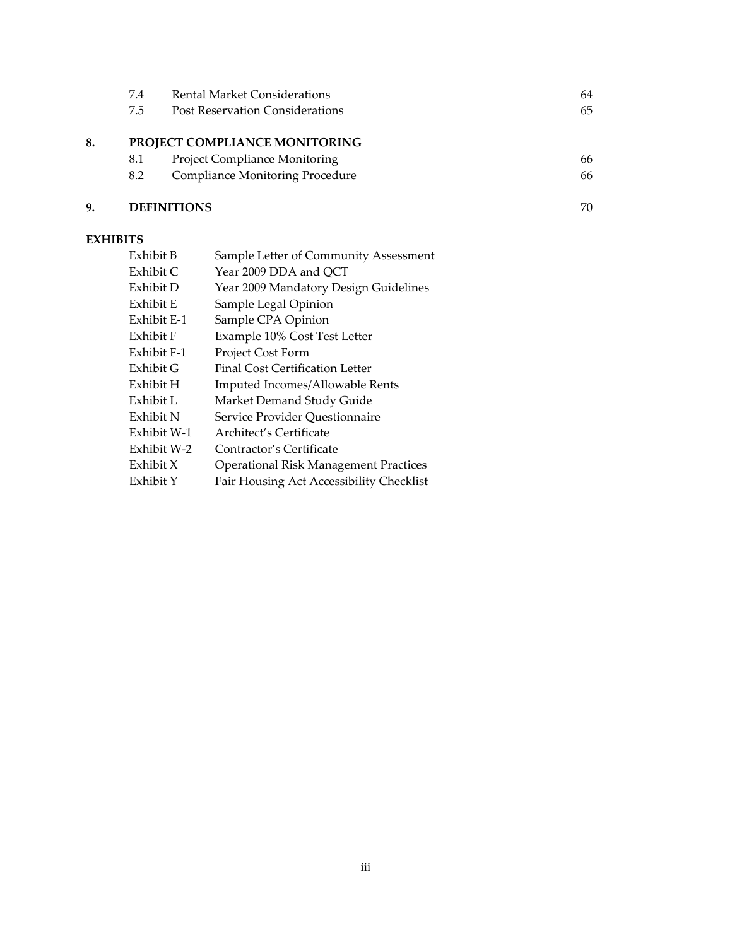|    | 7.4 | <b>Rental Market Considerations</b>    | 64 |
|----|-----|----------------------------------------|----|
|    | 7.5 | <b>Post Reservation Considerations</b> | 65 |
| 8. |     | PROJECT COMPLIANCE MONITORING          |    |
|    | 8.1 | <b>Project Compliance Monitoring</b>   | 66 |
|    | 8.2 | <b>Compliance Monitoring Procedure</b> | 66 |
| 9. |     | <b>DEFINITIONS</b>                     | 70 |

## **EXHIBITS**

| Exhibit B   | Sample Letter of Community Assessment        |
|-------------|----------------------------------------------|
| Exhibit C   | Year 2009 DDA and QCT                        |
| Exhibit D   | Year 2009 Mandatory Design Guidelines        |
| Exhibit E   | Sample Legal Opinion                         |
| Exhibit E-1 | Sample CPA Opinion                           |
| Exhibit F   | Example 10% Cost Test Letter                 |
| Exhibit F-1 | Project Cost Form                            |
| Exhibit G   | Final Cost Certification Letter              |
| Exhibit H   | Imputed Incomes/Allowable Rents              |
| Exhibit L   | Market Demand Study Guide                    |
| Exhibit N   | Service Provider Questionnaire               |
| Exhibit W-1 | Architect's Certificate                      |
| Exhibit W-2 | Contractor's Certificate                     |
| Exhibit X   | <b>Operational Risk Management Practices</b> |
| Exhibit Y   | Fair Housing Act Accessibility Checklist     |
|             |                                              |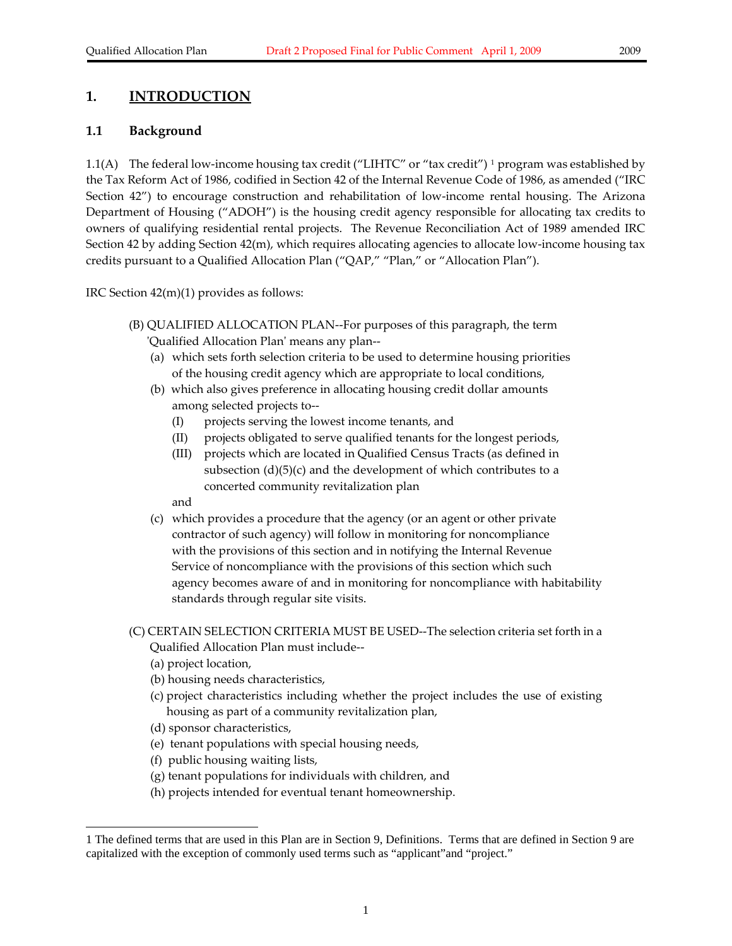#### **1. INTRODUCTION**

#### **1.1 Background**

[1](#page-3-0).1(A) The federal low-income housing tax credit ("LIHTC" or "tax credit") <sup>1</sup> program was established by the Tax Reform Act of 1986, codified in Section 42 of the Internal Revenue Code of 1986, as amended ("IRC Section 42") to encourage construction and rehabilitation of low-income rental housing. The Arizona Department of Housing ("ADOH") is the housing credit agency responsible for allocating tax credits to owners of qualifying residential rental projects. The Revenue Reconciliation Act of 1989 amended IRC Section 42 by adding Section 42(m), which requires allocating agencies to allocate low-income housing tax credits pursuant to a Qualified Allocation Plan ("QAP," "Plan," or "Allocation Plan").

IRC Section 42(m)(1) provides as follows:

- (B) QUALIFIED ALLOCATION PLAN‐‐For purposes of this paragraph, the term ʹQualified Allocation Planʹ means any plan‐‐
	- (a) which sets forth selection criteria to be used to determine housing priorities of the housing credit agency which are appropriate to local conditions,
	- (b) which also gives preference in allocating housing credit dollar amounts among selected projects to‐‐
		- (I) projects serving the lowest income tenants, and
		- (II) projects obligated to serve qualified tenants for the longest periods,
		- (III) projects which are located in Qualified Census Tracts (as defined in subsection  $(d)(5)(c)$  and the development of which contributes to a concerted community revitalization plan

and

- (c) which provides a procedure that the agency (or an agent or other private contractor of such agency) will follow in monitoring for noncompliance with the provisions of this section and in notifying the Internal Revenue Service of noncompliance with the provisions of this section which such agency becomes aware of and in monitoring for noncompliance with habitability standards through regular site visits.
- (C) CERTAIN SELECTION CRITERIA MUST BE USED‐‐The selection criteria set forth in a Qualified Allocation Plan must include‐‐
	- (a) project location,

-

- (b) housing needs characteristics,
- (c) project characteristics including whether the project includes the use of existing housing as part of a community revitalization plan,
- (d) sponsor characteristics,
- (e) tenant populations with special housing needs,
- (f) public housing waiting lists,
- (g) tenant populations for individuals with children, and
- (h) projects intended for eventual tenant homeownership.

<span id="page-3-0"></span><sup>1</sup> The defined terms that are used in this Plan are in Section 9, Definitions. Terms that are defined in Section 9 are capitalized with the exception of commonly used terms such as "applicant"and "project."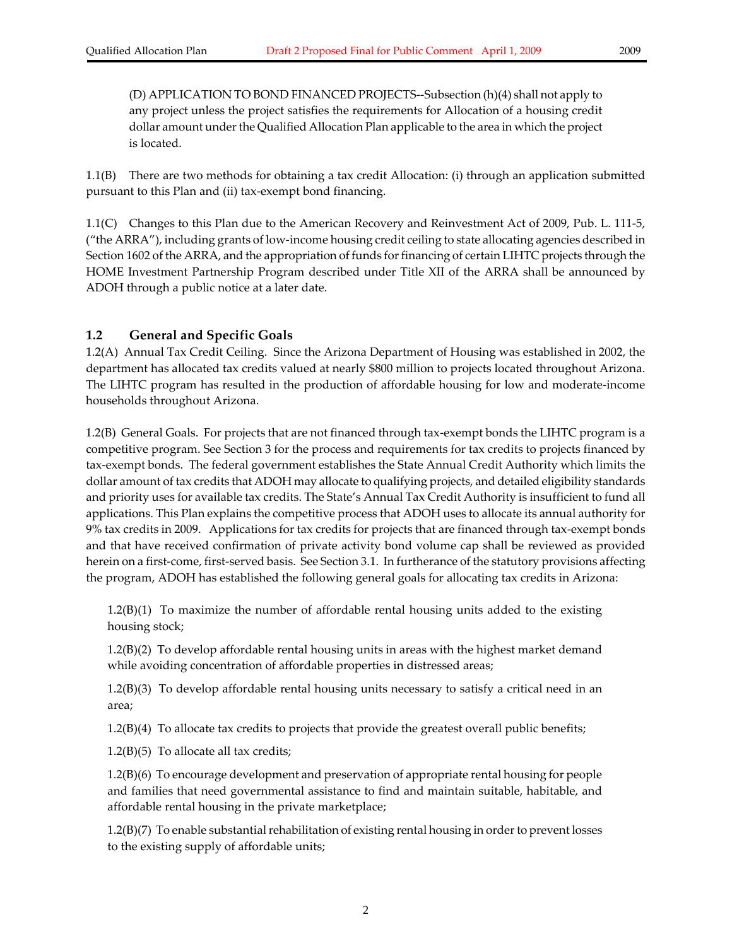1.1(B) There are two methods for obtaining a tax credit Allocation: (i) through an application submitted pursuant to this Plan and (ii) tax‐exempt bond financing.

1.1(C) Changes to this Plan due to the American Recovery and Reinvestment Act of 2009, Pub. L. 111‐5, ("the ARRA"), including grants of low‐income housing credit ceiling to state allocating agencies described in Section 1602 of the ARRA, and the appropriation of funds for financing of certain LIHTC projects through the HOME Investment Partnership Program described under Title XII of the ARRA shall be announced by ADOH through a public notice at a later date.

#### **1.2 General and Specific Goals**

1.2(A) Annual Tax Credit Ceiling. Since the Arizona Department of Housing was established in 2002, the department has allocated tax credits valued at nearly \$800 million to projects located throughout Arizona. The LIHTC program has resulted in the production of affordable housing for low and moderate‐income households throughout Arizona.

1.2(B) General Goals. For projects that are not financed through tax‐exempt bonds the LIHTC program is a competitive program. See Section 3 for the process and requirements for tax credits to projects financed by tax‐exempt bonds. The federal government establishes the State Annual Credit Authority which limits the dollar amount of tax credits that ADOH may allocate to qualifying projects, and detailed eligibility standards and priority uses for available tax credits. The State's Annual Tax Credit Authority is insufficient to fund all applications. This Plan explains the competitive process that ADOH uses to allocate its annual authority for 9% tax credits in 2009. Applications for tax credits for projects that are financed through tax‐exempt bonds and that have received confirmation of private activity bond volume cap shall be reviewed as provided herein on a first-come, first-served basis. See Section 3.1. In furtherance of the statutory provisions affecting the program, ADOH has established the following general goals for allocating tax credits in Arizona:

1.2(B)(1) To maximize the number of affordable rental housing units added to the existing housing stock;

1.2(B)(2) To develop affordable rental housing units in areas with the highest market demand while avoiding concentration of affordable properties in distressed areas;

1.2(B)(3) To develop affordable rental housing units necessary to satisfy a critical need in an area;

1.2(B)(4) To allocate tax credits to projects that provide the greatest overall public benefits;

 $1.2(B)(5)$  To allocate all tax credits;

1.2(B)(6) To encourage development and preservation of appropriate rental housing for people and families that need governmental assistance to find and maintain suitable, habitable, and affordable rental housing in the private marketplace;

 $1.2(B)(7)$  To enable substantial rehabilitation of existing rental housing in order to prevent losses to the existing supply of affordable units;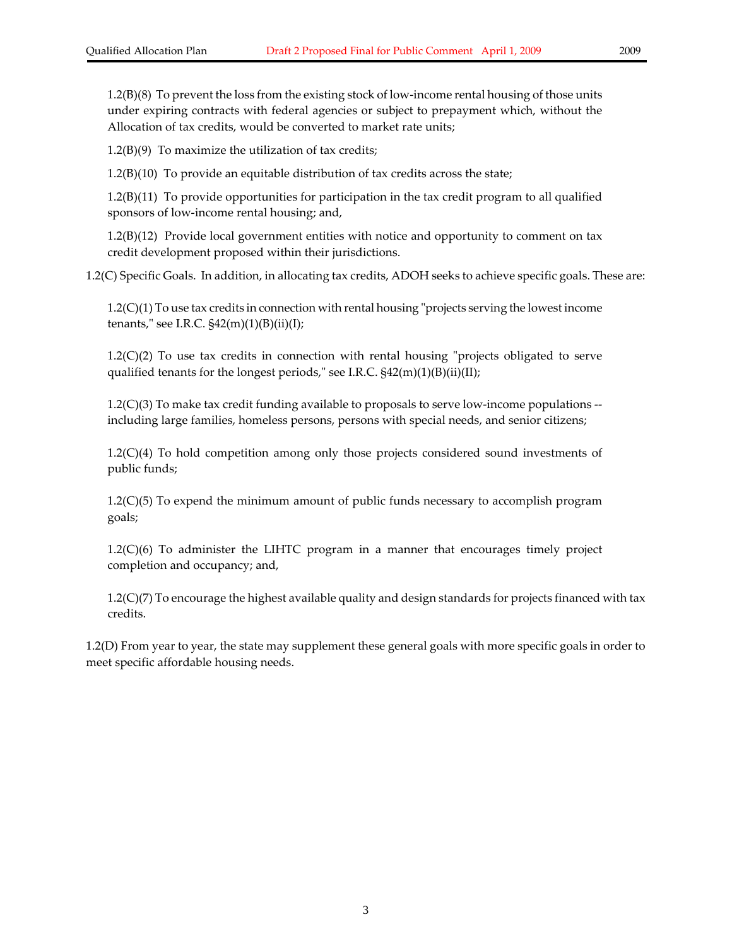1.2(B)(8) To prevent the loss from the existing stock of low-income rental housing of those units under expiring contracts with federal agencies or subject to prepayment which, without the Allocation of tax credits, would be converted to market rate units;

 $1.2(B)(9)$  To maximize the utilization of tax credits;

1.2(B)(10) To provide an equitable distribution of tax credits across the state;

1.2(B)(11) To provide opportunities for participation in the tax credit program to all qualified sponsors of low‐income rental housing; and,

1.2(B)(12) Provide local government entities with notice and opportunity to comment on tax credit development proposed within their jurisdictions.

1.2(C) Specific Goals. In addition, in allocating tax credits, ADOH seeks to achieve specific goals. These are:

 $1.2(C)(1)$  To use tax credits in connection with rental housing "projects serving the lowest income tenants," see I.R.C.  $\frac{242(m)(1)(B(i))}{(I)}$ ;

 $1.2(C)(2)$  To use tax credits in connection with rental housing "projects obligated to serve qualified tenants for the longest periods," see I.R.C.  $$42(m)(1)(B)(ii)(II);$ 

 $1.2(C)(3)$  To make tax credit funding available to proposals to serve low-income populations  $$ including large families, homeless persons, persons with special needs, and senior citizens;

1.2(C)(4) To hold competition among only those projects considered sound investments of public funds;

1.2(C)(5) To expend the minimum amount of public funds necessary to accomplish program goals;

1.2(C)(6) To administer the LIHTC program in a manner that encourages timely project completion and occupancy; and,

1.2(C)(7) To encourage the highest available quality and design standards for projects financed with tax credits.

1.2(D) From year to year, the state may supplement these general goals with more specific goals in order to meet specific affordable housing needs.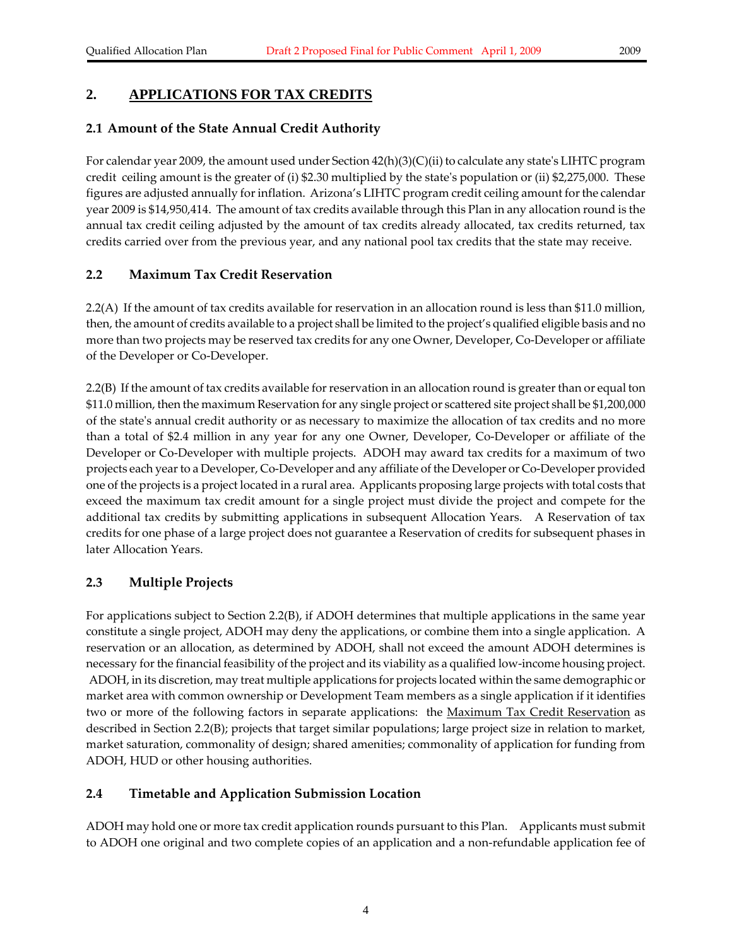#### **2. APPLICATIONS FOR TAX CREDITS**

#### **2.1 Amount of the State Annual Credit Authority**

For calendar year 2009, the amount used under Section  $42(h)(3)(C)(ii)$  to calculate any state's LIHTC program credit ceiling amount is the greater of (i) \$2.30 multiplied by the stateʹs population or (ii) \$2,275,000. These figures are adjusted annually forinflation. Arizona's LIHTC program credit ceiling amount forthe calendar year 2009 is \$14,950,414. The amount of tax credits available through this Plan in any allocation round is the annual tax credit ceiling adjusted by the amount of tax credits already allocated, tax credits returned, tax credits carried over from the previous year, and any national pool tax credits that the state may receive.

#### **2.2 Maximum Tax Credit Reservation**

2.2(A) If the amount of tax credits available for reservation in an allocation round is less than \$11.0 million, then, the amount of credits available to a project shall be limited to the project's qualified eligible basis and no more than two projects may be reserved tax credits for any one Owner, Developer, Co-Developer or affiliate of the Developer or Co‐Developer.

2.2(B) If the amount of tax credits available for reservation in an allocation round is greater than or equal ton \$11.0 million, then the maximum Reservation for any single project or scattered site project shall be \$1,200,000 of the stateʹs annual credit authority or as necessary to maximize the allocation of tax credits and no more than a total of \$2.4 million in any year for any one Owner, Developer, Co‐Developer or affiliate of the Developer or Co-Developer with multiple projects. ADOH may award tax credits for a maximum of two projects each yearto a Developer, Co‐Developer and any affiliate of the Developer or Co‐Developer provided one of the projects is a project located in a rural area. Applicants proposing large projects with total costs that exceed the maximum tax credit amount for a single project must divide the project and compete for the additional tax credits by submitting applications in subsequent Allocation Years. A Reservation of tax credits for one phase of a large project does not guarantee a Reservation of credits for subsequent phases in later Allocation Years.

#### **2.3 Multiple Projects**

For applications subject to Section 2.2(B), if ADOH determines that multiple applications in the same year constitute a single project, ADOH may deny the applications, or combine them into a single application. A reservation or an allocation, as determined by ADOH, shall not exceed the amount ADOH determines is necessary for the financial feasibility of the project and its viability as a qualified low-income housing project. ADOH, in its discretion, may treat multiple applications for projects located within the same demographic or market area with common ownership or Development Team members as a single application if it identifies two or more of the following factors in separate applications: the Maximum Tax Credit Reservation as described in Section 2.2(B); projects that target similar populations; large project size in relation to market, market saturation, commonality of design; shared amenities; commonality of application for funding from ADOH, HUD or other housing authorities.

#### **2.4 Timetable and Application Submission Location**

ADOH may hold one or more tax credit application rounds pursuant to this Plan. Applicants must submit to ADOH one original and two complete copies of an application and a non‐refundable application fee of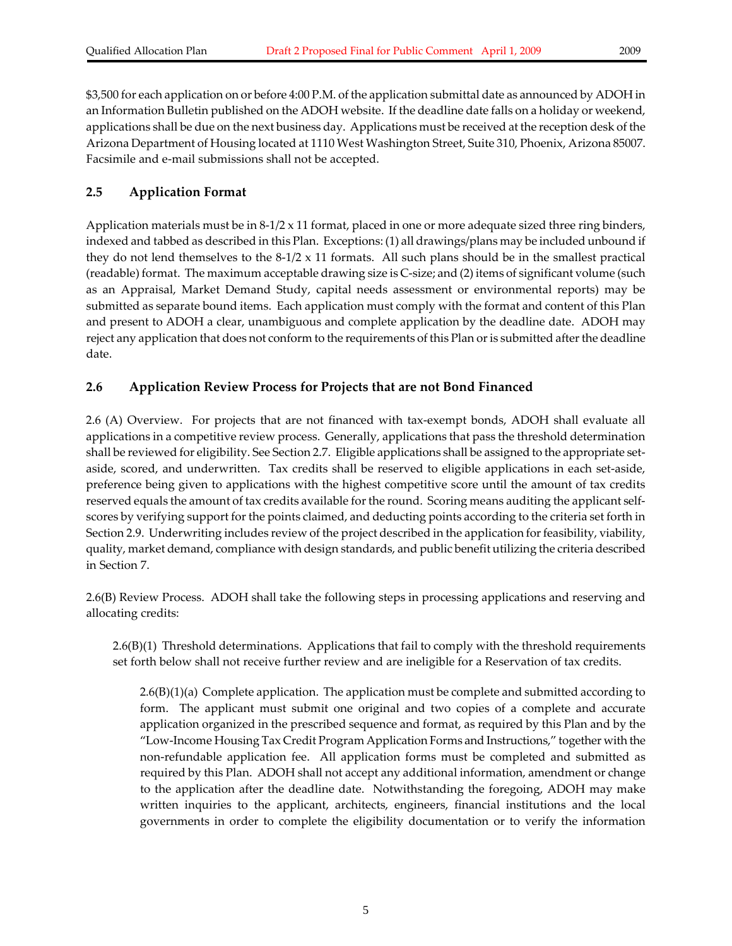\$3,500 for each application on or before 4:00 P.M. of the application submittal date as announced by ADOH in an Information Bulletin published on the ADOH website. If the deadline date falls on a holiday or weekend, applications shall be due on the next business day. Applications must be received at the reception desk of the Arizona Department of Housing located at 1110 West Washington Street, Suite 310, Phoenix, Arizona 85007. Facsimile and e‐mail submissions shall not be accepted.

#### **2.5 Application Format**

Application materials must be in  $8-1/2 \times 11$  format, placed in one or more adequate sized three ring binders, indexed and tabbed as described in this Plan. Exceptions: (1) all drawings/plans may be included unbound if they do not lend themselves to the  $8-1/2 \times 11$  formats. All such plans should be in the smallest practical (readable) format. The maximum acceptable drawing size is C‐size; and (2) items of significant volume (such as an Appraisal, Market Demand Study, capital needs assessment or environmental reports) may be submitted as separate bound items. Each application must comply with the format and content of this Plan and present to ADOH a clear, unambiguous and complete application by the deadline date. ADOH may reject any application that does not conform to the requirements of this Plan or is submitted after the deadline date.

#### **2.6 Application Review Process for Projects that are not Bond Financed**

2.6 (A) Overview. For projects that are not financed with tax-exempt bonds, ADOH shall evaluate all applications in a competitive review process. Generally, applications that pass the threshold determination shall be reviewed for eligibility. See Section 2.7. Eligible applications shall be assigned to the appropriate setaside, scored, and underwritten. Tax credits shall be reserved to eligible applications in each set‐aside, preference being given to applications with the highest competitive score until the amount of tax credits reserved equals the amount of tax credits available for the round. Scoring means auditing the applicant selfscores by verifying support forthe points claimed, and deducting points according to the criteria set forth in Section 2.9. Underwriting includes review of the project described in the application for feasibility, viability, quality, market demand, compliance with design standards, and public benefit utilizing the criteria described in Section 7.

2.6(B) Review Process. ADOH shall take the following steps in processing applications and reserving and allocating credits:

2.6(B)(1) Threshold determinations. Applications that fail to comply with the threshold requirements set forth below shall not receive further review and are ineligible for a Reservation of tax credits.

2.6(B)(1)(a) Complete application. The application must be complete and submitted according to form. The applicant must submit one original and two copies of a complete and accurate application organized in the prescribed sequence and format, as required by this Plan and by the "Low‐Income Housing Tax Credit Program Application Forms and Instructions," together with the non‐refundable application fee. All application forms must be completed and submitted as required by this Plan. ADOH shall not accept any additional information, amendment or change to the application after the deadline date. Notwithstanding the foregoing, ADOH may make written inquiries to the applicant, architects, engineers, financial institutions and the local governments in order to complete the eligibility documentation or to verify the information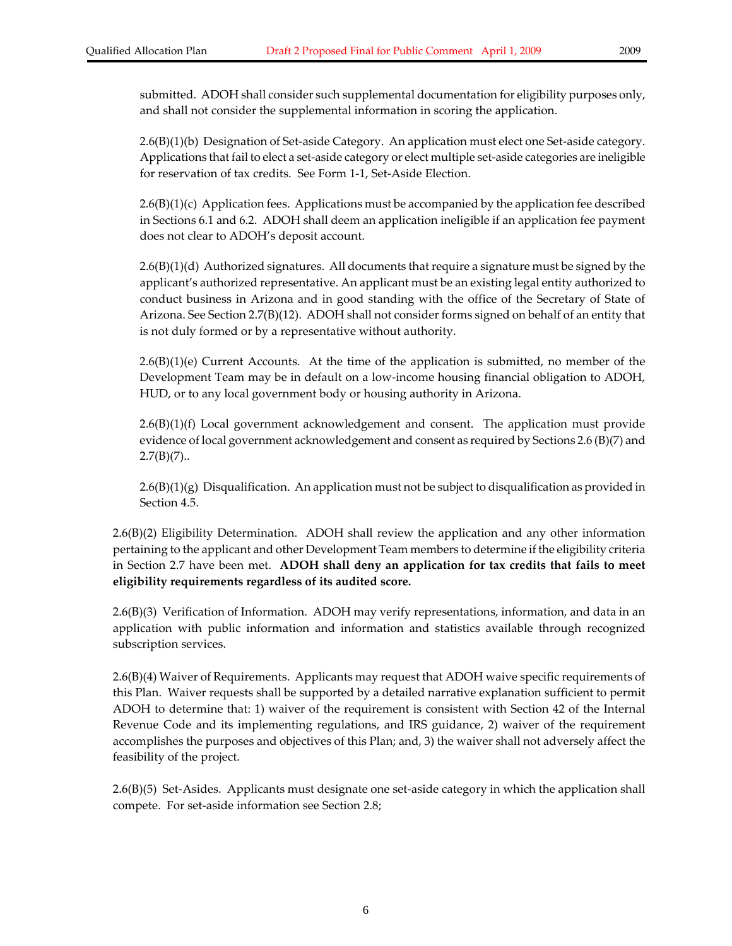submitted. ADOH shall consider such supplemental documentation for eligibility purposes only, and shall not consider the supplemental information in scoring the application.

2.6(B)(1)(b) Designation of Set‐aside Category. An application must elect one Set‐aside category. Applications that fail to elect a set‐aside category or elect multiple set‐aside categories are ineligible for reservation of tax credits. See Form 1‐1, Set‐Aside Election.

 $2.6(B)(1)(c)$  Application fees. Applications must be accompanied by the application fee described in Sections 6.1 and 6.2. ADOH shall deem an application ineligible if an application fee payment does not clear to ADOH's deposit account.

 $2.6(B)(1)(d)$  Authorized signatures. All documents that require a signature must be signed by the applicant's authorized representative. An applicant must be an existing legal entity authorized to conduct business in Arizona and in good standing with the office of the Secretary of State of Arizona. See Section 2.7(B)(12). ADOH shall not consider forms signed on behalf of an entity that is not duly formed or by a representative without authority.

 $2.6(B)(1)(e)$  Current Accounts. At the time of the application is submitted, no member of the Development Team may be in default on a low-income housing financial obligation to ADOH, HUD, or to any local government body or housing authority in Arizona.

 $2.6(B)(1)(f)$  Local government acknowledgement and consent. The application must provide evidence of local government acknowledgement and consent as required by Sections 2.6 (B)(7) and  $2.7(B)(7)$ ..

 $2.6(B)(1)(g)$  Disqualification. An application must not be subject to disqualification as provided in Section 4.5.

2.6(B)(2) Eligibility Determination. ADOH shall review the application and any other information pertaining to the applicant and other Development Team members to determine if the eligibility criteria in Section 2.7 have been met. **ADOH shall deny an application for tax credits that fails to meet eligibility requirements regardless of its audited score.**

2.6(B)(3) Verification of Information. ADOH may verify representations, information, and data in an application with public information and information and statistics available through recognized subscription services.

2.6(B)(4) Waiver of Requirements. Applicants may request that ADOH waive specific requirements of this Plan. Waiver requests shall be supported by a detailed narrative explanation sufficient to permit ADOH to determine that: 1) waiver of the requirement is consistent with Section 42 of the Internal Revenue Code and its implementing regulations, and IRS guidance, 2) waiver of the requirement accomplishes the purposes and objectives of this Plan; and, 3) the waiver shall not adversely affect the feasibility of the project.

2.6(B)(5) Set‐Asides. Applicants must designate one set‐aside category in which the application shall compete. For set‐aside information see Section 2.8;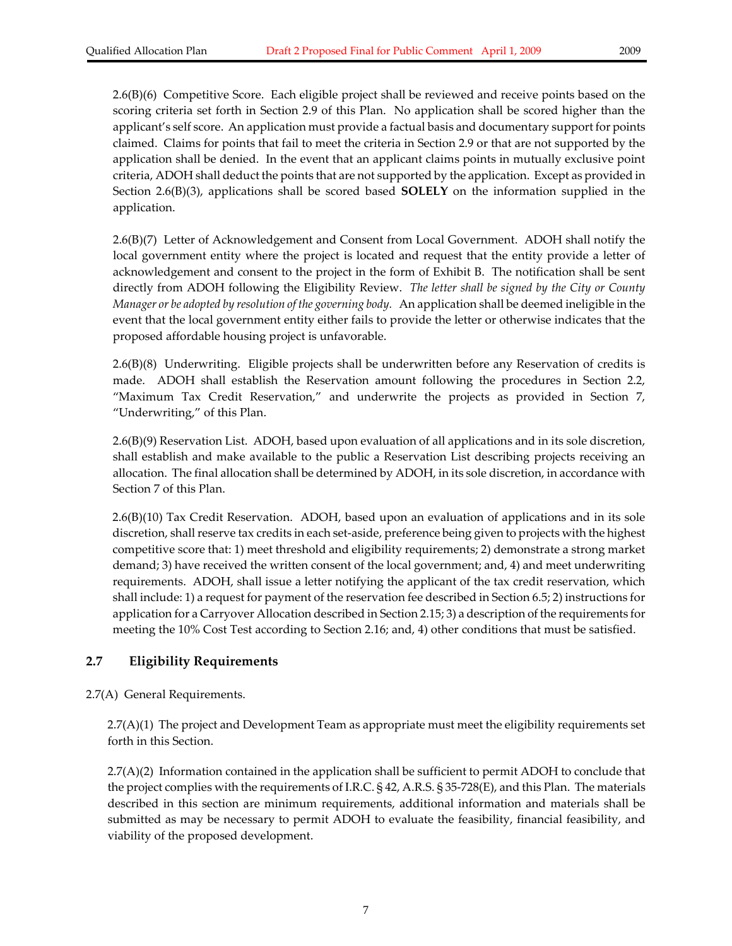2.6(B)(6) Competitive Score. Each eligible project shall be reviewed and receive points based on the scoring criteria set forth in Section 2.9 of this Plan. No application shall be scored higher than the applicant's self score. An application must provide a factual basis and documentary support for points claimed. Claims for points that fail to meet the criteria in Section 2.9 or that are not supported by the application shall be denied. In the event that an applicant claims points in mutually exclusive point criteria, ADOH shall deduct the points that are not supported by the application. Except as provided in Section 2.6(B)(3), applications shall be scored based **SOLELY** on the information supplied in the application.

2.6(B)(7) Letter of Acknowledgement and Consent from Local Government. ADOH shall notify the local government entity where the project is located and request that the entity provide a letter of acknowledgement and consent to the project in the form of Exhibit B. The notification shall be sent directly from ADOH following the Eligibility Review. *The letter shall be signed by the City or County Manager or be adopted by resolution of the governing body.* An application shall be deemed ineligible in the event that the local government entity either fails to provide the letter or otherwise indicates that the proposed affordable housing project is unfavorable.

2.6(B)(8) Underwriting. Eligible projects shall be underwritten before any Reservation of credits is made. ADOH shall establish the Reservation amount following the procedures in Section 2.2, "Maximum Tax Credit Reservation," and underwrite the projects as provided in Section 7, "Underwriting," of this Plan.

2.6(B)(9) Reservation List. ADOH, based upon evaluation of all applications and in its sole discretion, shall establish and make available to the public a Reservation List describing projects receiving an allocation. The final allocation shall be determined by ADOH, in its sole discretion, in accordance with Section 7 of this Plan.

2.6(B)(10) Tax Credit Reservation. ADOH, based upon an evaluation of applications and in its sole discretion, shallreserve tax credits in each set‐aside, preference being given to projects with the highest competitive score that: 1) meet threshold and eligibility requirements; 2) demonstrate a strong market demand; 3) have received the written consent of the local government; and, 4) and meet underwriting requirements. ADOH, shall issue a letter notifying the applicant of the tax credit reservation, which shall include: 1) a request for payment of the reservation fee described in Section 6.5; 2) instructions for application for a Carryover Allocation described in Section 2.15; 3) a description of the requirements for meeting the 10% Cost Test according to Section 2.16; and, 4) other conditions that must be satisfied.

#### **2.7 Eligibility Requirements**

2.7(A) General Requirements.

2.7(A)(1) The project and Development Team as appropriate must meet the eligibility requirements set forth in this Section.

2.7(A)(2) Information contained in the application shall be sufficient to permit ADOH to conclude that the project complies with the requirements of I.R.C. § 42, A.R.S. § 35‐728(E), and this Plan. The materials described in this section are minimum requirements, additional information and materials shall be submitted as may be necessary to permit ADOH to evaluate the feasibility, financial feasibility, and viability of the proposed development.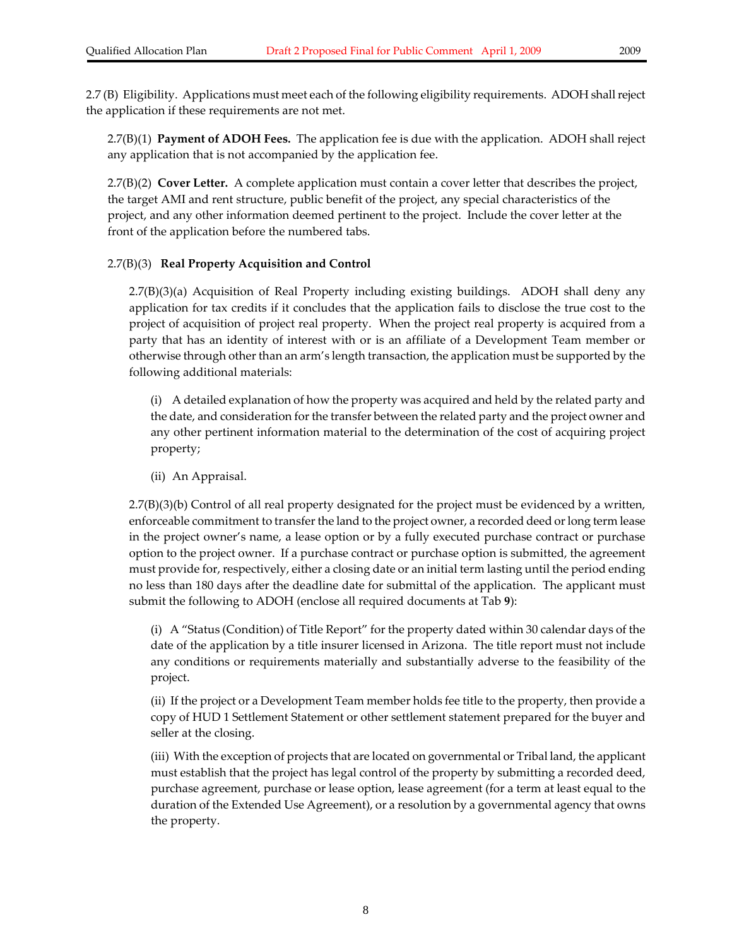2.7 (B) Eligibility. Applications must meet each of the following eligibility requirements. ADOH shallreject the application if these requirements are not met.

2.7(B)(1) **Payment of ADOH Fees.** The application fee is due with the application. ADOH shall reject any application that is not accompanied by the application fee.

2.7(B)(2) **Cover Letter.** A complete application must contain a cover letter that describes the project, the target AMI and rent structure, public benefit of the project, any special characteristics of the project, and any other information deemed pertinent to the project. Include the cover letter at the front of the application before the numbered tabs.

#### 2.7(B)(3) **Real Property Acquisition and Control**

2.7(B)(3)(a) Acquisition of Real Property including existing buildings. ADOH shall deny any application for tax credits if it concludes that the application fails to disclose the true cost to the project of acquisition of project real property. When the project real property is acquired from a party that has an identity of interest with or is an affiliate of a Development Team member or otherwise through otherthan an arm's length transaction, the application must be supported by the following additional materials:

(i) A detailed explanation of how the property was acquired and held by the related party and the date, and consideration for the transfer between the related party and the project owner and any other pertinent information material to the determination of the cost of acquiring project property;

(ii) An Appraisal.

2.7(B)(3)(b) Control of all real property designated for the project must be evidenced by a written, enforceable commitment to transfer the land to the project owner, a recorded deed or long term lease in the project owner's name, a lease option or by a fully executed purchase contract or purchase option to the project owner. If a purchase contract or purchase option is submitted, the agreement must provide for, respectively, either a closing date or an initial term lasting until the period ending no less than 180 days after the deadline date for submittal of the application. The applicant must submit the following to ADOH (enclose all required documents at Tab **9**):

(i) A "Status (Condition) of Title Report" for the property dated within 30 calendar days of the date of the application by a title insurer licensed in Arizona. The title report must not include any conditions or requirements materially and substantially adverse to the feasibility of the project.

(ii) If the project or a Development Team member holds fee title to the property, then provide a copy of HUD 1 Settlement Statement or other settlement statement prepared for the buyer and seller at the closing.

(iii) With the exception of projects that are located on governmental or Tribal land, the applicant must establish that the project has legal control of the property by submitting a recorded deed, purchase agreement, purchase or lease option, lease agreement (for a term at least equal to the duration of the Extended Use Agreement), or a resolution by a governmental agency that owns the property.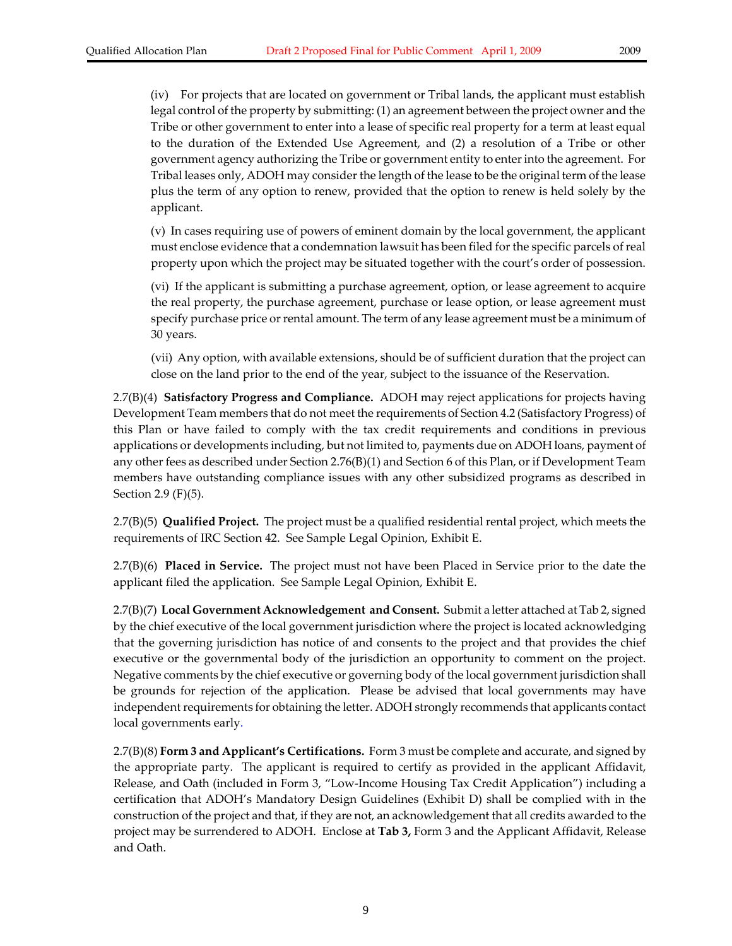(iv) For projects that are located on government or Tribal lands, the applicant must establish legal control of the property by submitting: (1) an agreement between the project owner and the Tribe or other government to enter into a lease of specific real property for a term at least equal to the duration of the Extended Use Agreement, and (2) a resolution of a Tribe or other government agency authorizing the Tribe or government entity to enterinto the agreement. For Tribal leases only, ADOH may consider the length of the lease to be the original term of the lease plus the term of any option to renew, provided that the option to renew is held solely by the applicant.

(v) In cases requiring use of powers of eminent domain by the local government, the applicant must enclose evidence that a condemnation lawsuit has been filed forthe specific parcels ofreal property upon which the project may be situated together with the court's order of possession.

(vi) If the applicant is submitting a purchase agreement, option, or lease agreement to acquire the real property, the purchase agreement, purchase or lease option, or lease agreement must specify purchase price or rental amount. The term of any lease agreement must be a minimum of 30 years.

(vii) Any option, with available extensions, should be of sufficient duration that the project can close on the land prior to the end of the year, subject to the issuance of the Reservation.

2.7(B)(4) **Satisfactory Progress and Compliance.** ADOH may reject applications for projects having Development Team members that do not meet the requirements of Section 4.2 (Satisfactory Progress) of this Plan or have failed to comply with the tax credit requirements and conditions in previous applications or developments including, but not limited to, payments due on ADOH loans, payment of any other fees as described under Section 2.76(B)(1) and Section 6 of this Plan, or if Development Team members have outstanding compliance issues with any other subsidized programs as described in Section 2.9 (F)(5).

2.7(B)(5) **Qualified Project.** The project must be a qualified residential rental project, which meets the requirements of IRC Section 42. See Sample Legal Opinion, Exhibit E.

2.7(B)(6) **Placed in Service.** The project must not have been Placed in Service prior to the date the applicant filed the application. See Sample Legal Opinion, Exhibit E.

2.7(B)(7) **Local Government Acknowledgement and Consent.** Submit a letter attached at Tab 2, signed by the chief executive of the local government jurisdiction where the project is located acknowledging that the governing jurisdiction has notice of and consents to the project and that provides the chief executive or the governmental body of the jurisdiction an opportunity to comment on the project. Negative comments by the chief executive or governing body of the local government jurisdiction shall be grounds for rejection of the application. Please be advised that local governments may have independent requirements for obtaining the letter. ADOH strongly recommends that applicants contact local governments early.

2.7(B)(8) **Form 3 and Applicant's Certifications.** Form 3 must be complete and accurate, and signed by the appropriate party. The applicant is required to certify as provided in the applicant Affidavit, Release, and Oath (included in Form 3, "Low‐Income Housing Tax Credit Application") including a certification that ADOH's Mandatory Design Guidelines (Exhibit D) shall be complied with in the construction of the project and that, if they are not, an acknowledgement that all credits awarded to the project may be surrendered to ADOH. Enclose at **Tab 3,** Form 3 and the Applicant Affidavit, Release and Oath.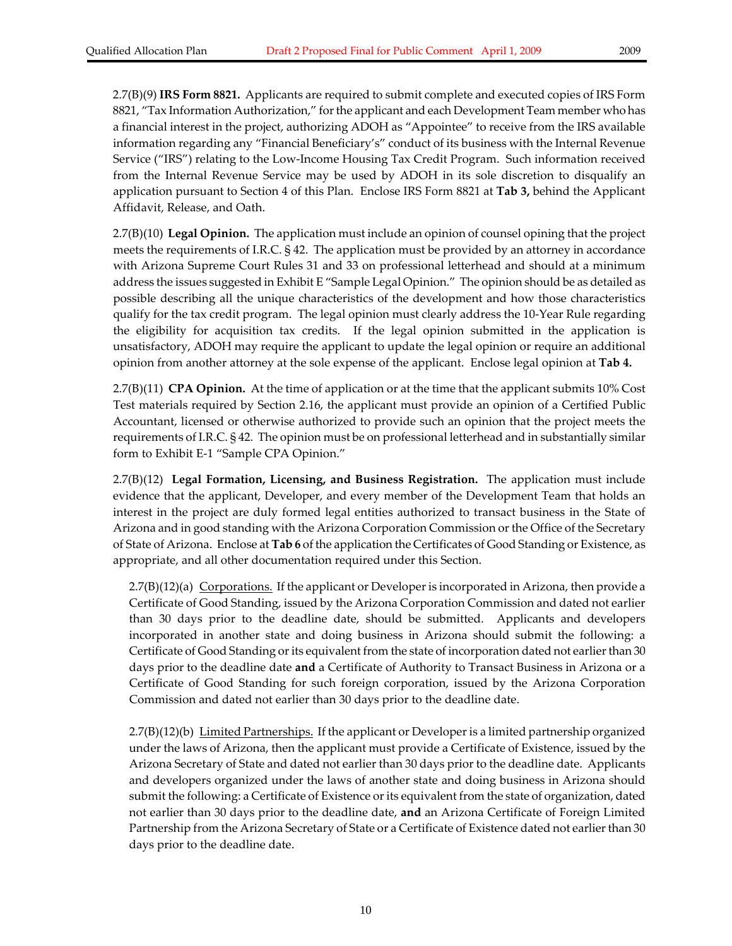2.7(B)(9) **IRS Form 8821.** Applicants are required to submit complete and executed copies of IRS Form 8821, "Tax Information Authorization," for the applicant and each Development Team member who has a financial interest in the project, authorizing ADOH as "Appointee" to receive from the IRS available information regarding any "Financial Beneficiary's" conduct of its business with the Internal Revenue Service ("IRS") relating to the Low‐Income Housing Tax Credit Program. Such information received from the Internal Revenue Service may be used by ADOH in its sole discretion to disqualify an application pursuant to Section 4 of this Plan. Enclose IRS Form 8821 at **Tab 3,** behind the Applicant Affidavit, Release, and Oath.

2.7(B)(10) **Legal Opinion.** The application must include an opinion of counsel opining that the project meets the requirements of I.R.C. § 42. The application must be provided by an attorney in accordance with Arizona Supreme Court Rules 31 and 33 on professional letterhead and should at a minimum address the issues suggested in Exhibit E "Sample Legal Opinion." The opinion should be as detailed as possible describing all the unique characteristics of the development and how those characteristics qualify for the tax credit program. The legal opinion must clearly address the 10‐Year Rule regarding the eligibility for acquisition tax credits. If the legal opinion submitted in the application is unsatisfactory, ADOH may require the applicant to update the legal opinion or require an additional opinion from another attorney at the sole expense of the applicant. Enclose legal opinion at **Tab 4.**

2.7(B)(11) **CPA Opinion.** At the time of application or at the time that the applicant submits 10% Cost Test materials required by Section 2.16, the applicant must provide an opinion of a Certified Public Accountant, licensed or otherwise authorized to provide such an opinion that the project meets the requirements of I.R.C. § 42. The opinion must be on professional letterhead and in substantially similar form to Exhibit E‐1 "Sample CPA Opinion."

2.7(B)(12) **Legal Formation, Licensing, and Business Registration.** The application must include evidence that the applicant, Developer, and every member of the Development Team that holds an interest in the project are duly formed legal entities authorized to transact business in the State of Arizona and in good standing with the Arizona Corporation Commission orthe Office of the Secretary of State of Arizona. Enclose at **Tab 6** of the application the Certificates of Good Standing or Existence, as appropriate, and all other documentation required under this Section.

 $2.7(B)(12)(a)$  Corporations. If the applicant or Developer is incorporated in Arizona, then provide a Certificate of Good Standing, issued by the Arizona Corporation Commission and dated not earlier than 30 days prior to the deadline date, should be submitted. Applicants and developers incorporated in another state and doing business in Arizona should submit the following: a Certificate of Good Standing or its equivalent from the state of incorporation dated not earlier than 30 days prior to the deadline date **and** a Certificate of Authority to Transact Business in Arizona or a Certificate of Good Standing for such foreign corporation, issued by the Arizona Corporation Commission and dated not earlier than 30 days prior to the deadline date.

 $2.7(B)(12)(b)$  Limited Partnerships. If the applicant or Developer is a limited partnership organized under the laws of Arizona, then the applicant must provide a Certificate of Existence, issued by the Arizona Secretary of State and dated not earlier than 30 days prior to the deadline date. Applicants and developers organized under the laws of another state and doing business in Arizona should submit the following: a Certificate of Existence or its equivalent from the state of organization, dated not earlier than 30 days prior to the deadline date, **and** an Arizona Certificate of Foreign Limited Partnership from the Arizona Secretary of State or a Certificate of Existence dated not earlier than 30 days prior to the deadline date.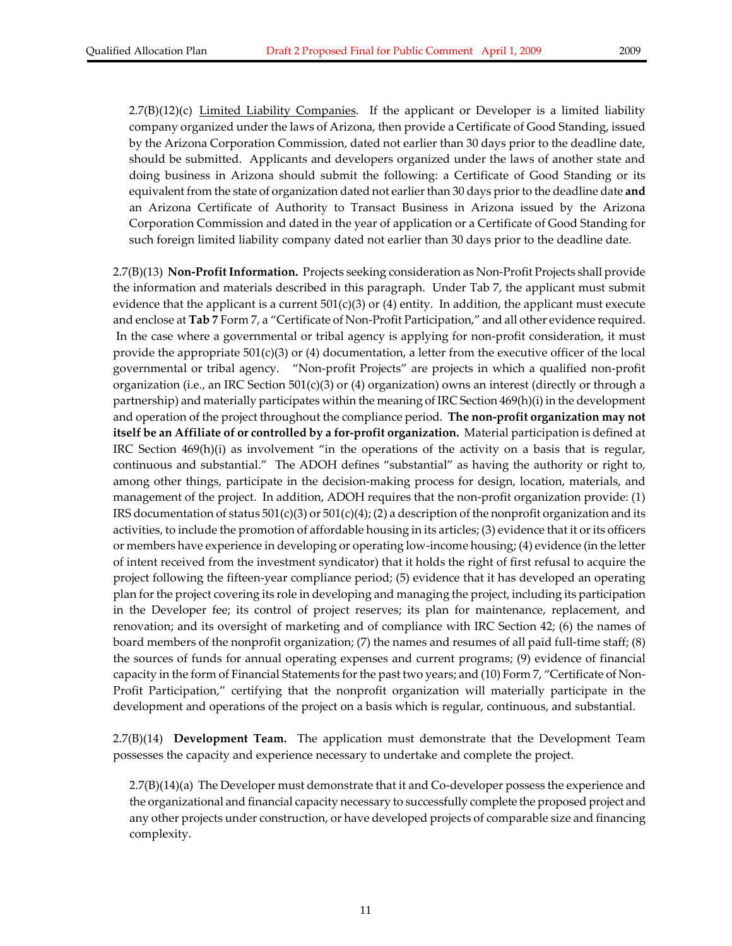$2.7(B)(12)(c)$  Limited Liability Companies. If the applicant or Developer is a limited liability company organized under the laws of Arizona, then provide a Certificate of Good Standing, issued by the Arizona Corporation Commission, dated not earlier than 30 days prior to the deadline date, should be submitted. Applicants and developers organized under the laws of another state and doing business in Arizona should submit the following: a Certificate of Good Standing or its equivalent from the state of organization dated not earlierthan 30 days priorto the deadline date **and** an Arizona Certificate of Authority to Transact Business in Arizona issued by the Arizona Corporation Commission and dated in the year of application or a Certificate of Good Standing for such foreign limited liability company dated not earlier than 30 days prior to the deadline date.

2.7(B)(13) **Non‐ProfitInformation.** Projects seeking consideration as Non‐Profit Projects shall provide the information and materials described in this paragraph. Under Tab 7, the applicant must submit evidence that the applicant is a current  $501(c)(3)$  or (4) entity. In addition, the applicant must execute and enclose at **Tab 7** Form 7, a "Certificate of Non‐Profit Participation," and all other evidence required. In the case where a governmental or tribal agency is applying for non-profit consideration, it must provide the appropriate  $501(c)(3)$  or (4) documentation, a letter from the executive officer of the local governmental or tribal agency. "Non‐profit Projects" are projects in which a qualified non‐profit organization (i.e., an IRC Section 501(c)(3) or (4) organization) owns an interest (directly or through a partnership) and materially participates within the meaning of IRC Section 469(h)(i) in the development and operation of the project throughout the compliance period. **The non‐profit organization may not itself be an Affiliate of or controlled by a for‐profit organization.** Material participation is defined at IRC Section 469(h)(i) as involvement "in the operations of the activity on a basis that is regular, continuous and substantial." The ADOH defines "substantial" as having the authority or right to, among other things, participate in the decision‐making process for design, location, materials, and management of the project. In addition, ADOH requires that the non-profit organization provide: (1) IRS documentation of status  $501(c)(3)$  or  $501(c)(4)$ ; (2) a description of the nonprofit organization and its activities, to include the promotion of affordable housing in its articles; (3) evidence that it or its officers or members have experience in developing or operating low‐income housing; (4) evidence (in the letter of intent received from the investment syndicator) that it holds the right of first refusal to acquire the project following the fifteen‐year compliance period; (5) evidence that it has developed an operating plan forthe project covering its role in developing and managing the project, including its participation in the Developer fee; its control of project reserves; its plan for maintenance, replacement, and renovation; and its oversight of marketing and of compliance with IRC Section 42; (6) the names of board members of the nonprofit organization; (7) the names and resumes of all paid full-time staff; (8) the sources of funds for annual operating expenses and current programs; (9) evidence of financial capacity in the form of Financial Statements for the past two years; and (10) Form 7, "Certificate of Non-Profit Participation," certifying that the nonprofit organization will materially participate in the development and operations of the project on a basis which is regular, continuous, and substantial.

2.7(B)(14) **Development Team.**  The application must demonstrate that the Development Team possesses the capacity and experience necessary to undertake and complete the project.

2.7(B)(14)(a) The Developer must demonstrate that it and Co-developer possess the experience and the organizational and financial capacity necessary to successfully complete the proposed project and any other projects under construction, or have developed projects of comparable size and financing complexity.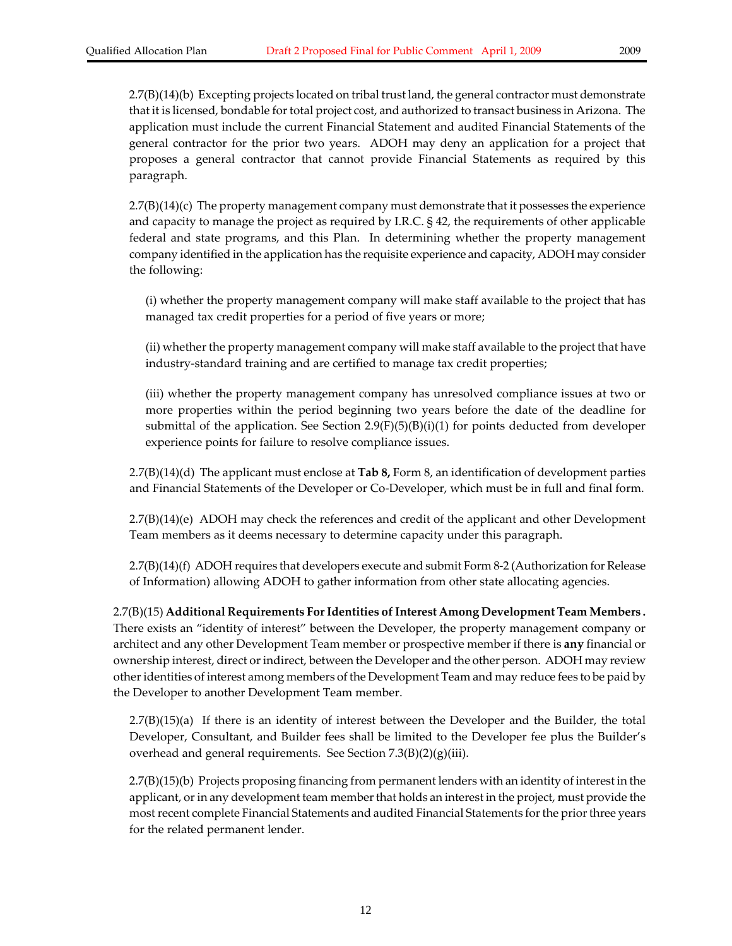2.7(B)(14)(b) Excepting projects located on tribal trust land, the general contractor must demonstrate that it is licensed, bondable fortotal project cost, and authorized to transact business in Arizona. The application must include the current Financial Statement and audited Financial Statements of the general contractor for the prior two years. ADOH may deny an application for a project that proposes a general contractor that cannot provide Financial Statements as required by this paragraph.

2.7(B)(14)(c) The property management company must demonstrate that it possesses the experience and capacity to manage the project as required by I.R.C. § 42, the requirements of other applicable federal and state programs, and this Plan. In determining whether the property management company identified in the application has the requisite experience and capacity, ADOH may consider the following:

(i) whether the property management company will make staff available to the project that has managed tax credit properties for a period of five years or more;

(ii) whether the property management company will make staff available to the project that have industry‐standard training and are certified to manage tax credit properties;

(iii) whether the property management company has unresolved compliance issues at two or more properties within the period beginning two years before the date of the deadline for submittal of the application. See Section  $2.9(F)(5)(B)(i)(1)$  for points deducted from developer experience points for failure to resolve compliance issues.

2.7(B)(14)(d) The applicant must enclose at **Tab 8,** Form 8, an identification of development parties and Financial Statements of the Developer or Co‐Developer, which must be in full and final form.

2.7(B)(14)(e) ADOH may check the references and credit of the applicant and other Development Team members as it deems necessary to determine capacity under this paragraph.

2.7(B)(14)(f) ADOH requires that developers execute and submit Form 8‐2 (Authorization for Release of Information) allowing ADOH to gather information from other state allocating agencies.

2.7(B)(15) **Additional Requirements ForIdentities of Interest Among Development Team Members .**  There exists an "identity of interest" between the Developer, the property management company or architect and any other Development Team member or prospective member if there is **any** financial or ownership interest, direct orindirect, between the Developer and the other person. ADOH may review other identities of interest among members of the Development Team and may reduce fees to be paid by the Developer to another Development Team member.

2.7(B)(15)(a) If there is an identity of interest between the Developer and the Builder, the total Developer, Consultant, and Builder fees shall be limited to the Developer fee plus the Builder's overhead and general requirements. See Section 7.3(B)(2)(g)(iii).

2.7(B)(15)(b) Projects proposing financing from permanent lenders with an identity of interest in the applicant, or in any development team member that holds an interest in the project, must provide the most recent complete Financial Statements and audited Financial Statements for the prior three years for the related permanent lender.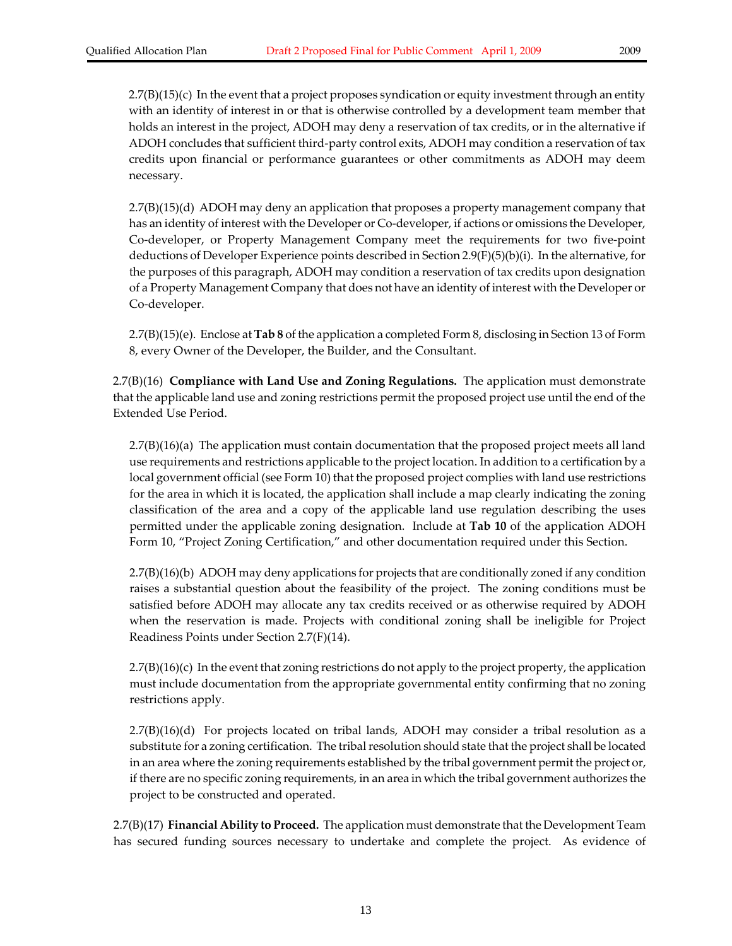$2.7(B)(15)(c)$  In the event that a project proposes syndication or equity investment through an entity with an identity of interest in or that is otherwise controlled by a development team member that holds an interest in the project, ADOH may deny a reservation of tax credits, or in the alternative if ADOH concludes that sufficient third‐party control exits, ADOH may condition a reservation of tax credits upon financial or performance guarantees or other commitments as ADOH may deem necessary.

2.7(B)(15)(d) ADOH may deny an application that proposes a property management company that has an identity of interest with the Developer or Co-developer, if actions or omissions the Developer, Co‐developer, or Property Management Company meet the requirements for two five‐point deductions of Developer Experience points described in Section 2.9(F)(5)(b)(i). In the alternative, for the purposes of this paragraph, ADOH may condition a reservation of tax credits upon designation of a Property Management Company that does not have an identity of interest with the Developer or Co‐developer.

2.7(B)(15)(e). Enclose at **Tab 8** of the application a completed Form 8, disclosing in Section 13 of Form 8, every Owner of the Developer, the Builder, and the Consultant.

2.7(B)(16) **Compliance with Land Use and Zoning Regulations.** The application must demonstrate that the applicable land use and zoning restrictions permit the proposed project use until the end of the Extended Use Period.

2.7(B)(16)(a) The application must contain documentation that the proposed project meets all land use requirements and restrictions applicable to the project location. In addition to a certification by a local government official (see Form 10) that the proposed project complies with land use restrictions for the area in which it is located, the application shall include a map clearly indicating the zoning classification of the area and a copy of the applicable land use regulation describing the uses permitted under the applicable zoning designation. Include at **Tab 10** of the application ADOH Form 10, "Project Zoning Certification," and other documentation required under this Section.

2.7(B)(16)(b) ADOH may deny applications for projects that are conditionally zoned if any condition raises a substantial question about the feasibility of the project. The zoning conditions must be satisfied before ADOH may allocate any tax credits received or as otherwise required by ADOH when the reservation is made. Projects with conditional zoning shall be ineligible for Project Readiness Points under Section 2.7(F)(14).

2.7(B)(16)(c) In the event that zoning restrictions do not apply to the project property, the application must include documentation from the appropriate governmental entity confirming that no zoning restrictions apply.

 $2.7(B)(16)(d)$  For projects located on tribal lands, ADOH may consider a tribal resolution as a substitute for a zoning certification. The tribal resolution should state that the project shall be located in an area where the zoning requirements established by the tribal government permit the project or, if there are no specific zoning requirements, in an area in which the tribal government authorizes the project to be constructed and operated.

2.7(B)(17) **Financial Ability to Proceed.** The application must demonstrate that the Development Team has secured funding sources necessary to undertake and complete the project. As evidence of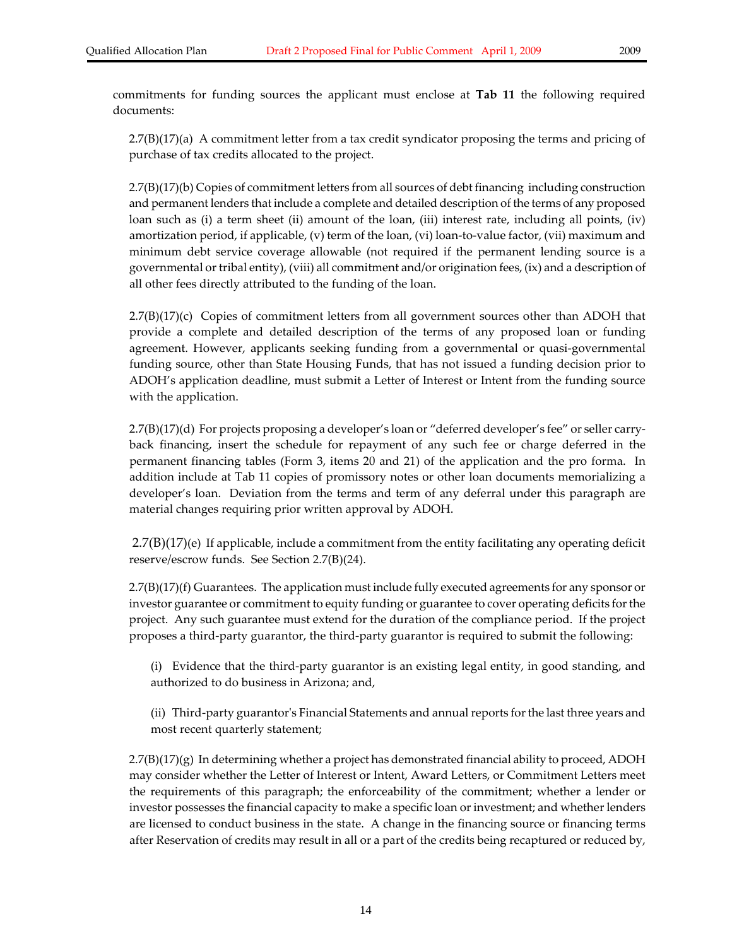commitments for funding sources the applicant must enclose at **Tab 11** the following required documents:

2.7(B)(17)(a) A commitment letter from a tax credit syndicator proposing the terms and pricing of purchase of tax credits allocated to the project.

2.7(B)(17)(b) Copies of commitment letters from all sources of debt financing including construction and permanent lenders that include a complete and detailed description of the terms of any proposed loan such as (i) a term sheet (ii) amount of the loan, (iii) interest rate, including all points, (iv) amortization period, if applicable, (v) term of the loan, (vi) loan-to-value factor, (vii) maximum and minimum debt service coverage allowable (not required if the permanent lending source is a governmental ortribal entity), (viii) all commitment and/or origination fees, (ix) and a description of all other fees directly attributed to the funding of the loan.

2.7(B)(17)(c) Copies of commitment letters from all government sources other than ADOH that provide a complete and detailed description of the terms of any proposed loan or funding agreement. However, applicants seeking funding from a governmental or quasi‐governmental funding source, other than State Housing Funds, that has not issued a funding decision prior to ADOH's application deadline, must submit a Letter of Interest or Intent from the funding source with the application.

2.7(B)(17)(d) For projects proposing a developer's loan or "deferred developer's fee" or seller carry‐ back financing, insert the schedule for repayment of any such fee or charge deferred in the permanent financing tables (Form 3, items 20 and 21) of the application and the pro forma. In addition include at Tab 11 copies of promissory notes or other loan documents memorializing a developer's loan. Deviation from the terms and term of any deferral under this paragraph are material changes requiring prior written approval by ADOH.

2.7(B)(17)(e) If applicable, include a commitment from the entity facilitating any operating deficit reserve/escrow funds. See Section 2.7(B)(24).

2.7(B)(17)(f) Guarantees. The application must include fully executed agreements for any sponsor or investor guarantee or commitment to equity funding or guarantee to cover operating deficits forthe project. Any such guarantee must extend for the duration of the compliance period. If the project proposes a third‐party guarantor, the third‐party guarantor is required to submit the following:

(i) Evidence that the third‐party guarantor is an existing legal entity, in good standing, and authorized to do business in Arizona; and,

(ii) Third‐party guarantorʹs Financial Statements and annualreports forthe last three years and most recent quarterly statement;

 $2.7(B)(17)(g)$  In determining whether a project has demonstrated financial ability to proceed, ADOH may consider whether the Letter of Interest or Intent, Award Letters, or Commitment Letters meet the requirements of this paragraph; the enforceability of the commitment; whether a lender or investor possesses the financial capacity to make a specific loan or investment; and whether lenders are licensed to conduct business in the state. A change in the financing source or financing terms after Reservation of credits may result in all or a part of the credits being recaptured or reduced by,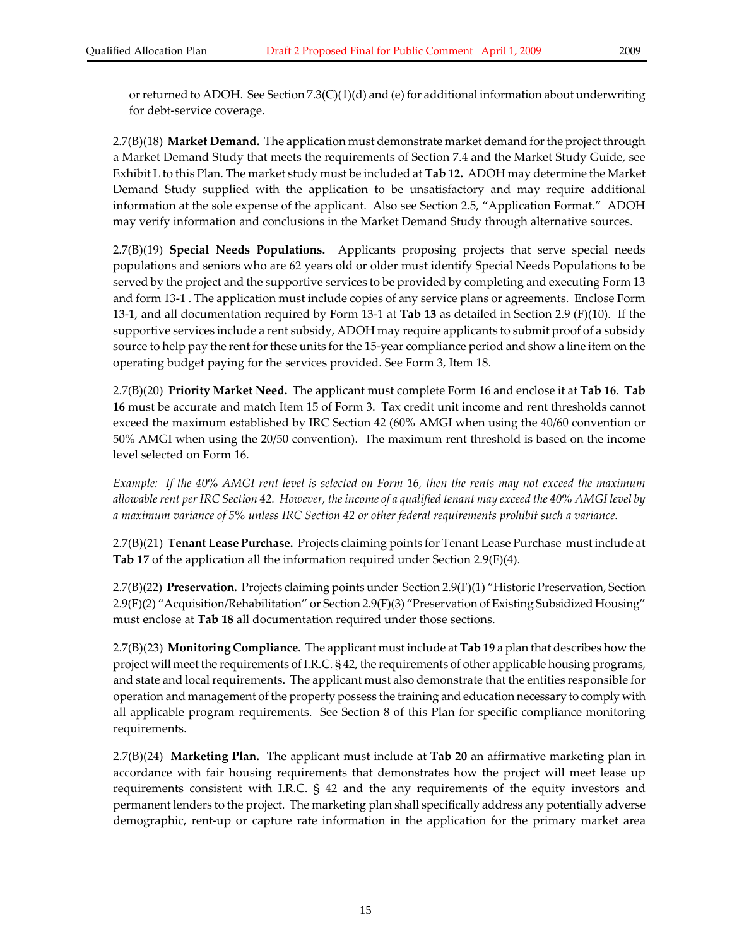2.7(B)(18) **Market Demand.** The application must demonstrate market demand forthe project through a Market Demand Study that meets the requirements of Section 7.4 and the Market Study Guide, see Exhibit L to this Plan. The market study must be included at **Tab 12.** ADOH may determine the Market Demand Study supplied with the application to be unsatisfactory and may require additional information at the sole expense of the applicant. Also see Section 2.5, "Application Format." ADOH may verify information and conclusions in the Market Demand Study through alternative sources.

2.7(B)(19) **Special Needs Populations.**  Applicants proposing projects that serve special needs populations and seniors who are 62 years old or older must identify Special Needs Populations to be served by the project and the supportive services to be provided by completing and executing Form 13 and form 13‐1 . The application must include copies of any service plans or agreements. Enclose Form 13‐1, and all documentation required by Form 13‐1 at **Tab 13** as detailed in Section 2.9 (F)(10). If the supportive services include a rent subsidy, ADOH may require applicants to submit proof of a subsidy source to help pay the rent for these units for the 15-year compliance period and show a line item on the operating budget paying for the services provided. See Form 3, Item 18.

2.7(B)(20) **Priority Market Need.** The applicant must complete Form 16 and enclose it at **Tab 16**. **Tab 16** must be accurate and match Item 15 of Form 3. Tax credit unit income and rent thresholds cannot exceed the maximum established by IRC Section 42 (60% AMGI when using the 40/60 convention or 50% AMGI when using the 20/50 convention). The maximum rent threshold is based on the income level selected on Form 16.

Example: If the 40% AMGI rent level is selected on Form 16, then the rents may not exceed the maximum allowable rent per IRC Section 42. However, the income of a qualified tenant may exceed the 40% AMGI level by *a maximum variance of 5% unless IRC Section 42 or other federal requirements prohibit such a variance.*

2.7(B)(21) **Tenant Lease Purchase.** Projects claiming points for Tenant Lease Purchase must include at **Tab 17** of the application all the information required under Section 2.9(F)(4).

2.7(B)(22) **Preservation.** Projects claiming points under Section 2.9(F)(1) "Historic Preservation, Section 2.9(F)(2) "Acquisition/Rehabilitation" or Section 2.9(F)(3) "Preservation of Existing Subsidized Housing" must enclose at **Tab 18** all documentation required under those sections.

2.7(B)(23) **Monitoring Compliance.** The applicant must include at **Tab 19** a plan that describes how the project will meet the requirements of I.R.C. § 42, the requirements of other applicable housing programs, and state and local requirements. The applicant must also demonstrate that the entities responsible for operation and management of the property possess the training and education necessary to comply with all applicable program requirements. See Section 8 of this Plan for specific compliance monitoring requirements.

2.7(B)(24) **Marketing Plan.** The applicant must include at **Tab 20** an affirmative marketing plan in accordance with fair housing requirements that demonstrates how the project will meet lease up requirements consistent with I.R.C. § 42 and the any requirements of the equity investors and permanent lenders to the project. The marketing plan shall specifically address any potentially adverse demographic, rent‐up or capture rate information in the application for the primary market area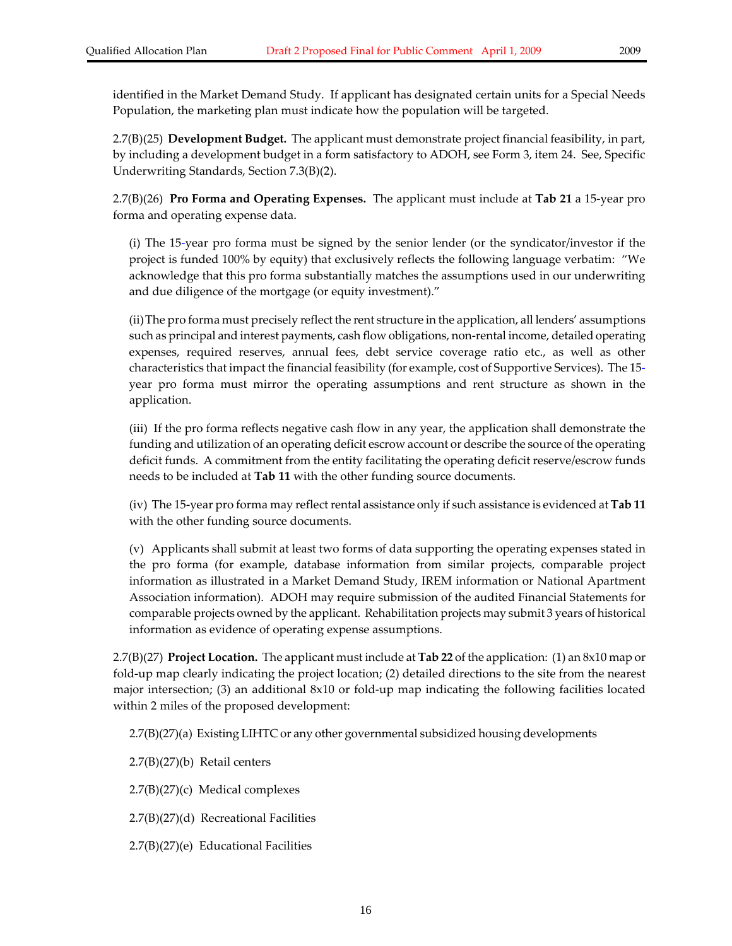identified in the Market Demand Study. If applicant has designated certain units for a Special Needs Population, the marketing plan must indicate how the population will be targeted.

2.7(B)(25) **Development Budget.** The applicant must demonstrate project financial feasibility, in part, by including a development budget in a form satisfactory to ADOH, see Form 3, item 24. See, Specific Underwriting Standards, Section 7.3(B)(2).

2.7(B)(26) **Pro Forma and Operating Expenses.** The applicant must include at **Tab 21** a 15‐year pro forma and operating expense data.

(i) The 15‐year pro forma must be signed by the senior lender (or the syndicator/investor if the project is funded 100% by equity) that exclusively reflects the following language verbatim: "We acknowledge that this pro forma substantially matches the assumptions used in our underwriting and due diligence of the mortgage (or equity investment)."

(ii)The pro forma must precisely reflect the rent structure in the application, all lenders' assumptions such as principal and interest payments, cash flow obligations, non-rental income, detailed operating expenses, required reserves, annual fees, debt service coverage ratio etc., as well as other characteristics that impact the financial feasibility (for example, cost of Supportive Services). The 15‐ year pro forma must mirror the operating assumptions and rent structure as shown in the application.

(iii) If the pro forma reflects negative cash flow in any year, the application shall demonstrate the funding and utilization of an operating deficit escrow account or describe the source of the operating deficit funds. A commitment from the entity facilitating the operating deficit reserve/escrow funds needs to be included at **Tab 11** with the other funding source documents.

(iv) The 15‐year pro forma may reflectrental assistance only if such assistance is evidenced at **Tab 11** with the other funding source documents.

(v) Applicants shall submit at least two forms of data supporting the operating expenses stated in the pro forma (for example, database information from similar projects, comparable project information as illustrated in a Market Demand Study, IREM information or National Apartment Association information). ADOH may require submission of the audited Financial Statements for comparable projects owned by the applicant. Rehabilitation projects may submit 3 years of historical information as evidence of operating expense assumptions.

2.7(B)(27) **Project Location.** The applicant must include at **Tab 22** of the application: (1) an 8x10 map or fold-up map clearly indicating the project location; (2) detailed directions to the site from the nearest major intersection; (3) an additional 8x10 or fold-up map indicating the following facilities located within 2 miles of the proposed development:

2.7(B)(27)(a) Existing LIHTC or any other governmental subsidized housing developments

2.7(B)(27)(b) Retail centers

2.7(B)(27)(c) Medical complexes

2.7(B)(27)(d) Recreational Facilities

2.7(B)(27)(e) Educational Facilities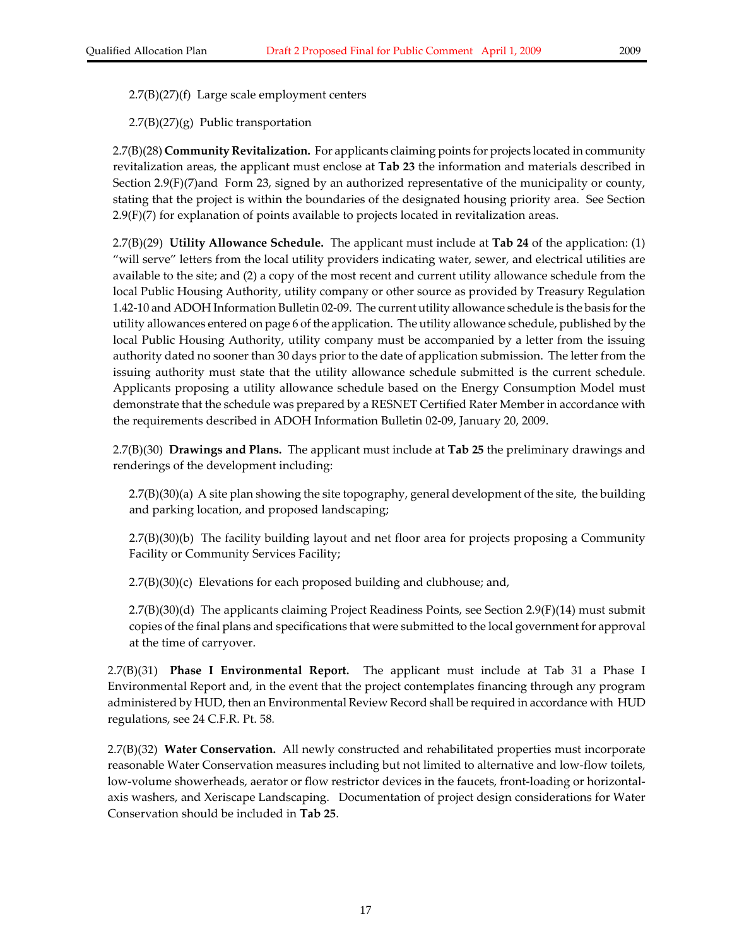2.7(B)(27)(f) Large scale employment centers

 $2.7(B)(27)(g)$  Public transportation

2.7(B)(28) **Community Revitalization.** For applicants claiming points for projects located in community revitalization areas, the applicant must enclose at **Tab 23** the information and materials described in Section 2.9(F)(7)and Form 23, signed by an authorized representative of the municipality or county, stating that the project is within the boundaries of the designated housing priority area. See Section 2.9(F)(7) for explanation of points available to projects located in revitalization areas.

2.7(B)(29) **Utility Allowance Schedule.** The applicant must include at **Tab 24** of the application: (1) "will serve" letters from the local utility providers indicating water, sewer, and electrical utilities are available to the site; and (2) a copy of the most recent and current utility allowance schedule from the local Public Housing Authority, utility company or other source as provided by Treasury Regulation 1.42‐10 and ADOH Information Bulletin 02‐09. The current utility allowance schedule is the basis forthe utility allowances entered on page 6 of the application. The utility allowance schedule, published by the local Public Housing Authority, utility company must be accompanied by a letter from the issuing authority dated no sooner than 30 days prior to the date of application submission. The letter from the issuing authority must state that the utility allowance schedule submitted is the current schedule. Applicants proposing a utility allowance schedule based on the Energy Consumption Model must demonstrate that the schedule was prepared by a RESNET Certified Rater Member in accordance with the requirements described in ADOH Information Bulletin 02‐09, January 20, 2009.

2.7(B)(30) **Drawings and Plans.** The applicant must include at **Tab 25** the preliminary drawings and renderings of the development including:

2.7(B)(30)(a) A site plan showing the site topography, general development of the site, the building and parking location, and proposed landscaping;

2.7(B)(30)(b) The facility building layout and net floor area for projects proposing a Community Facility or Community Services Facility;

2.7(B)(30)(c) Elevations for each proposed building and clubhouse; and,

2.7(B)(30)(d) The applicants claiming Project Readiness Points, see Section 2.9(F)(14) must submit copies of the final plans and specifications that were submitted to the local government for approval at the time of carryover.

2.7(B)(31) **Phase I Environmental Report.**  The applicant must include at Tab 31 a Phase I Environmental Report and, in the event that the project contemplates financing through any program administered by HUD, then an Environmental Review Record shall be required in accordance with HUD regulations, see 24 C.F.R. Pt. 58*.*

2.7(B)(32) **Water Conservation.** All newly constructed and rehabilitated properties must incorporate reasonable Water Conservation measures including but not limited to alternative and low‐flow toilets, low‐volume showerheads, aerator or flow restrictor devices in the faucets, front‐loading or horizontal‐ axis washers, and Xeriscape Landscaping. Documentation of project design considerations for Water Conservation should be included in **Tab 25**.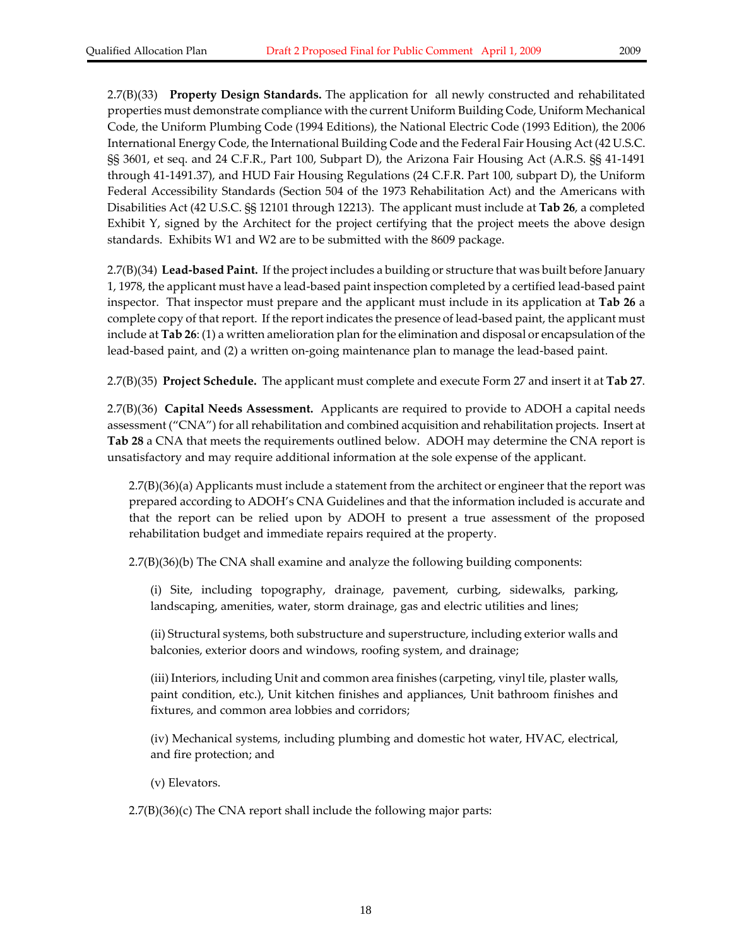2.7(B)(33) **Property Design Standards.** The application for all newly constructed and rehabilitated properties must demonstrate compliance with the current Uniform Building Code, Uniform Mechanical Code, the Uniform Plumbing Code (1994 Editions), the National Electric Code (1993 Edition), the 2006 International Energy Code, the International Building Code and the Federal Fair Housing Act (42 U.S.C. §§ 3601, et seq. and 24 C.F.R., Part 100, Subpart D), the Arizona Fair Housing Act (A.R.S. §§ 41‐1491 through 41‐1491.37), and HUD Fair Housing Regulations (24 C.F.R. Part 100, subpart D), the Uniform Federal Accessibility Standards (Section 504 of the 1973 Rehabilitation Act) and the Americans with Disabilities Act (42 U.S.C. §§ 12101 through 12213). The applicant must include at **Tab 26**, a completed Exhibit Y, signed by the Architect for the project certifying that the project meets the above design standards. Exhibits W1 and W2 are to be submitted with the 8609 package.

2.7(B)(34) **Lead‐based Paint.** If the project includes a building or structure that was built before January 1, 1978, the applicant must have a lead‐based paint inspection completed by a certified lead‐based paint inspector. That inspector must prepare and the applicant must include in its application at **Tab 26** a complete copy of that report. If the report indicates the presence of lead-based paint, the applicant must include at **Tab 26**: (1) a written amelioration plan forthe elimination and disposal or encapsulation of the lead‐based paint, and (2) a written on‐going maintenance plan to manage the lead‐based paint.

2.7(B)(35) **Project Schedule.** The applicant must complete and execute Form 27 and insert it at **Tab 27**.

2.7(B)(36) **Capital Needs Assessment.** Applicants are required to provide to ADOH a capital needs assessment ("CNA") for all rehabilitation and combined acquisition and rehabilitation projects. Insert at **Tab 28** a CNA that meets the requirements outlined below. ADOH may determine the CNA report is unsatisfactory and may require additional information at the sole expense of the applicant.

2.7(B)(36)(a) Applicants must include a statement from the architect or engineer that the report was prepared according to ADOH's CNA Guidelines and that the information included is accurate and that the report can be relied upon by ADOH to present a true assessment of the proposed rehabilitation budget and immediate repairs required at the property.

2.7(B)(36)(b) The CNA shall examine and analyze the following building components:

(i) Site, including topography, drainage, pavement, curbing, sidewalks, parking, landscaping, amenities, water, storm drainage, gas and electric utilities and lines;

(ii) Structural systems, both substructure and superstructure, including exterior walls and balconies, exterior doors and windows, roofing system, and drainage;

(iii) Interiors, including Unit and common area finishes (carpeting, vinyl tile, plaster walls, paint condition, etc.), Unit kitchen finishes and appliances, Unit bathroom finishes and fixtures, and common area lobbies and corridors;

(iv) Mechanical systems, including plumbing and domestic hot water, HVAC, electrical, and fire protection; and

(v) Elevators.

2.7(B)(36)(c) The CNA report shall include the following major parts: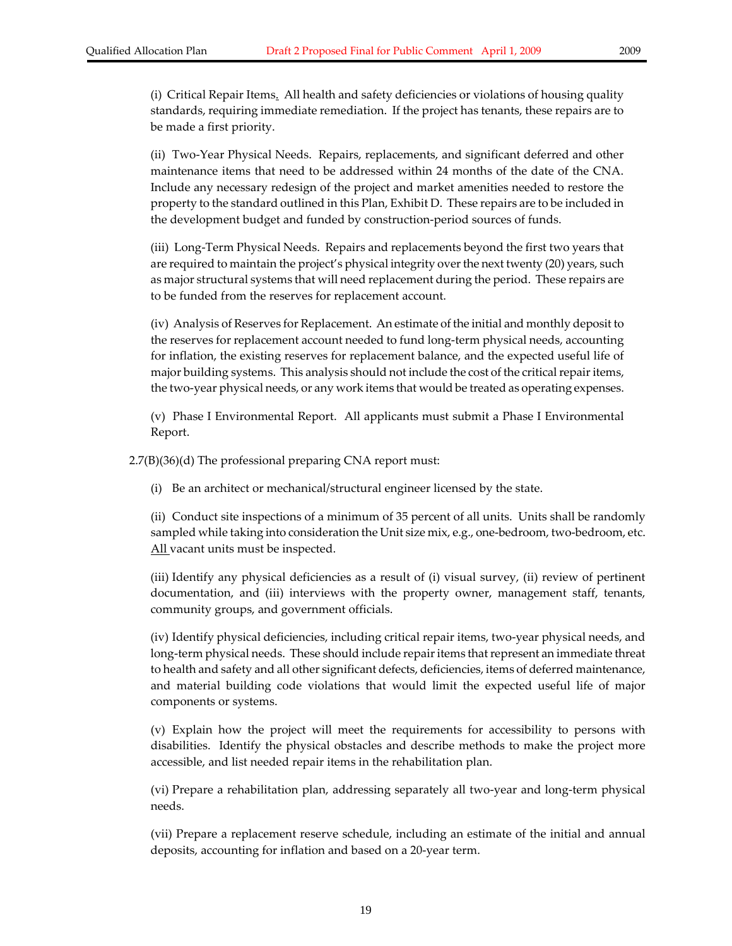(i) Critical Repair Items. All health and safety deficiencies or violations of housing quality standards, requiring immediate remediation. If the project has tenants, these repairs are to be made a first priority.

(ii) Two‐Year Physical Needs. Repairs, replacements, and significant deferred and other maintenance items that need to be addressed within 24 months of the date of the CNA. Include any necessary redesign of the project and market amenities needed to restore the property to the standard outlined in this Plan, Exhibit D. These repairs are to be included in the development budget and funded by construction‐period sources of funds.

(iii) Long‐Term Physical Needs. Repairs and replacements beyond the first two years that are required to maintain the project's physical integrity over the next twenty (20) years, such as major structural systems that will need replacement during the period. These repairs are to be funded from the reserves for replacement account.

(iv) Analysis of Reserves for Replacement. An estimate of the initial and monthly deposit to the reserves for replacement account needed to fund long‐term physical needs, accounting for inflation, the existing reserves for replacement balance, and the expected useful life of major building systems. This analysis should not include the cost of the critical repair items, the two‐year physical needs, or any work items that would be treated as operating expenses.

(v) Phase I Environmental Report. All applicants must submit a Phase I Environmental Report.

2.7(B)(36)(d) The professional preparing CNA report must:

(i) Be an architect or mechanical/structural engineer licensed by the state.

(ii) Conduct site inspections of a minimum of 35 percent of all units. Units shall be randomly sampled while taking into consideration the Unit size mix, e.g., one-bedroom, two-bedroom, etc. All vacant units must be inspected.

(iii) Identify any physical deficiencies as a result of (i) visual survey, (ii) review of pertinent documentation, and (iii) interviews with the property owner, management staff, tenants, community groups, and government officials.

(iv) Identify physical deficiencies, including critical repair items, two‐year physical needs, and long-term physical needs. These should include repair items that represent an immediate threat to health and safety and all other significant defects, deficiencies, items of deferred maintenance, and material building code violations that would limit the expected useful life of major components or systems.

(v) Explain how the project will meet the requirements for accessibility to persons with disabilities. Identify the physical obstacles and describe methods to make the project more accessible, and list needed repair items in the rehabilitation plan.

(vi) Prepare a rehabilitation plan, addressing separately all two‐year and long‐term physical needs.

(vii) Prepare a replacement reserve schedule, including an estimate of the initial and annual deposits, accounting for inflation and based on a 20‐year term.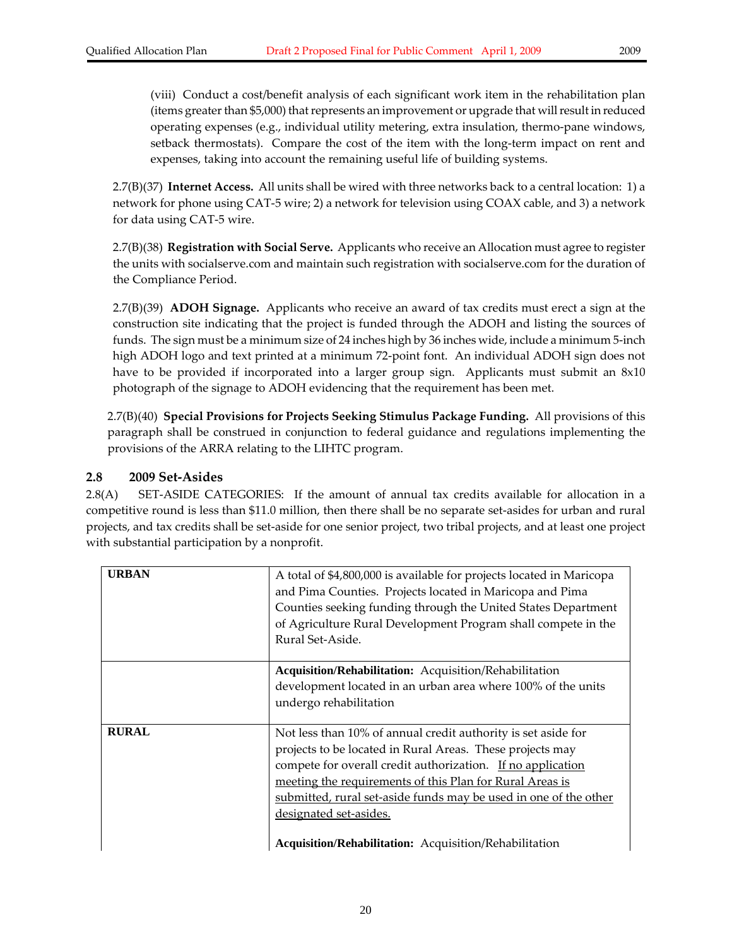(viii) Conduct a cost/benefit analysis of each significant work item in the rehabilitation plan (items greater than \$5,000) that represents an improvement or upgrade that will result in reduced operating expenses (e.g., individual utility metering, extra insulation, thermo‐pane windows, setback thermostats). Compare the cost of the item with the long-term impact on rent and expenses, taking into account the remaining useful life of building systems.

2.7(B)(37) **Internet Access.** All units shall be wired with three networks back to a central location: 1) a network for phone using CAT‐5 wire; 2) a network for television using COAX cable, and 3) a network for data using CAT‐5 wire.

2.7(B)(38) **Registration with Social Serve.** Applicants who receive an Allocation must agree to register the units with socialserve.com and maintain such registration with socialserve.com for the duration of the Compliance Period.

2.7(B)(39) **ADOH Signage.** Applicants who receive an award of tax credits must erect a sign at the construction site indicating that the project is funded through the ADOH and listing the sources of funds. The sign must be a minimum size of 24 inches high by 36 inches wide, include a minimum 5-inch high ADOH logo and text printed at a minimum 72-point font. An individual ADOH sign does not have to be provided if incorporated into a larger group sign. Applicants must submit an 8x10 photograph of the signage to ADOH evidencing that the requirement has been met.

2.7(B)(40) **Special Provisions for Projects Seeking Stimulus Package Funding.** All provisions of this paragraph shall be construed in conjunction to federal guidance and regulations implementing the provisions of the ARRA relating to the LIHTC program.

#### **2.8 2009 Set‐Asides**

2.8(A) SET-ASIDE CATEGORIES: If the amount of annual tax credits available for allocation in a competitive round is less than \$11.0 million, then there shall be no separate set‐asides for urban and rural projects, and tax credits shall be set‐aside for one senior project, two tribal projects, and at least one project with substantial participation by a nonprofit.

| <b>URBAN</b> | A total of \$4,800,000 is available for projects located in Maricopa<br>and Pima Counties. Projects located in Maricopa and Pima<br>Counties seeking funding through the United States Department<br>of Agriculture Rural Development Program shall compete in the<br>Rural Set-Aside.                                                                                                                        |
|--------------|---------------------------------------------------------------------------------------------------------------------------------------------------------------------------------------------------------------------------------------------------------------------------------------------------------------------------------------------------------------------------------------------------------------|
|              | Acquisition/Rehabilitation: Acquisition/Rehabilitation                                                                                                                                                                                                                                                                                                                                                        |
|              | development located in an urban area where 100% of the units<br>undergo rehabilitation                                                                                                                                                                                                                                                                                                                        |
| <b>RURAL</b> | Not less than 10% of annual credit authority is set aside for<br>projects to be located in Rural Areas. These projects may<br>compete for overall credit authorization. If no application<br>meeting the requirements of this Plan for Rural Areas is<br>submitted, rural set-aside funds may be used in one of the other<br>designated set-asides.<br>Acquisition/Rehabilitation: Acquisition/Rehabilitation |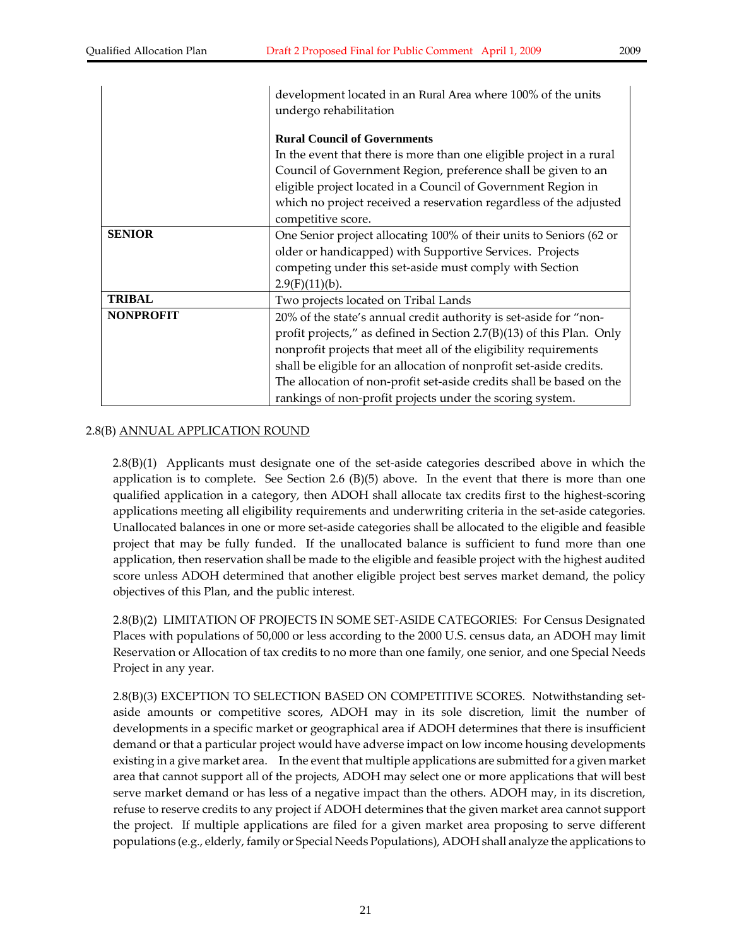|                  | development located in an Rural Area where 100% of the units          |  |
|------------------|-----------------------------------------------------------------------|--|
|                  | undergo rehabilitation                                                |  |
|                  |                                                                       |  |
|                  | <b>Rural Council of Governments</b>                                   |  |
|                  | In the event that there is more than one eligible project in a rural  |  |
|                  | Council of Government Region, preference shall be given to an         |  |
|                  | eligible project located in a Council of Government Region in         |  |
|                  | which no project received a reservation regardless of the adjusted    |  |
|                  | competitive score.                                                    |  |
| <b>SENIOR</b>    | One Senior project allocating 100% of their units to Seniors (62 or   |  |
|                  | older or handicapped) with Supportive Services. Projects              |  |
|                  | competing under this set-aside must comply with Section               |  |
|                  | $2.9(F)(11)(b)$ .                                                     |  |
| <b>TRIBAL</b>    | Two projects located on Tribal Lands                                  |  |
| <b>NONPROFIT</b> | 20% of the state's annual credit authority is set-aside for "non-     |  |
|                  | profit projects," as defined in Section 2.7(B)(13) of this Plan. Only |  |
|                  | nonprofit projects that meet all of the eligibility requirements      |  |
|                  | shall be eligible for an allocation of nonprofit set-aside credits.   |  |
|                  | The allocation of non-profit set-aside credits shall be based on the  |  |
|                  | rankings of non-profit projects under the scoring system.             |  |

#### 2.8(B) ANNUAL APPLICATION ROUND

2.8(B)(1) Applicants must designate one of the set‐aside categories described above in which the application is to complete. See Section 2.6  $(B)(5)$  above. In the event that there is more than one qualified application in a category, then ADOH shall allocate tax credits first to the highest‐scoring applications meeting all eligibility requirements and underwriting criteria in the set‐aside categories. Unallocated balances in one or more set‐aside categories shall be allocated to the eligible and feasible project that may be fully funded. If the unallocated balance is sufficient to fund more than one application, then reservation shall be made to the eligible and feasible project with the highest audited score unless ADOH determined that another eligible project best serves market demand, the policy objectives of this Plan, and the public interest.

2.8(B)(2) LIMITATION OF PROJECTS IN SOME SET‐ASIDE CATEGORIES: For Census Designated Places with populations of 50,000 or less according to the 2000 U.S. census data, an ADOH may limit Reservation or Allocation of tax credits to no more than one family, one senior, and one Special Needs Project in any year.

2.8(B)(3) EXCEPTION TO SELECTION BASED ON COMPETITIVE SCORES. Notwithstanding setaside amounts or competitive scores, ADOH may in its sole discretion, limit the number of developments in a specific market or geographical area if ADOH determines that there is insufficient demand or that a particular project would have adverse impact on low income housing developments existing in a give market area. In the event that multiple applications are submitted for a given market area that cannot support all of the projects, ADOH may select one or more applications that will best serve market demand or has less of a negative impact than the others. ADOH may, in its discretion, refuse to reserve credits to any project if ADOH determines that the given market area cannot support the project. If multiple applications are filed for a given market area proposing to serve different populations (e.g., elderly, family or Special Needs Populations), ADOH shall analyze the applications to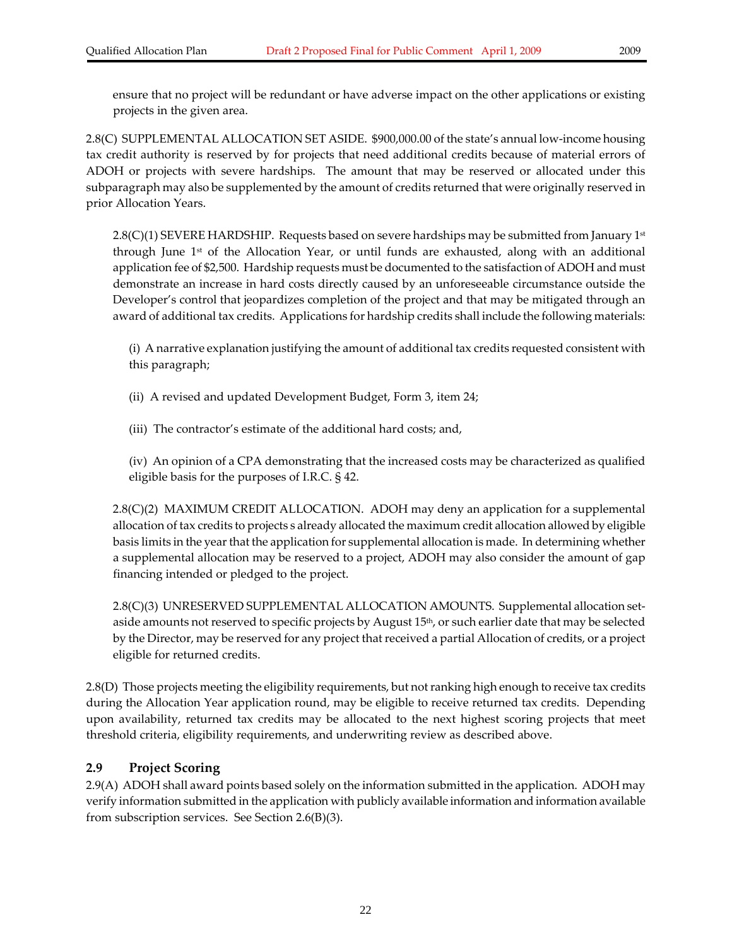2.8(C) SUPPLEMENTAL ALLOCATION SET ASIDE. \$900,000.00 of the state's annual low-income housing tax credit authority is reserved by for projects that need additional credits because of material errors of ADOH or projects with severe hardships. The amount that may be reserved or allocated under this subparagraph may also be supplemented by the amount of credits returned that were originally reserved in prior Allocation Years.

2.8(C)(1) SEVERE HARDSHIP. Requests based on severe hardships may be submitted from January 1st through June  $1<sup>st</sup>$  of the Allocation Year, or until funds are exhausted, along with an additional application fee of \$2,500. Hardship requests must be documented to the satisfaction of ADOH and must demonstrate an increase in hard costs directly caused by an unforeseeable circumstance outside the Developer's control that jeopardizes completion of the project and that may be mitigated through an award of additional tax credits. Applications for hardship credits shall include the following materials:

(i) A narrative explanation justifying the amount of additional tax credits requested consistent with this paragraph;

- (ii) A revised and updated Development Budget, Form 3, item 24;
- (iii) The contractor's estimate of the additional hard costs; and,

(iv) An opinion of a CPA demonstrating that the increased costs may be characterized as qualified eligible basis for the purposes of I.R.C. § 42.

2.8(C)(2) MAXIMUM CREDIT ALLOCATION. ADOH may deny an application for a supplemental allocation of tax credits to projects s already allocated the maximum credit allocation allowed by eligible basis limits in the yearthat the application for supplemental allocation is made. In determining whether a supplemental allocation may be reserved to a project, ADOH may also consider the amount of gap financing intended or pledged to the project.

2.8(C)(3) UNRESERVED SUPPLEMENTAL ALLOCATION AMOUNTS. Supplemental allocation setaside amounts not reserved to specific projects by August 15<sup>th</sup>, or such earlier date that may be selected by the Director, may be reserved for any project that received a partial Allocation of credits, or a project eligible for returned credits.

2.8(D) Those projects meeting the eligibility requirements, but notranking high enough to receive tax credits during the Allocation Year application round, may be eligible to receive returned tax credits. Depending upon availability, returned tax credits may be allocated to the next highest scoring projects that meet threshold criteria, eligibility requirements, and underwriting review as described above.

#### **2.9 Project Scoring**

2.9(A) ADOH shall award points based solely on the information submitted in the application. ADOH may verify information submitted in the application with publicly available information and information available from subscription services. See Section 2.6(B)(3).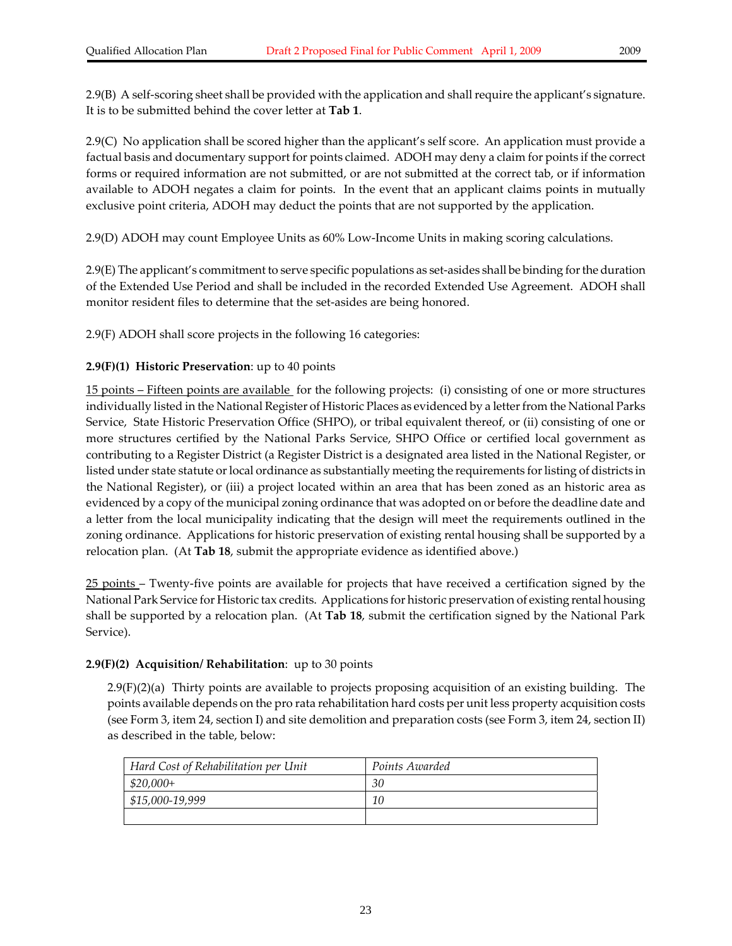2.9(B) A self-scoring sheet shall be provided with the application and shall require the applicant's signature. It is to be submitted behind the cover letter at **Tab 1**.

2.9(C) No application shall be scored higher than the applicant's self score. An application must provide a factual basis and documentary support for points claimed. ADOH may deny a claim for points if the correct forms or required information are not submitted, or are not submitted at the correct tab, or if information available to ADOH negates a claim for points. In the event that an applicant claims points in mutually exclusive point criteria, ADOH may deduct the points that are not supported by the application.

2.9(D) ADOH may count Employee Units as 60% Low‐Income Units in making scoring calculations.

2.9(E) The applicant's commitment to serve specific populations as set‐asides shall be binding forthe duration of the Extended Use Period and shall be included in the recorded Extended Use Agreement. ADOH shall monitor resident files to determine that the set-asides are being honored.

2.9(F) ADOH shall score projects in the following 16 categories:

#### **2.9(F)(1) Historic Preservation**: up to 40 points

15 points – Fifteen points are available for the following projects: (i) consisting of one or more structures individually listed in the National Register of Historic Places as evidenced by a letter from the National Parks Service, State Historic Preservation Office (SHPO), or tribal equivalent thereof, or (ii) consisting of one or more structures certified by the National Parks Service, SHPO Office or certified local government as contributing to a Register District (a Register District is a designated area listed in the National Register, or listed under state statute or local ordinance as substantially meeting the requirements for listing of districts in the National Register), or (iii) a project located within an area that has been zoned as an historic area as evidenced by a copy of the municipal zoning ordinance that was adopted on or before the deadline date and a letter from the local municipality indicating that the design will meet the requirements outlined in the zoning ordinance. Applications for historic preservation of existing rental housing shall be supported by a relocation plan. (At **Tab 18**, submit the appropriate evidence as identified above.)

25 points – Twenty-five points are available for projects that have received a certification signed by the National Park Service for Historic tax credits. Applications for historic preservation of existing rental housing shall be supported by a relocation plan. (At **Tab 18**, submit the certification signed by the National Park Service).

#### **2.9(F)(2) Acquisition/ Rehabilitation**: up to 30 points

2.9(F)(2)(a) Thirty points are available to projects proposing acquisition of an existing building. The points available depends on the pro rata rehabilitation hard costs per unit less property acquisition costs (see Form 3, item 24, section I) and site demolition and preparation costs (see Form 3, item 24, section II) as described in the table, below:

| Hard Cost of Rehabilitation per Unit | Points Awarded |
|--------------------------------------|----------------|
| \$20,000+                            | 30             |
| \$15,000-19,999                      | 10             |
|                                      |                |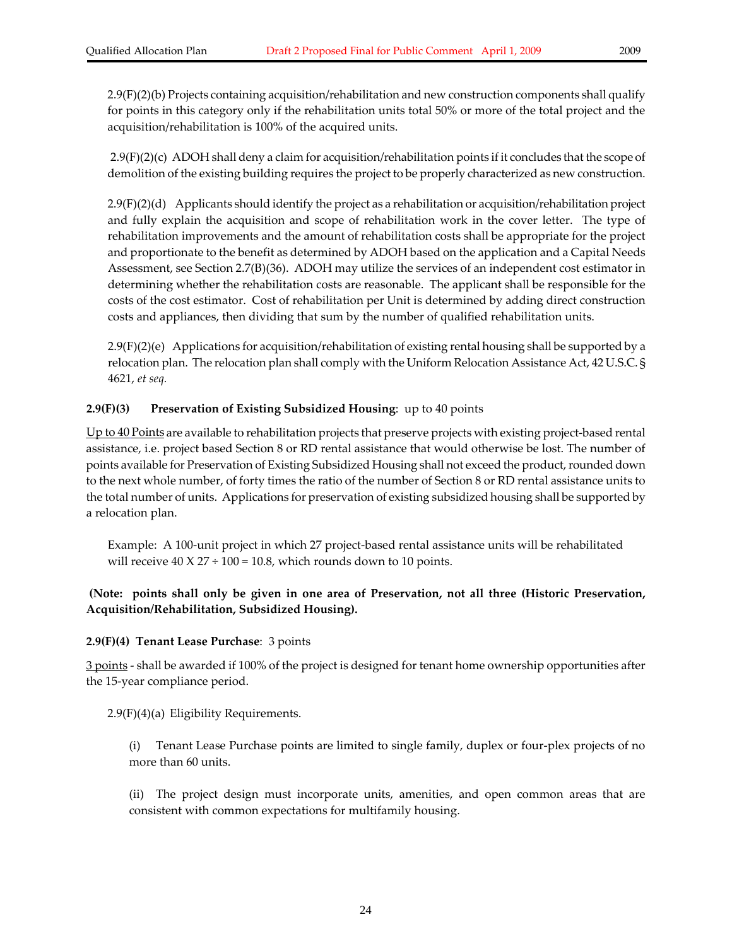2.9(F)(2)(b) Projects containing acquisition/rehabilitation and new construction components shall qualify for points in this category only if the rehabilitation units total 50% or more of the total project and the acquisition/rehabilitation is 100% of the acquired units.

2.9(F)(2)(c) ADOH shall deny a claim for acquisition/rehabilitation points if it concludes that the scope of demolition of the existing building requires the project to be properly characterized as new construction.

2.9(F)(2)(d) Applicants should identify the project as a rehabilitation or acquisition/rehabilitation project and fully explain the acquisition and scope of rehabilitation work in the cover letter. The type of rehabilitation improvements and the amount of rehabilitation costs shall be appropriate for the project and proportionate to the benefit as determined by ADOH based on the application and a Capital Needs Assessment, see Section 2.7(B)(36). ADOH may utilize the services of an independent cost estimator in determining whether the rehabilitation costs are reasonable. The applicant shall be responsible for the costs of the cost estimator. Cost of rehabilitation per Unit is determined by adding direct construction costs and appliances, then dividing that sum by the number of qualified rehabilitation units.

2.9(F)(2)(e) Applications for acquisition/rehabilitation of existing rental housing shall be supported by a relocation plan. The relocation plan shall comply with the Uniform Relocation Assistance Act, 42 U.S.C. § 4621, *et seq.*

#### **2.9(F)(3) Preservation of Existing Subsidized Housing**: up to 40 points

Up to 40 Points are available to rehabilitation projects that preserve projects with existing project-based rental assistance, i.e. project based Section 8 or RD rental assistance that would otherwise be lost. The number of points available for Preservation of Existing Subsidized Housing shall not exceed the product, rounded down to the next whole number, of forty times the ratio of the number of Section 8 or RD rental assistance units to the total number of units. Applications for preservation of existing subsidized housing shall be supported by a relocation plan.

Example: A 100‐unit project in which 27 project‐based rental assistance units will be rehabilitated will receive  $40 \times 27 \div 100 = 10.8$ , which rounds down to 10 points.

#### **(Note: points shall only be given in one area of Preservation, not all three (Historic Preservation, Acquisition/Rehabilitation, Subsidized Housing).**

#### **2.9(F)(4) Tenant Lease Purchase**: 3 points

3 points ‐ shall be awarded if 100% of the project is designed for tenant home ownership opportunities after the 15‐year compliance period.

2.9(F)(4)(a) Eligibility Requirements.

(i) Tenant Lease Purchase points are limited to single family, duplex or four‐plex projects of no more than 60 units.

(ii) The project design must incorporate units, amenities, and open common areas that are consistent with common expectations for multifamily housing.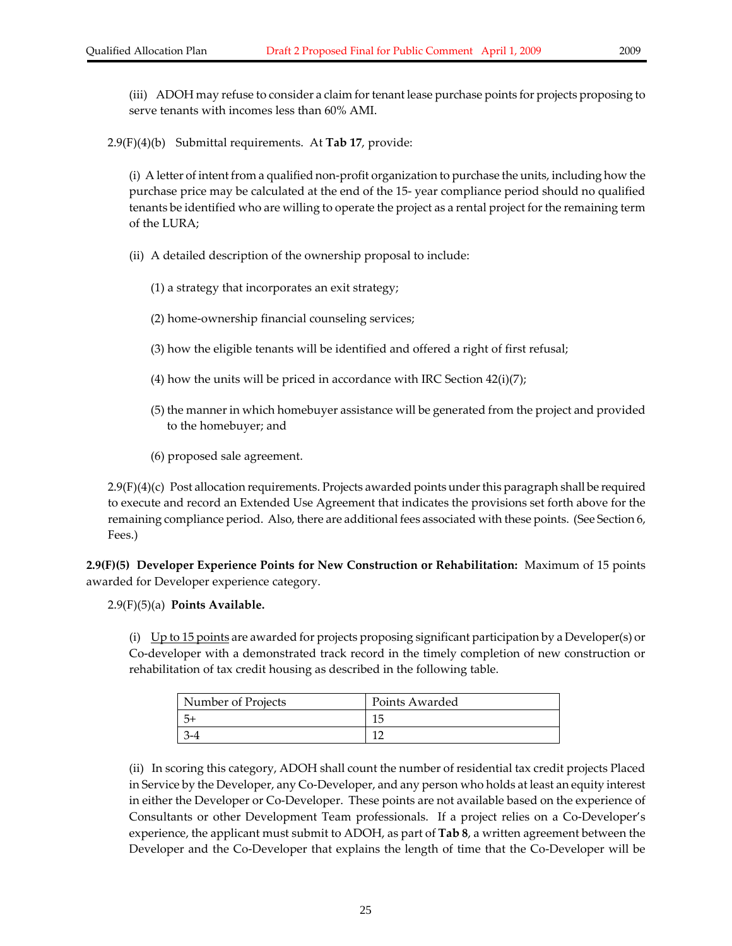(iii) ADOH may refuse to consider a claim for tenant lease purchase points for projects proposing to serve tenants with incomes less than 60% AMI.

2.9(F)(4)(b) Submittal requirements. At **Tab 17**, provide:

(i) A letter of intent from a qualified non‐profit organization to purchase the units, including how the purchase price may be calculated at the end of the 15‐ year compliance period should no qualified tenants be identified who are willing to operate the project as a rental project forthe remaining term of the LURA;

(ii) A detailed description of the ownership proposal to include:

(1) a strategy that incorporates an exit strategy;

- (2) home‐ownership financial counseling services;
- (3) how the eligible tenants will be identified and offered a right of first refusal;
- (4) how the units will be priced in accordance with IRC Section  $42(i)(7)$ ;
- (5) the manner in which homebuyer assistance will be generated from the project and provided to the homebuyer; and
- (6) proposed sale agreement.

2.9(F)(4)(c) Post allocation requirements. Projects awarded points underthis paragraph shall be required to execute and record an Extended Use Agreement that indicates the provisions set forth above for the remaining compliance period. Also, there are additional fees associated with these points. (See Section 6, Fees.)

**2.9(F)(5) Developer Experience Points for New Construction or Rehabilitation:** Maximum of 15 points awarded for Developer experience category.

2.9(F)(5)(a) **Points Available.** 

(i)  $Up$  to 15 points are awarded for projects proposing significant participation by a Developer(s) or Co‐developer with a demonstrated track record in the timely completion of new construction or rehabilitation of tax credit housing as described in the following table.

| Number of Projects | Points Awarded |
|--------------------|----------------|
|                    |                |
|                    | $\mathbf{1}$   |

(ii) In scoring this category, ADOH shall count the number of residential tax credit projects Placed in Service by the Developer, any Co-Developer, and any person who holds at least an equity interest in either the Developer or Co‐Developer. These points are not available based on the experience of Consultants or other Development Team professionals. If a project relies on a Co‐Developer's experience, the applicant must submit to ADOH, as part of **Tab 8**, a written agreement between the Developer and the Co-Developer that explains the length of time that the Co-Developer will be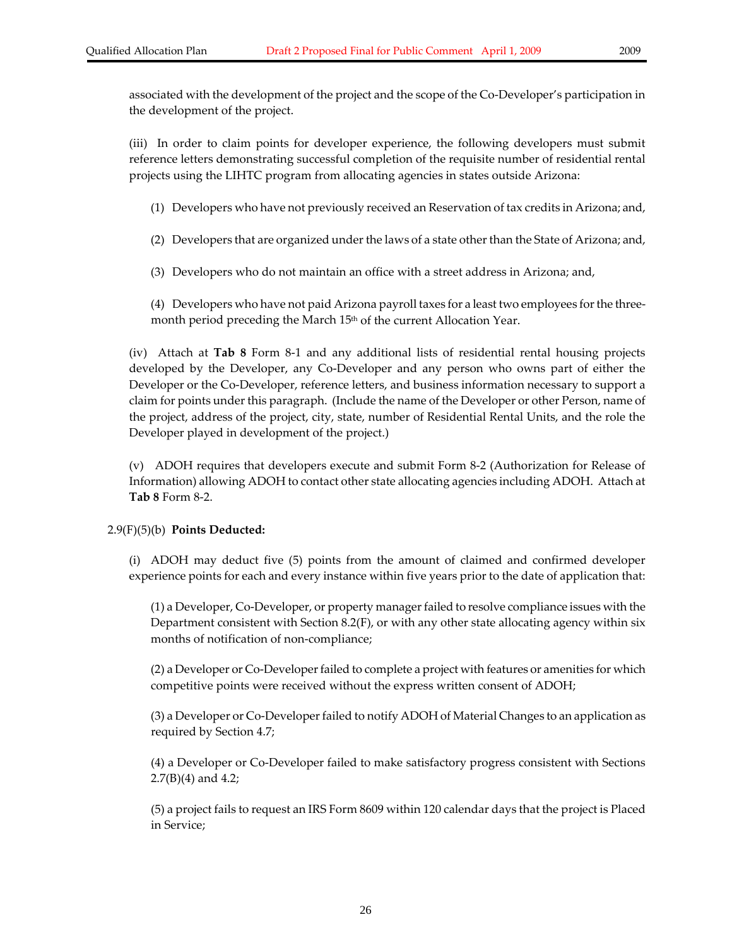associated with the development of the project and the scope of the Co‐Developer's participation in the development of the project.

(iii) In order to claim points for developer experience, the following developers must submit reference letters demonstrating successful completion of the requisite number of residential rental projects using the LIHTC program from allocating agencies in states outside Arizona:

- (1) Developers who have not previously received an Reservation of tax credits in Arizona; and,
- (2) Developers that are organized under the laws of a state other than the State of Arizona; and,
- (3) Developers who do not maintain an office with a street address in Arizona; and,

(4) Developers who have not paid Arizona payroll taxes for a least two employees forthe three‐ month period preceding the March 15<sup>th</sup> of the current Allocation Year.

(iv) Attach at **Tab 8** Form 8‐1 and any additional lists of residential rental housing projects developed by the Developer, any Co‐Developer and any person who owns part of either the Developer or the Co‐Developer, reference letters, and business information necessary to support a claim for points under this paragraph. (Include the name of the Developer or other Person, name of the project, address of the project, city, state, number of Residential Rental Units, and the role the Developer played in development of the project.)

(v) ADOH requires that developers execute and submit Form 8‐2 (Authorization for Release of Information) allowing ADOH to contact other state allocating agencies including ADOH. Attach at **Tab 8** Form 8‐2.

#### 2.9(F)(5)(b) **Points Deducted:**

(i) ADOH may deduct five (5) points from the amount of claimed and confirmed developer experience points for each and every instance within five years prior to the date of application that:

(1) a Developer, Co‐Developer, or property managerfailed to resolve compliance issues with the Department consistent with Section 8.2(F), or with any other state allocating agency within six months of notification of non‐compliance;

(2) a Developer or Co-Developer failed to complete a project with features or amenities for which competitive points were received without the express written consent of ADOH;

(3) a Developer or Co‐Developerfailed to notify ADOH of Material Changes to an application as required by Section 4.7;

(4) a Developer or Co‐Developer failed to make satisfactory progress consistent with Sections  $2.7(B)(4)$  and 4.2;

(5) a project fails to request an IRS Form 8609 within 120 calendar days that the project is Placed in Service;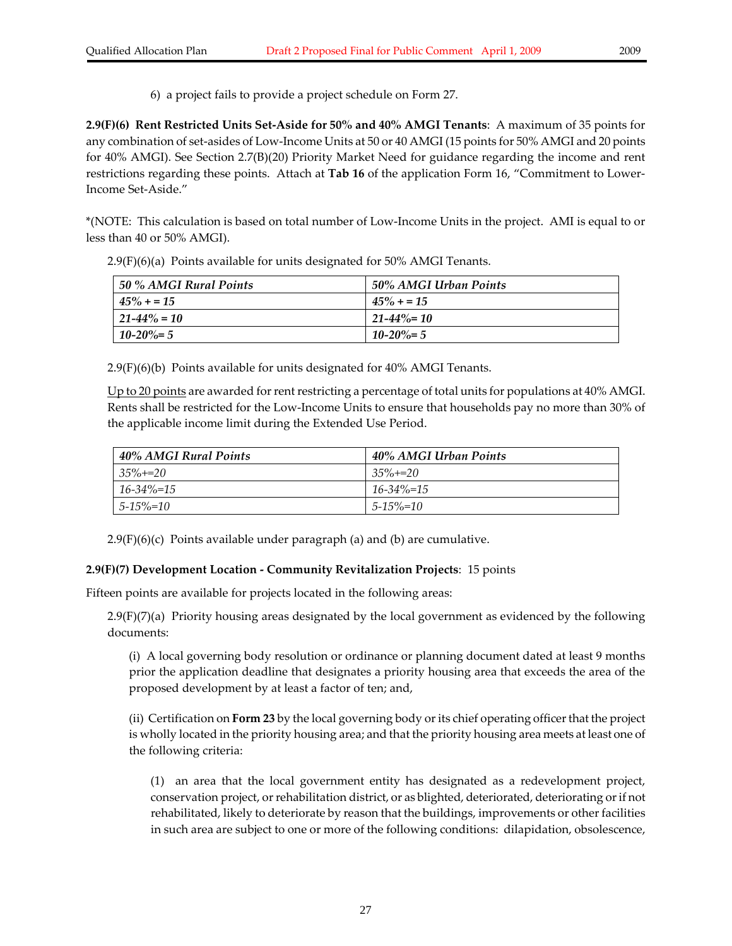6) a project fails to provide a project schedule on Form 27.

**2.9(F)(6) Rent Restricted Units Set‐Aside for 50% and 40% AMGI Tenants**: A maximum of 35 points for any combination of set‐asides of Low‐Income Units at 50 or 40 AMGI (15 points for 50% AMGI and 20 points for 40% AMGI). See Section 2.7(B)(20) Priority Market Need for guidance regarding the income and rent restrictions regarding these points. Attach at **Tab 16** of the application Form 16, "Commitment to Lower‐ Income Set‐Aside."

\*(NOTE: This calculation is based on total number of Low‐Income Units in the project. AMI is equal to or less than 40 or 50% AMGI).

| 50 % AMGI Rural Points | 50% AMGI Urban Points |
|------------------------|-----------------------|
| $45\% + 15$            | $45\% + 15$           |
| $21 - 44\% = 10$       | $21 - 44\% = 10$      |
| $10 - 20\% = 5$        | $10 - 20\% = 5$       |

2.9(F)(6)(a) Points available for units designated for 50% AMGI Tenants.

2.9(F)(6)(b) Points available for units designated for 40% AMGI Tenants.

Up to 20 points are awarded for rent restricting a percentage of total units for populations at 40% AMGI. Rents shall be restricted for the Low‐Income Units to ensure that households pay no more than 30% of the applicable income limit during the Extended Use Period.

| 40% AMGI Rural Points | 40% AMGI Urban Points |
|-----------------------|-----------------------|
| $35\% + 20$           | $35\% + 20$           |
| $16 - 34\% = 15$      | $16 - 34\% = 15$      |
| $5 - 15\% = 10$       | $5 - 15\% = 10$       |

 $2.9(F)(6)(c)$  Points available under paragraph (a) and (b) are cumulative.

#### **2.9(F)(7) Development Location ‐ Community Revitalization Projects**: 15 points

Fifteen points are available for projects located in the following areas:

 $2.9(F)(7)(a)$  Priority housing areas designated by the local government as evidenced by the following documents:

(i) A local governing body resolution or ordinance or planning document dated at least 9 months prior the application deadline that designates a priority housing area that exceeds the area of the proposed development by at least a factor of ten; and,

(ii) Certification on **Form 23** by the local governing body orits chief operating officerthat the project is wholly located in the priority housing area; and that the priority housing area meets at least one of the following criteria:

(1) an area that the local government entity has designated as a redevelopment project, conservation project, orrehabilitation district, or as blighted, deteriorated, deteriorating orif not rehabilitated, likely to deteriorate by reason that the buildings, improvements or other facilities in such area are subject to one or more of the following conditions: dilapidation, obsolescence,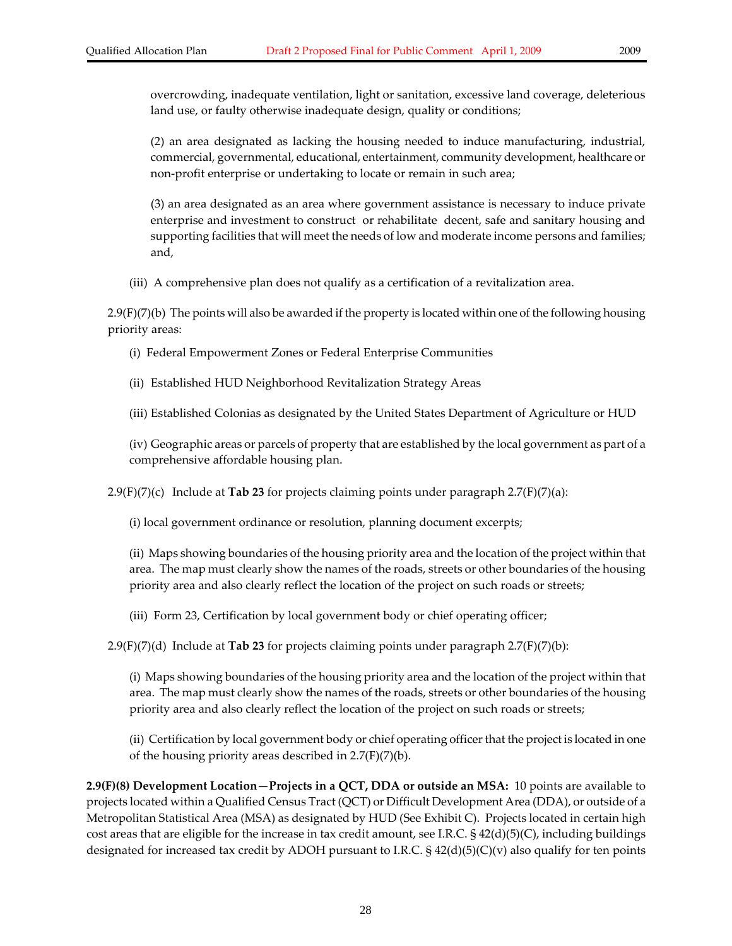overcrowding, inadequate ventilation, light or sanitation, excessive land coverage, deleterious land use, or faulty otherwise inadequate design, quality or conditions;

(2) an area designated as lacking the housing needed to induce manufacturing, industrial, commercial, governmental, educational, entertainment, community development, healthcare or non‐profit enterprise or undertaking to locate or remain in such area;

(3) an area designated as an area where government assistance is necessary to induce private enterprise and investment to construct or rehabilitate decent, safe and sanitary housing and supporting facilities that will meet the needs of low and moderate income persons and families; and,

(iii) A comprehensive plan does not qualify as a certification of a revitalization area.

2.9(F)(7)(b) The points will also be awarded if the property is located within one of the following housing priority areas:

- (i) Federal Empowerment Zones or Federal Enterprise Communities
- (ii) Established HUD Neighborhood Revitalization Strategy Areas
- (iii) Established Colonias as designated by the United States Department of Agriculture or HUD

(iv) Geographic areas or parcels of property that are established by the local government as part of a comprehensive affordable housing plan.

2.9(F)(7)(c) Include at **Tab 23** for projects claiming points under paragraph 2.7(F)(7)(a):

(i) local government ordinance or resolution, planning document excerpts;

(ii) Maps showing boundaries of the housing priority area and the location of the project within that area. The map must clearly show the names of the roads, streets or other boundaries of the housing priority area and also clearly reflect the location of the project on such roads or streets;

(iii) Form 23, Certification by local government body or chief operating officer;

2.9(F)(7)(d) Include at **Tab 23** for projects claiming points under paragraph 2.7(F)(7)(b):

(i) Maps showing boundaries of the housing priority area and the location of the project within that area. The map must clearly show the names of the roads, streets or other boundaries of the housing priority area and also clearly reflect the location of the project on such roads or streets;

(ii) Certification by local government body or chief operating officer that the project is located in one of the housing priority areas described in  $2.7(F)(7)(b)$ .

**2.9(F)(8) Development Location—Projects in a QCT, DDA or outside an MSA:** 10 points are available to projects located within a Qualified Census Tract (QCT) or Difficult Development Area (DDA), or outside of a Metropolitan Statistical Area (MSA) as designated by HUD (See Exhibit C). Projects located in certain high cost areas that are eligible for the increase in tax credit amount, see I.R.C.  $\S$  42(d)(5)(C), including buildings designated for increased tax credit by ADOH pursuant to I.R.C. § 42(d)(5)(C)(v) also qualify for ten points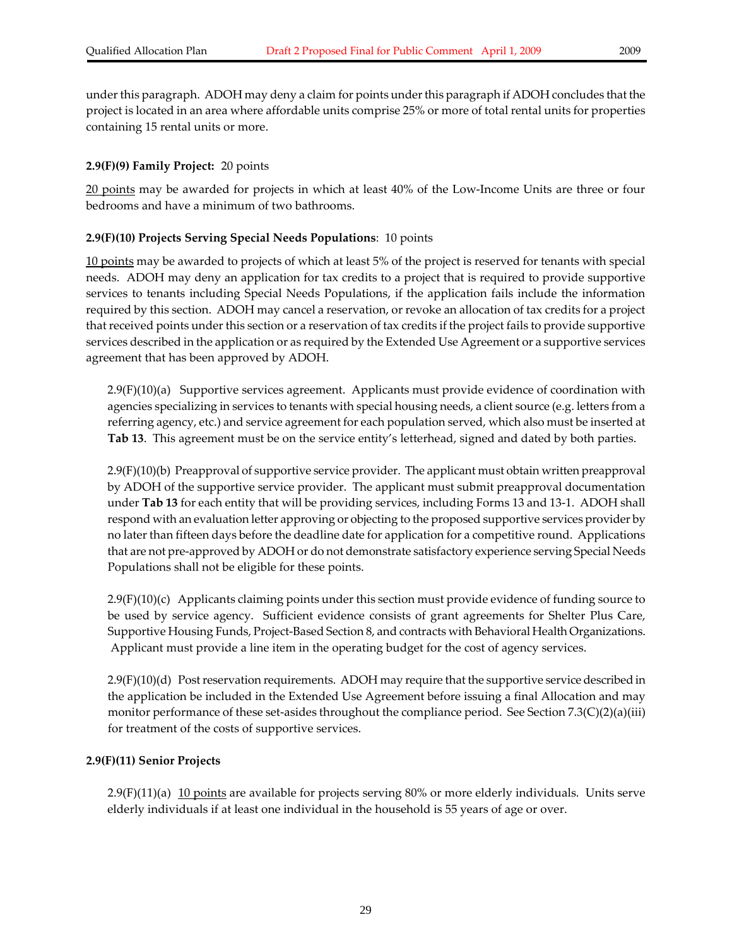under this paragraph. ADOH may deny a claim for points under this paragraph if ADOH concludes that the project is located in an area where affordable units comprise 25% or more of total rental units for properties containing 15 rental units or more.

#### **2.9(F)(9) Family Project:** 20 points

20 points may be awarded for projects in which at least 40% of the Low-Income Units are three or four bedrooms and have a minimum of two bathrooms.

#### **2.9(F)(10) Projects Serving Special Needs Populations**: 10 points

10 points may be awarded to projects of which at least 5% of the project is reserved for tenants with special needs. ADOH may deny an application for tax credits to a project that is required to provide supportive services to tenants including Special Needs Populations, if the application fails include the information required by this section. ADOH may cancel a reservation, or revoke an allocation of tax credits for a project that received points under this section or a reservation of tax credits if the project fails to provide supportive services described in the application or as required by the Extended Use Agreement or a supportive services agreement that has been approved by ADOH.

2.9(F)(10)(a) Supportive services agreement. Applicants must provide evidence of coordination with agencies specializing in services to tenants with special housing needs, a client source (e.g. letters from a referring agency, etc.) and service agreement for each population served, which also must be inserted at **Tab 13**. This agreement must be on the service entity's letterhead, signed and dated by both parties.

2.9(F)(10)(b) Preapproval of supportive service provider. The applicant must obtain written preapproval by ADOH of the supportive service provider. The applicant must submit preapproval documentation under **Tab 13** for each entity that will be providing services, including Forms 13 and 13‐1. ADOH shall respond with an evaluation letter approving or objecting to the proposed supportive services provider by no later than fifteen days before the deadline date for application for a competitive round. Applications that are not pre‐approved by ADOH or do not demonstrate satisfactory experience serving Special Needs Populations shall not be eligible for these points.

2.9(F)(10)(c) Applicants claiming points under this section must provide evidence of funding source to be used by service agency. Sufficient evidence consists of grant agreements for Shelter Plus Care, Supportive Housing Funds, Project‐Based Section 8, and contracts with Behavioral Health Organizations. Applicant must provide a line item in the operating budget for the cost of agency services.

2.9(F)(10)(d) Postreservation requirements. ADOH may require that the supportive service described in the application be included in the Extended Use Agreement before issuing a final Allocation and may monitor performance of these set‐asides throughout the compliance period. See Section 7.3(C)(2)(a)(iii) for treatment of the costs of supportive services.

#### **2.9(F)(11) Senior Projects**

2.9(F)(11)(a)  $10$  points are available for projects serving 80% or more elderly individuals. Units serve elderly individuals if at least one individual in the household is 55 years of age or over.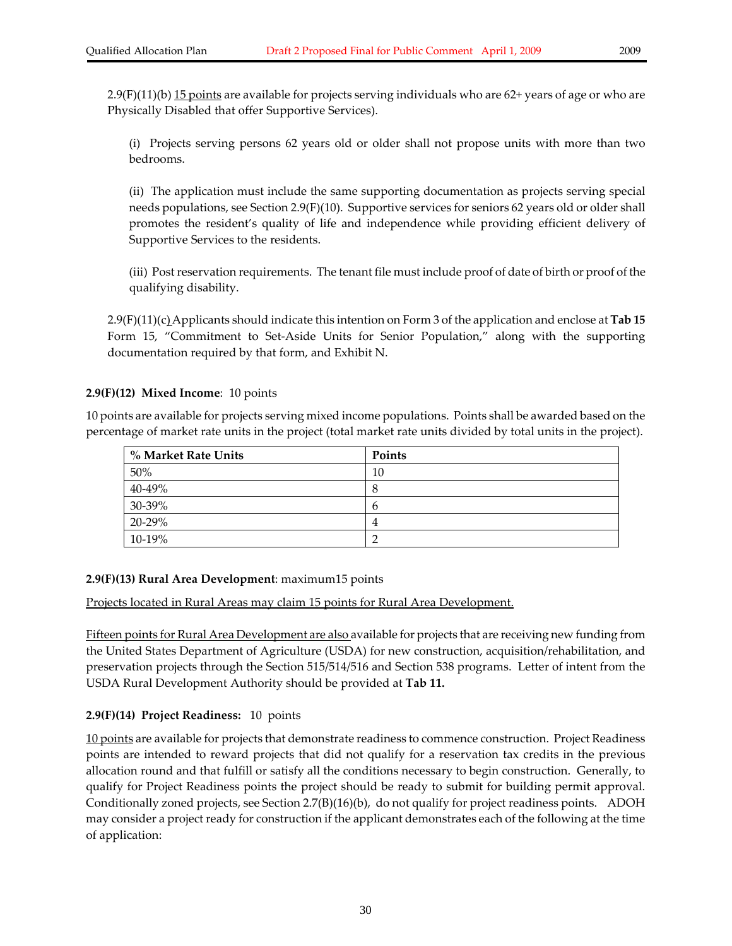2.9(F)(11)(b) <u>15 points</u> are available for projects serving individuals who are 62+ years of age or who are Physically Disabled that offer Supportive Services).

(i) Projects serving persons 62 years old or older shall not propose units with more than two bedrooms.

(ii) The application must include the same supporting documentation as projects serving special needs populations, see Section 2.9(F)(10). Supportive services for seniors 62 years old or older shall promotes the resident's quality of life and independence while providing efficient delivery of Supportive Services to the residents.

(iii) Postreservation requirements. The tenant file must include proof of date of birth or proof of the qualifying disability.

2.9(F)(11)(c)Applicants should indicate this intention on Form 3 of the application and enclose at **Tab 15** Form 15, "Commitment to Set-Aside Units for Senior Population," along with the supporting documentation required by that form, and Exhibit N.

#### **2.9(F)(12) Mixed Income**: 10 points

10 points are available for projects serving mixed income populations. Points shall be awarded based on the percentage of market rate units in the project (total market rate units divided by total units in the project).

| % Market Rate Units | Points |
|---------------------|--------|
| 50%                 | 10     |
| 40-49%              | Ω      |
| 30-39%              | h      |
| 20-29%              | 4      |
| 10-19%              |        |

#### **2.9(F)(13) Rural Area Development**: maximum15 points

Projects located in Rural Areas may claim 15 points for Rural Area Development.

Fifteen points for Rural Area Development are also available for projects that are receiving new funding from the United States Department of Agriculture (USDA) for new construction, acquisition/rehabilitation, and preservation projects through the Section 515/514/516 and Section 538 programs. Letter of intent from the USDA Rural Development Authority should be provided at **Tab 11.** 

#### **2.9(F)(14) Project Readiness:** 10 points

10 points are available for projects that demonstrate readiness to commence construction. Project Readiness points are intended to reward projects that did not qualify for a reservation tax credits in the previous allocation round and that fulfill or satisfy all the conditions necessary to begin construction. Generally, to qualify for Project Readiness points the project should be ready to submit for building permit approval. Conditionally zoned projects, see Section 2.7(B)(16)(b), do not qualify for project readiness points. ADOH may consider a project ready for construction if the applicant demonstrates each of the following at the time of application: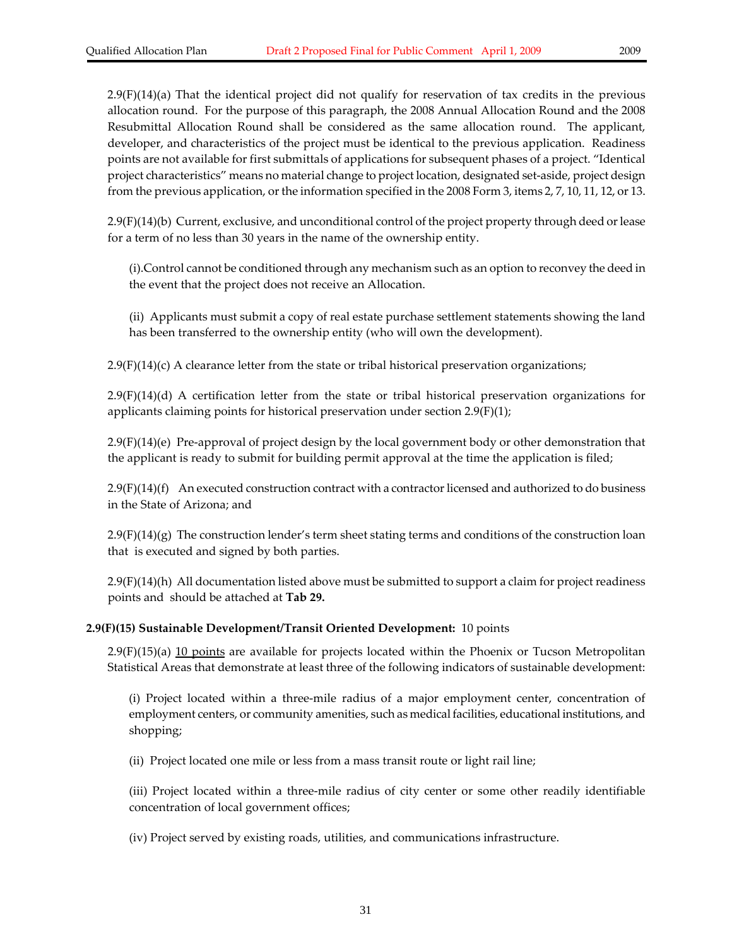2.9(F)(14)(a) That the identical project did not qualify for reservation of tax credits in the previous allocation round. For the purpose of this paragraph, the 2008 Annual Allocation Round and the 2008 Resubmittal Allocation Round shall be considered as the same allocation round. The applicant, developer, and characteristics of the project must be identical to the previous application. Readiness points are not available for first submittals of applications for subsequent phases of a project. "Identical project characteristics" means no material change to project location, designated set‐aside, project design from the previous application, orthe information specified in the 2008 Form 3, items 2, 7, 10, 11, 12, or 13.

2.9(F)(14)(b) Current, exclusive, and unconditional control of the project property through deed orlease for a term of no less than 30 years in the name of the ownership entity.

(i).Control cannot be conditioned through any mechanism such as an option to reconvey the deed in the event that the project does not receive an Allocation.

(ii) Applicants must submit a copy of real estate purchase settlement statements showing the land has been transferred to the ownership entity (who will own the development).

 $2.9(F)(14)(c)$  A clearance letter from the state or tribal historical preservation organizations;

2.9(F)(14)(d) A certification letter from the state or tribal historical preservation organizations for applicants claiming points for historical preservation under section 2.9(F)(1);

2.9(F)(14)(e) Pre‐approval of project design by the local government body or other demonstration that the applicant is ready to submit for building permit approval at the time the application is filed;

 $2.9(F)(14)(f)$  An executed construction contract with a contractor licensed and authorized to do business in the State of Arizona; and

 $2.9(F)(14)(g)$  The construction lender's term sheet stating terms and conditions of the construction loan that is executed and signed by both parties.

2.9(F)(14)(h) All documentation listed above must be submitted to support a claim for project readiness points and should be attached at **Tab 29.**

#### **2.9(F)(15) Sustainable Development/Transit Oriented Development:** 10 points

 $2.9(F)(15)(a)$  10 points are available for projects located within the Phoenix or Tucson Metropolitan Statistical Areas that demonstrate at least three of the following indicators of sustainable development:

(i) Project located within a three‐mile radius of a major employment center, concentration of employment centers, or community amenities, such as medical facilities, educational institutions, and shopping;

(ii) Project located one mile or less from a mass transit route or light rail line;

(iii) Project located within a three‐mile radius of city center or some other readily identifiable concentration of local government offices;

(iv) Project served by existing roads, utilities, and communications infrastructure.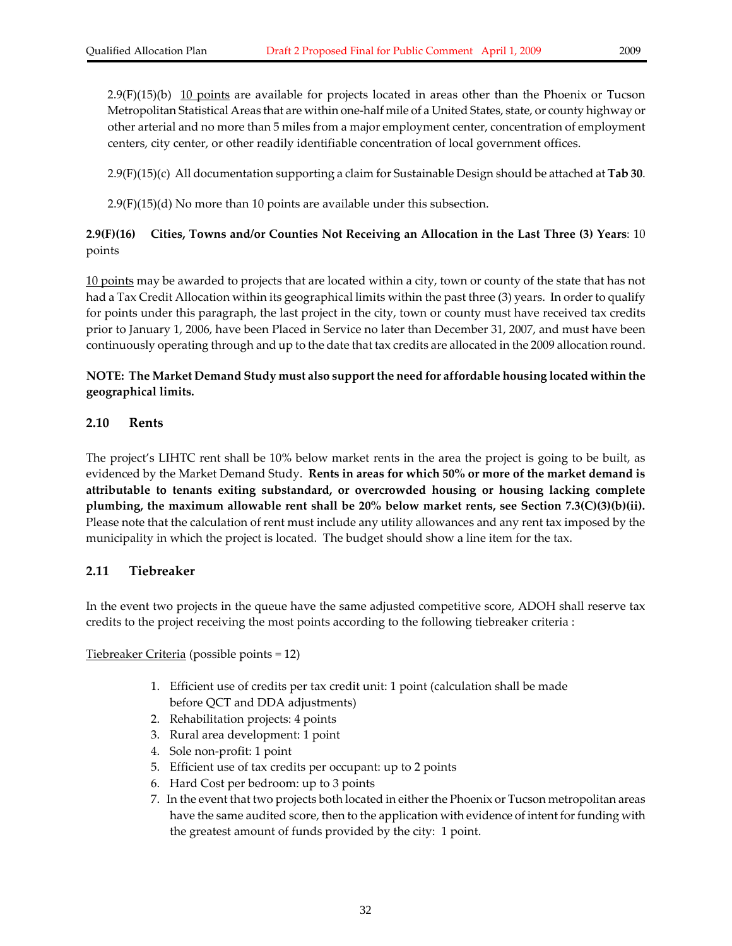$2.9(F)(15)(b)$  10 points are available for projects located in areas other than the Phoenix or Tucson Metropolitan Statistical Areas that are within one‐half mile of a United States, state, or county highway or other arterial and no more than 5 miles from a major employment center, concentration of employment centers, city center, or other readily identifiable concentration of local government offices.

2.9(F)(15)(c) All documentation supporting a claim for Sustainable Design should be attached at **Tab 30**.

 $2.9(F)(15)(d)$  No more than 10 points are available under this subsection.

#### **2.9(F)(16) Cities, Towns and/or Counties Not Receiving an Allocation in the Last Three (3) Years**: 10 points

10 points may be awarded to projects that are located within a city, town or county of the state that has not had a Tax Credit Allocation within its geographical limits within the past three (3) years. In order to qualify for points under this paragraph, the last project in the city, town or county must have received tax credits prior to January 1, 2006, have been Placed in Service no later than December 31, 2007, and must have been continuously operating through and up to the date that tax credits are allocated in the 2009 allocation round.

#### **NOTE: The Market Demand Study must also support the need for affordable housing located within the geographical limits.**

#### **2.10 Rents**

The project's LIHTC rent shall be 10% below market rents in the area the project is going to be built, as evidenced by the Market Demand Study. **Rents in areas for which 50% or more of the market demand is attributable to tenants exiting substandard, or overcrowded housing or housing lacking complete plumbing, the maximum allowable rent shall be 20% below market rents, see Section 7.3(C)(3)(b)(ii).** Please note that the calculation of rent must include any utility allowances and any rent tax imposed by the municipality in which the project is located. The budget should show a line item for the tax.

#### **2.11 Tiebreaker**

In the event two projects in the queue have the same adjusted competitive score, ADOH shall reserve tax credits to the project receiving the most points according to the following tiebreaker criteria :

Tiebreaker Criteria (possible points = 12)

- 1. Efficient use of credits per tax credit unit: 1 point (calculation shall be made before QCT and DDA adjustments)
- 2. Rehabilitation projects: 4 points
- 3. Rural area development: 1 point
- 4. Sole non‐profit: 1 point
- 5. Efficient use of tax credits per occupant: up to 2 points
- 6. Hard Cost per bedroom: up to 3 points
- 7. In the event that two projects both located in either the Phoenix or Tucson metropolitan areas have the same audited score, then to the application with evidence of intent for funding with the greatest amount of funds provided by the city: 1 point.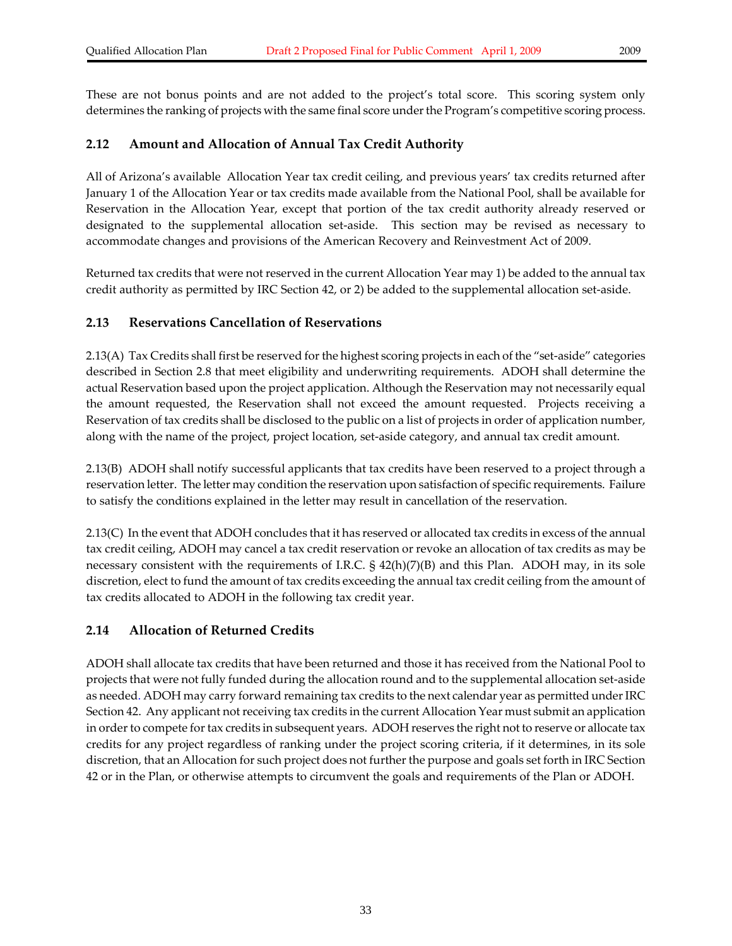These are not bonus points and are not added to the project's total score. This scoring system only determines the ranking of projects with the same final score under the Program's competitive scoring process.

#### **2.12 Amount and Allocation of Annual Tax Credit Authority**

All of Arizona's available Allocation Year tax credit ceiling, and previous years' tax credits returned after January 1 of the Allocation Year or tax credits made available from the National Pool, shall be available for Reservation in the Allocation Year, except that portion of the tax credit authority already reserved or designated to the supplemental allocation set‐aside. This section may be revised as necessary to accommodate changes and provisions of the American Recovery and Reinvestment Act of 2009.

Returned tax credits that were not reserved in the current Allocation Year may 1) be added to the annual tax credit authority as permitted by IRC Section 42, or 2) be added to the supplemental allocation set‐aside.

#### **2.13 Reservations Cancellation of Reservations**

2.13(A) Tax Credits shall first be reserved for the highest scoring projects in each of the "set-aside" categories described in Section 2.8 that meet eligibility and underwriting requirements. ADOH shall determine the actual Reservation based upon the project application. Although the Reservation may not necessarily equal the amount requested, the Reservation shall not exceed the amount requested. Projects receiving a Reservation of tax credits shall be disclosed to the public on a list of projects in order of application number, along with the name of the project, project location, set-aside category, and annual tax credit amount.

2.13(B) ADOH shall notify successful applicants that tax credits have been reserved to a project through a reservation letter. The letter may condition the reservation upon satisfaction of specific requirements. Failure to satisfy the conditions explained in the letter may result in cancellation of the reservation.

2.13(C) In the event that ADOH concludes that it has reserved or allocated tax credits in excess of the annual tax credit ceiling, ADOH may cancel a tax credit reservation or revoke an allocation of tax credits as may be necessary consistent with the requirements of I.R.C.  $\S$  42(h)(7)(B) and this Plan. ADOH may, in its sole discretion, elect to fund the amount of tax credits exceeding the annual tax credit ceiling from the amount of tax credits allocated to ADOH in the following tax credit year.

#### **2.14 Allocation of Returned Credits**

ADOH shall allocate tax credits that have been returned and those it has received from the National Pool to projects that were not fully funded during the allocation round and to the supplemental allocation set‐aside as needed. ADOH may carry forward remaining tax credits to the next calendar year as permitted under IRC Section 42. Any applicant not receiving tax credits in the current Allocation Year must submit an application in order to compete for tax credits in subsequent years. ADOH reserves the right not to reserve or allocate tax credits for any project regardless of ranking under the project scoring criteria, if it determines, in its sole discretion, that an Allocation for such project does not further the purpose and goals set forth in IRC Section 42 or in the Plan, or otherwise attempts to circumvent the goals and requirements of the Plan or ADOH.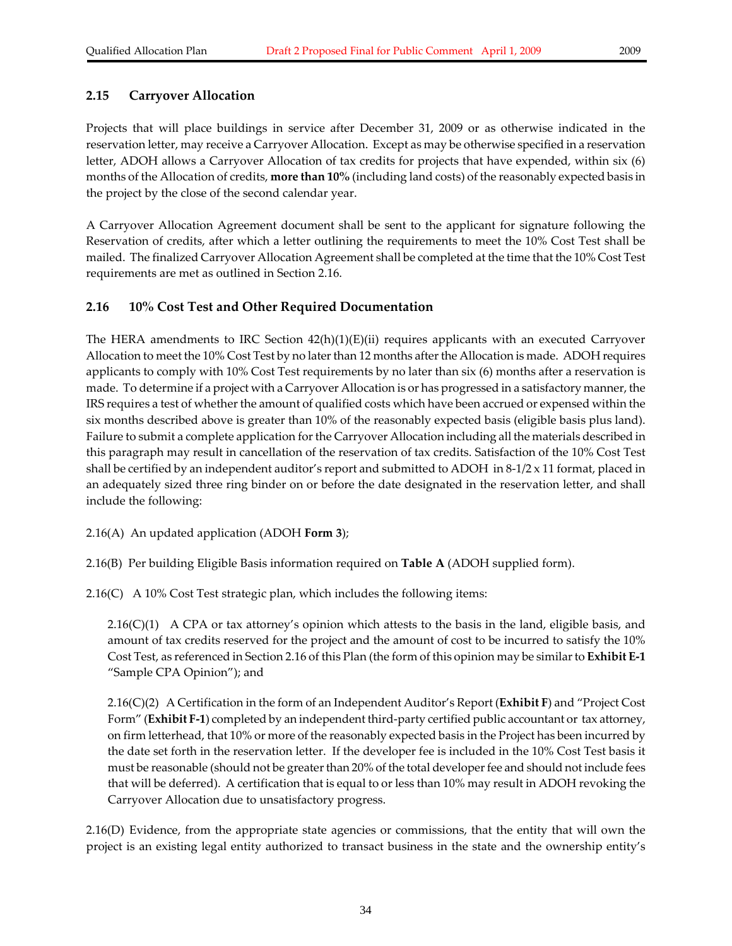### **2.15 Carryover Allocation**

Projects that will place buildings in service after December 31, 2009 or as otherwise indicated in the reservation letter, may receive a Carryover Allocation. Except as may be otherwise specified in a reservation letter, ADOH allows a Carryover Allocation of tax credits for projects that have expended, within six (6) months of the Allocation of credits, **more than 10%** (including land costs) of the reasonably expected basis in the project by the close of the second calendar year.

A Carryover Allocation Agreement document shall be sent to the applicant for signature following the Reservation of credits, after which a letter outlining the requirements to meet the 10% Cost Test shall be mailed. The finalized Carryover Allocation Agreement shall be completed at the time that the 10% Cost Test requirements are met as outlined in Section 2.16.

### **2.16 10% Cost Test and Other Required Documentation**

The HERA amendments to IRC Section  $42(h)(1)(E)(ii)$  requires applicants with an executed Carryover Allocation to meet the 10% Cost Test by no later than 12 months after the Allocation is made. ADOH requires applicants to comply with 10% Cost Test requirements by no later than six (6) months after a reservation is made. To determine if a project with a Carryover Allocation is or has progressed in a satisfactory manner, the IRS requires a test of whether the amount of qualified costs which have been accrued or expensed within the six months described above is greater than 10% of the reasonably expected basis (eligible basis plus land). Failure to submit a complete application forthe Carryover Allocation including all the materials described in this paragraph may result in cancellation of the reservation of tax credits. Satisfaction of the 10% Cost Test shall be certified by an independent auditor's report and submitted to ADOH in  $8-1/2 \times 11$  format, placed in an adequately sized three ring binder on or before the date designated in the reservation letter, and shall include the following:

2.16(A) An updated application (ADOH **Form 3**);

2.16(B) Per building Eligible Basis information required on **Table A** (ADOH supplied form).

2.16(C) A 10% Cost Test strategic plan, which includes the following items:

 $2.16(C)(1)$  A CPA or tax attorney's opinion which attests to the basis in the land, eligible basis, and amount of tax credits reserved for the project and the amount of cost to be incurred to satisfy the 10% Cost Test, as referenced in Section 2.16 of this Plan (the form of this opinion may be similarto **Exhibit E‐1** "Sample CPA Opinion"); and

2.16(C)(2) A Certification in the form of an Independent Auditor's Report (**Exhibit F**) and "Project Cost Form" (**Exhibit F‐1**) completed by an independent third‐party certified public accountant or tax attorney, on firm letterhead, that 10% or more of the reasonably expected basis in the Project has been incurred by the date set forth in the reservation letter. If the developer fee is included in the 10% Cost Test basis it must be reasonable (should not be greater than 20% of the total developer fee and should not include fees that will be deferred). A certification that is equal to or less than 10% may result in ADOH revoking the Carryover Allocation due to unsatisfactory progress.

2.16(D) Evidence, from the appropriate state agencies or commissions, that the entity that will own the project is an existing legal entity authorized to transact business in the state and the ownership entity's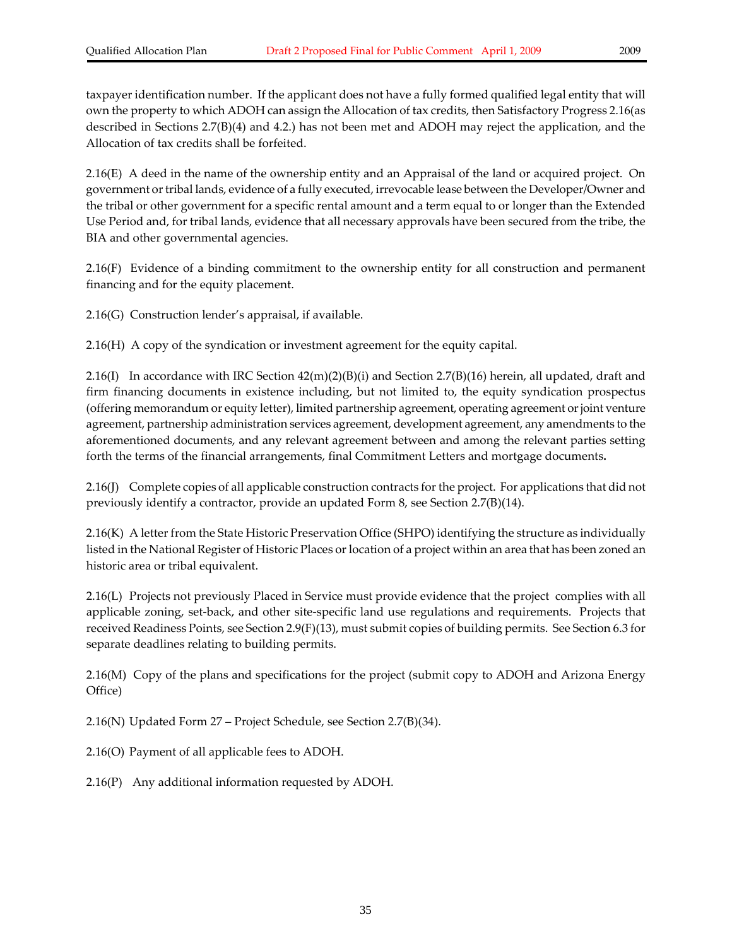taxpayer identification number. If the applicant does not have a fully formed qualified legal entity that will own the property to which ADOH can assign the Allocation of tax credits, then Satisfactory Progress 2.16(as described in Sections 2.7(B)(4) and 4.2.) has not been met and ADOH may reject the application, and the Allocation of tax credits shall be forfeited.

2.16(E) A deed in the name of the ownership entity and an Appraisal of the land or acquired project. On government or tribal lands, evidence of a fully executed, irrevocable lease between the Developer/Owner and the tribal or other government for a specific rental amount and a term equal to or longer than the Extended Use Period and, for tribal lands, evidence that all necessary approvals have been secured from the tribe, the BIA and other governmental agencies.

2.16(F) Evidence of a binding commitment to the ownership entity for all construction and permanent financing and for the equity placement.

2.16(G) Construction lender's appraisal, if available.

2.16(H) A copy of the syndication or investment agreement for the equity capital.

2.16(I) In accordance with IRC Section  $42(m)(2)(B)(i)$  and Section 2.7(B)(16) herein, all updated, draft and firm financing documents in existence including, but not limited to, the equity syndication prospectus (offering memorandum or equity letter), limited partnership agreement, operating agreement orjoint venture agreement, partnership administration services agreement, development agreement, any amendments to the aforementioned documents, and any relevant agreement between and among the relevant parties setting forth the terms of the financial arrangements, final Commitment Letters and mortgage documents**.**

2.16(J) Complete copies of all applicable construction contracts forthe project. For applications that did not previously identify a contractor, provide an updated Form 8, see Section 2.7(B)(14).

2.16(K) A letter from the State Historic Preservation Office (SHPO) identifying the structure as individually listed in the National Register of Historic Places or location of a project within an area that has been zoned an historic area or tribal equivalent.

2.16(L) Projects not previously Placed in Service must provide evidence that the project complies with all applicable zoning, set‐back, and other site‐specific land use regulations and requirements. Projects that received Readiness Points, see Section 2.9(F)(13), must submit copies of building permits. See Section 6.3 for separate deadlines relating to building permits.

2.16(M) Copy of the plans and specifications for the project (submit copy to ADOH and Arizona Energy Office)

2.16(N) Updated Form 27 – Project Schedule, see Section 2.7(B)(34).

2.16(O) Payment of all applicable fees to ADOH.

2.16(P) Any additional information requested by ADOH.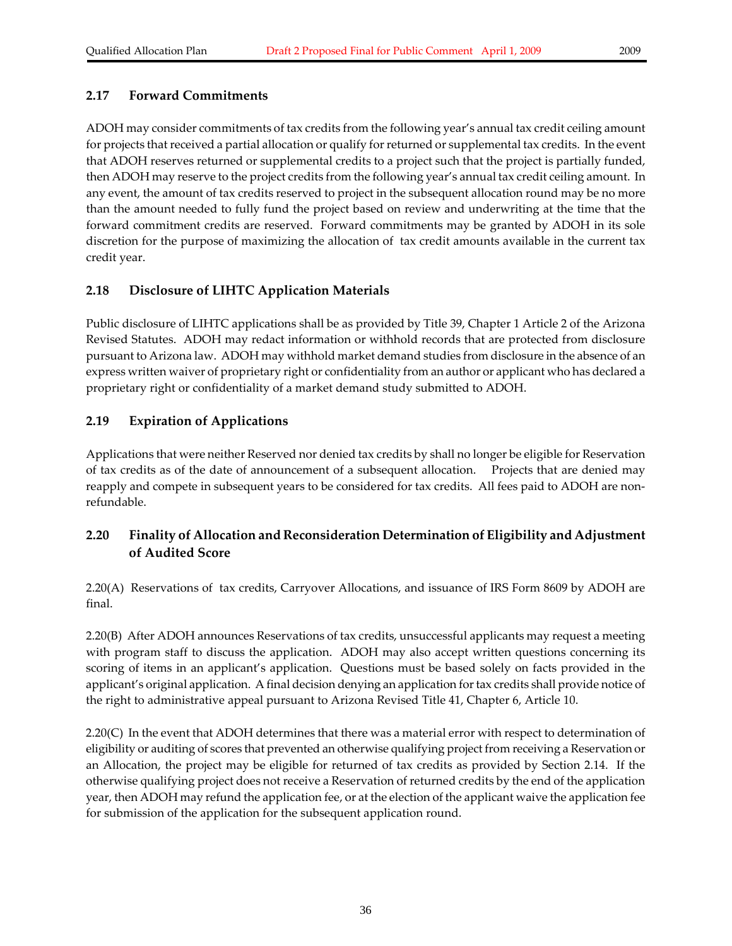### **2.17 Forward Commitments**

ADOH may consider commitments of tax credits from the following year's annual tax credit ceiling amount for projects that received a partial allocation or qualify for returned or supplemental tax credits. In the event that ADOH reserves returned or supplemental credits to a project such that the project is partially funded, then ADOH may reserve to the project credits from the following year's annual tax credit ceiling amount. In any event, the amount of tax credits reserved to project in the subsequent allocation round may be no more than the amount needed to fully fund the project based on review and underwriting at the time that the forward commitment credits are reserved. Forward commitments may be granted by ADOH in its sole discretion for the purpose of maximizing the allocation of tax credit amounts available in the current tax credit year.

# **2.18 Disclosure of LIHTC Application Materials**

Public disclosure of LIHTC applications shall be as provided by Title 39, Chapter 1 Article 2 of the Arizona Revised Statutes. ADOH may redact information or withhold records that are protected from disclosure pursuant to Arizona law. ADOH may withhold market demand studies from disclosure in the absence of an express written waiver of proprietary right or confidentiality from an author or applicant who has declared a proprietary right or confidentiality of a market demand study submitted to ADOH.

# **2.19 Expiration of Applications**

Applications that were neither Reserved nor denied tax credits by shall no longer be eligible for Reservation of tax credits as of the date of announcement of a subsequent allocation. Projects that are denied may reapply and compete in subsequent years to be considered for tax credits. All fees paid to ADOH are nonrefundable.

# **2.20 Finality of Allocation and Reconsideration Determination of Eligibility and Adjustment of Audited Score**

2.20(A) Reservations of tax credits, Carryover Allocations, and issuance of IRS Form 8609 by ADOH are final.

2.20(B) After ADOH announces Reservations of tax credits, unsuccessful applicants may request a meeting with program staff to discuss the application. ADOH may also accept written questions concerning its scoring of items in an applicant's application. Questions must be based solely on facts provided in the applicant's original application. A final decision denying an application fortax credits shall provide notice of the right to administrative appeal pursuant to Arizona Revised Title 41, Chapter 6, Article 10.

2.20(C) In the event that ADOH determines that there was a material error with respect to determination of eligibility or auditing of scores that prevented an otherwise qualifying project from receiving a Reservation or an Allocation, the project may be eligible for returned of tax credits as provided by Section 2.14. If the otherwise qualifying project does not receive a Reservation of returned credits by the end of the application year, then ADOH may refund the application fee, or at the election of the applicant waive the application fee for submission of the application for the subsequent application round.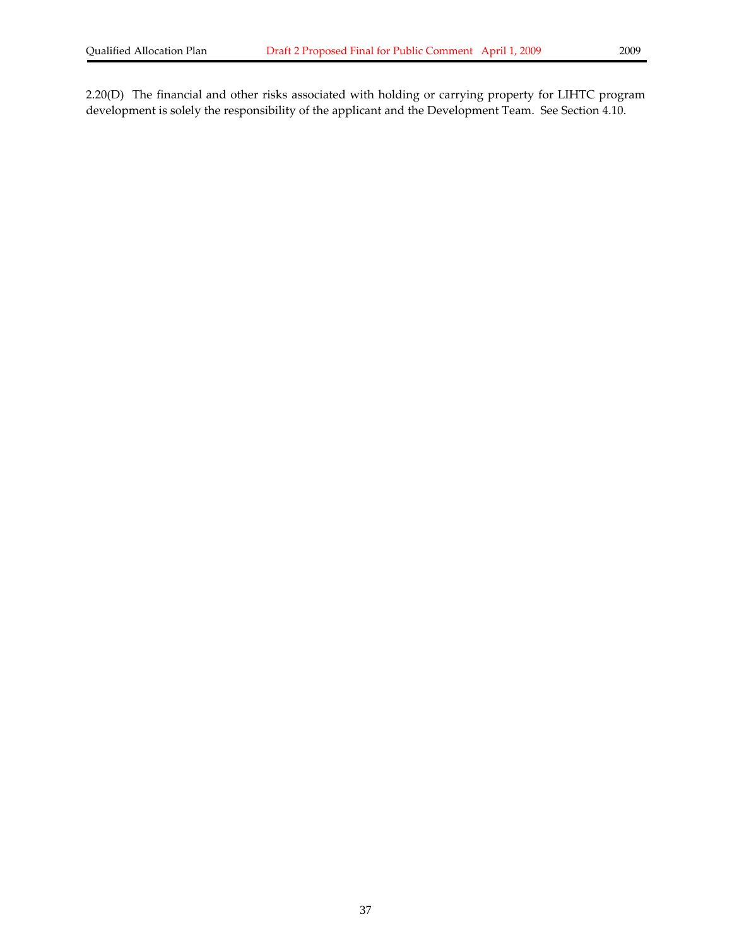2.20(D) The financial and other risks associated with holding or carrying property for LIHTC program development is solely the responsibility of the applicant and the Development Team. See Section 4.10.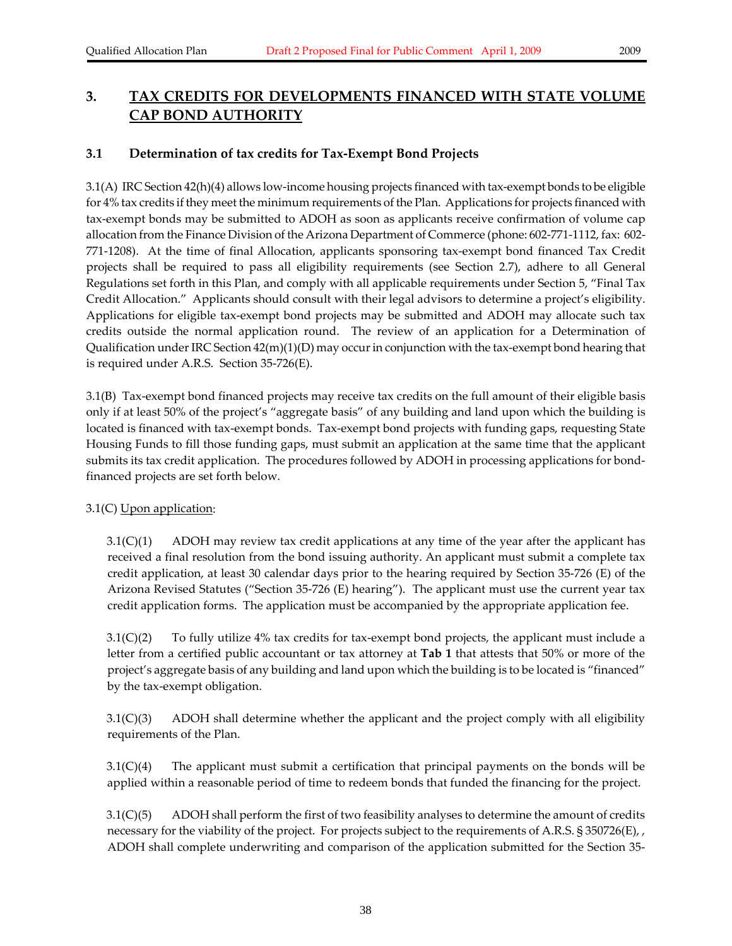# **3. TAX CREDITS FOR DEVELOPMENTS FINANCED WITH STATE VOLUME CAP BOND AUTHORITY**

# **3.1 Determination of tax credits for Tax‐Exempt Bond Projects**

3.1(A) IRC Section 42(h)(4) allows low‐income housing projects financed with tax‐exempt bonds to be eligible for 4% tax credits if they meet the minimum requirements of the Plan. Applications for projects financed with tax‐exempt bonds may be submitted to ADOH as soon as applicants receive confirmation of volume cap allocation from the Finance Division of the Arizona Department of Commerce (phone: 602‐771‐1112, fax: 602‐ 771‐1208). At the time of final Allocation, applicants sponsoring tax‐exempt bond financed Tax Credit projects shall be required to pass all eligibility requirements (see Section 2.7), adhere to all General Regulations set forth in this Plan, and comply with all applicable requirements under Section 5, "Final Tax Credit Allocation." Applicants should consult with their legal advisors to determine a project's eligibility. Applications for eligible tax‐exempt bond projects may be submitted and ADOH may allocate such tax credits outside the normal application round. The review of an application for a Determination of Qualification under IRC Section  $42(m)(1)(D)$  may occur in conjunction with the tax-exempt bond hearing that is required under A.R.S. Section 35‐726(E).

3.1(B) Tax‐exempt bond financed projects may receive tax credits on the full amount of their eligible basis only if at least 50% of the project's "aggregate basis" of any building and land upon which the building is located is financed with tax‐exempt bonds. Tax‐exempt bond projects with funding gaps, requesting State Housing Funds to fill those funding gaps, must submit an application at the same time that the applicant submits its tax credit application. The procedures followed by ADOH in processing applications for bondfinanced projects are set forth below.

### 3.1(C) Upon application:

3.1(C)(1) ADOH may review tax credit applications at any time of the year after the applicant has received a final resolution from the bond issuing authority. An applicant must submit a complete tax credit application, at least 30 calendar days prior to the hearing required by Section 35‐726 (E) of the Arizona Revised Statutes ("Section 35‐726 (E) hearing"). The applicant must use the current year tax credit application forms. The application must be accompanied by the appropriate application fee.

 $3.1(C)(2)$  To fully utilize 4% tax credits for tax-exempt bond projects, the applicant must include a letter from a certified public accountant or tax attorney at **Tab 1** that attests that 50% or more of the project's aggregate basis of any building and land upon which the building is to be located is "financed" by the tax‐exempt obligation.

3.1(C)(3) ADOH shall determine whether the applicant and the project comply with all eligibility requirements of the Plan.

3.1(C)(4) The applicant must submit a certification that principal payments on the bonds will be applied within a reasonable period of time to redeem bonds that funded the financing for the project.

3.1(C)(5) ADOH shall perform the first of two feasibility analyses to determine the amount of credits necessary for the viability of the project. For projects subject to the requirements of A.R.S. § 350726(E), , ADOH shall complete underwriting and comparison of the application submitted for the Section 35‐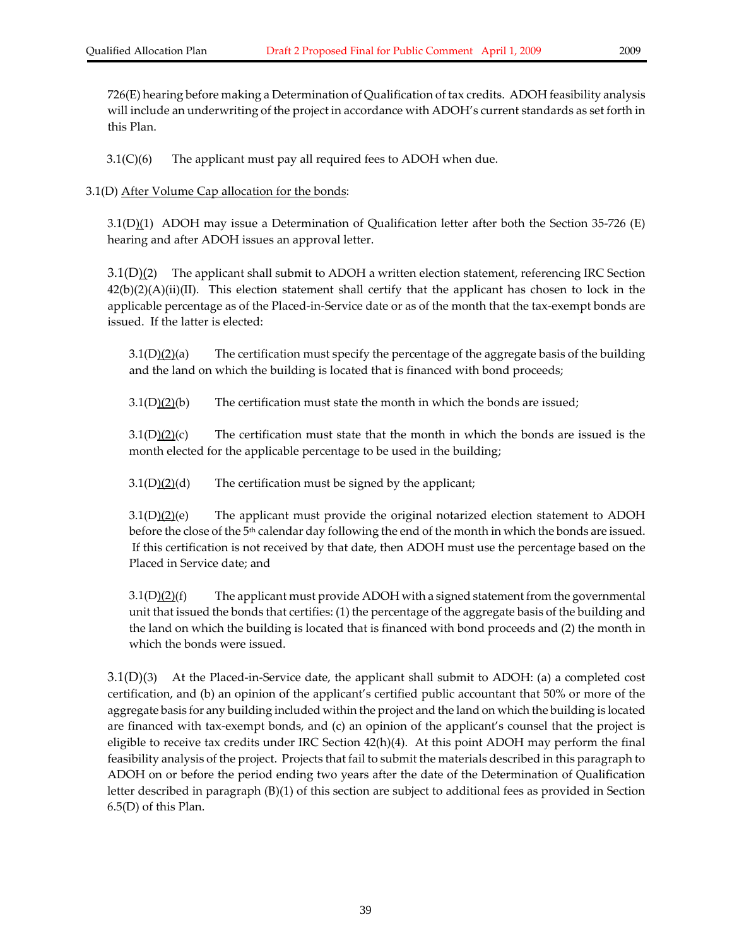726(E) hearing before making a Determination of Qualification of tax credits. ADOH feasibility analysis will include an underwriting of the project in accordance with ADOH's current standards as set forth in this Plan.

3.1(C)(6) The applicant must pay all required fees to ADOH when due.

3.1(D) After Volume Cap allocation for the bonds:

3.1(D)(1) ADOH may issue a Determination of Qualification letter after both the Section 35-726 (E) hearing and after ADOH issues an approval letter.

3.1(D)(2) The applicant shall submit to ADOH a written election statement, referencing IRC Section  $42(b)(2)(A)(ii)(II)$ . This election statement shall certify that the applicant has chosen to lock in the applicable percentage as of the Placed‐in‐Service date or as of the month that the tax‐exempt bonds are issued. If the latter is elected:

 $3.1(D)(2)(a)$  The certification must specify the percentage of the aggregate basis of the building and the land on which the building is located that is financed with bond proceeds;

 $3.1(D)(2)(b)$  The certification must state the month in which the bonds are issued;

 $3.1(D)(2)(c)$  The certification must state that the month in which the bonds are issued is the month elected for the applicable percentage to be used in the building;

 $3.1(D)$ (2)(d) The certification must be signed by the applicant;

 $3.1(D)(2)(e)$  The applicant must provide the original notarized election statement to ADOH before the close of the 5<sup>th</sup> calendar day following the end of the month in which the bonds are issued. If this certification is not received by that date, then ADOH must use the percentage based on the Placed in Service date; and

 $3.1(D)(2)(f)$  The applicant must provide ADOH with a signed statement from the governmental unit that issued the bonds that certifies: (1) the percentage of the aggregate basis of the building and the land on which the building is located that is financed with bond proceeds and (2) the month in which the bonds were issued.

 $3.1(D)(3)$  At the Placed-in-Service date, the applicant shall submit to ADOH: (a) a completed cost certification, and (b) an opinion of the applicant's certified public accountant that 50% or more of the aggregate basis for any building included within the project and the land on which the building is located are financed with tax‐exempt bonds, and (c) an opinion of the applicant's counsel that the project is eligible to receive tax credits under IRC Section 42(h)(4). At this point ADOH may perform the final feasibility analysis of the project. Projects that fail to submit the materials described in this paragraph to ADOH on or before the period ending two years after the date of the Determination of Qualification letter described in paragraph (B)(1) of this section are subject to additional fees as provided in Section 6.5(D) of this Plan.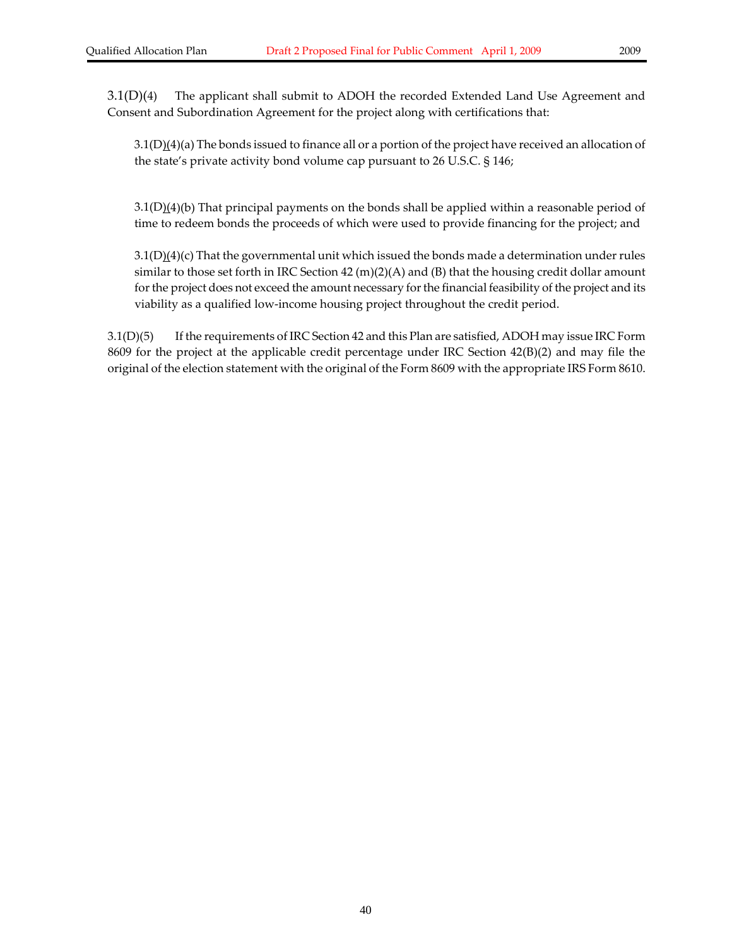3.1(D)(4)(a) The bonds issued to finance all or a portion of the project have received an allocation of the state's private activity bond volume cap pursuant to 26 U.S.C. § 146;

 $3.1(D)(4)(b)$  That principal payments on the bonds shall be applied within a reasonable period of time to redeem bonds the proceeds of which were used to provide financing for the project; and

 $3.1(D)(4)(c)$  That the governmental unit which issued the bonds made a determination under rules similar to those set forth in IRC Section 42 (m)(2)(A) and (B) that the housing credit dollar amount for the project does not exceed the amount necessary for the financial feasibility of the project and its viability as a qualified low‐income housing project throughout the credit period.

3.1(D)(5) If the requirements of IRC Section 42 and this Plan are satisfied, ADOH may issue IRC Form 8609 for the project at the applicable credit percentage under IRC Section 42(B)(2) and may file the original of the election statement with the original of the Form 8609 with the appropriate IRS Form 8610.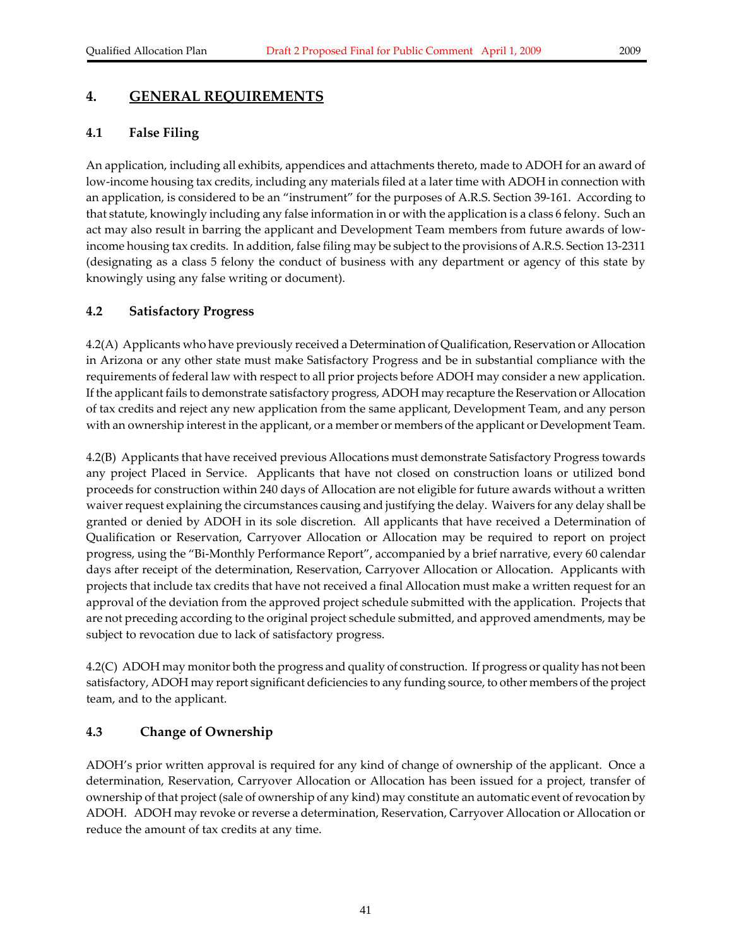# **4. GENERAL REQUIREMENTS**

#### **4.1 False Filing**

An application, including all exhibits, appendices and attachments thereto, made to ADOH for an award of low-income housing tax credits, including any materials filed at a later time with ADOH in connection with an application, is considered to be an "instrument" for the purposes of A.R.S. Section 39‐161. According to that statute, knowingly including any false information in or with the application is a class 6 felony. Such an act may also result in barring the applicant and Development Team members from future awards of low‐ income housing tax credits. In addition, false filing may be subject to the provisions of A.R.S. Section 13‐2311 (designating as a class 5 felony the conduct of business with any department or agency of this state by knowingly using any false writing or document).

#### **4.2 Satisfactory Progress**

4.2(A) Applicants who have previously received a Determination of Qualification, Reservation or Allocation in Arizona or any other state must make Satisfactory Progress and be in substantial compliance with the requirements of federal law with respect to all prior projects before ADOH may consider a new application. If the applicant fails to demonstrate satisfactory progress, ADOH may recapture theReservation or Allocation of tax credits and reject any new application from the same applicant, Development Team, and any person with an ownership interest in the applicant, or a member or members of the applicant or Development Team.

4.2(B) Applicants that have received previous Allocations must demonstrate Satisfactory Progress towards any project Placed in Service. Applicants that have not closed on construction loans or utilized bond proceeds for construction within 240 days of Allocation are not eligible for future awards without a written waiver request explaining the circumstances causing and justifying the delay. Waivers for any delay shall be granted or denied by ADOH in its sole discretion. All applicants that have received a Determination of Qualification or Reservation, Carryover Allocation or Allocation may be required to report on project progress, using the "Bi‐Monthly Performance Report", accompanied by a brief narrative, every 60 calendar days after receipt of the determination, Reservation, Carryover Allocation or Allocation. Applicants with projects that include tax credits that have not received a final Allocation must make a written request for an approval of the deviation from the approved project schedule submitted with the application. Projects that are not preceding according to the original project schedule submitted, and approved amendments, may be subject to revocation due to lack of satisfactory progress.

4.2(C) ADOH may monitor both the progress and quality of construction. If progress or quality has not been satisfactory, ADOH may report significant deficiencies to any funding source, to other members of the project team, and to the applicant.

#### **4.3 Change of Ownership**

ADOH's prior written approval is required for any kind of change of ownership of the applicant. Once a determination, Reservation, Carryover Allocation or Allocation has been issued for a project, transfer of ownership of that project (sale of ownership of any kind) may constitute an automatic event ofrevocation by ADOH. ADOH may revoke or reverse a determination, Reservation, Carryover Allocation or Allocation or reduce the amount of tax credits at any time.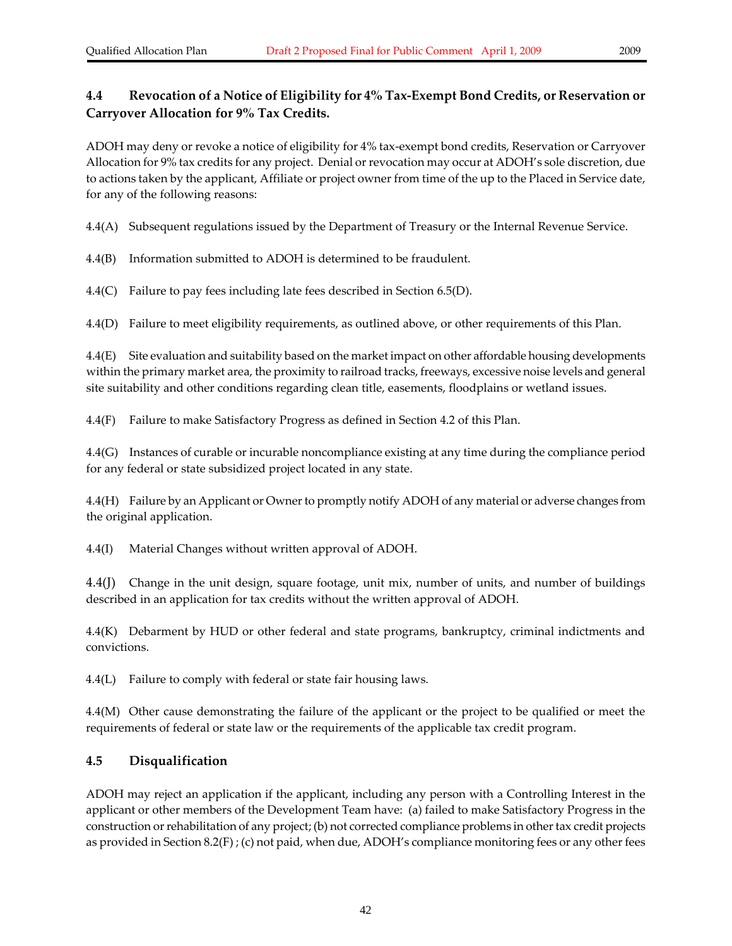# **4.4 Revocation of a Notice of Eligibility for 4% Tax‐Exempt Bond Credits, or Reservation or Carryover Allocation for 9% Tax Credits.**

ADOH may deny or revoke a notice of eligibility for 4% tax‐exempt bond credits, Reservation or Carryover Allocation for 9% tax credits for any project. Denial or revocation may occur at ADOH's sole discretion, due to actions taken by the applicant, Affiliate or project owner from time of the up to the Placed in Service date, for any of the following reasons:

4.4(A) Subsequent regulations issued by the Department of Treasury or the Internal Revenue Service.

4.4(B) Information submitted to ADOH is determined to be fraudulent.

4.4(C) Failure to pay fees including late fees described in Section 6.5(D).

4.4(D) Failure to meet eligibility requirements, as outlined above, or other requirements of this Plan.

4.4(E) Site evaluation and suitability based on the market impact on other affordable housing developments within the primary market area, the proximity to railroad tracks, freeways, excessive noise levels and general site suitability and other conditions regarding clean title, easements, floodplains or wetland issues.

4.4(F) Failure to make Satisfactory Progress as defined in Section 4.2 of this Plan.

4.4(G) Instances of curable or incurable noncompliance existing at any time during the compliance period for any federal or state subsidized project located in any state.

4.4(H) Failure by an Applicant or Ownerto promptly notify ADOH of any material or adverse changes from the original application.

4.4(I) Material Changes without written approval of ADOH.

4.4(J) Change in the unit design, square footage, unit mix, number of units, and number of buildings described in an application for tax credits without the written approval of ADOH.

4.4(K) Debarment by HUD or other federal and state programs, bankruptcy, criminal indictments and convictions.

4.4(L) Failure to comply with federal or state fair housing laws.

4.4(M) Other cause demonstrating the failure of the applicant or the project to be qualified or meet the requirements of federal or state law or the requirements of the applicable tax credit program.

# **4.5 Disqualification**

ADOH may reject an application if the applicant, including any person with a Controlling Interest in the applicant or other members of the Development Team have: (a) failed to make Satisfactory Progress in the construction orrehabilitation of any project; (b) not corrected compliance problems in othertax credit projects as provided in Section 8.2(F) ; (c) not paid, when due, ADOH's compliance monitoring fees or any other fees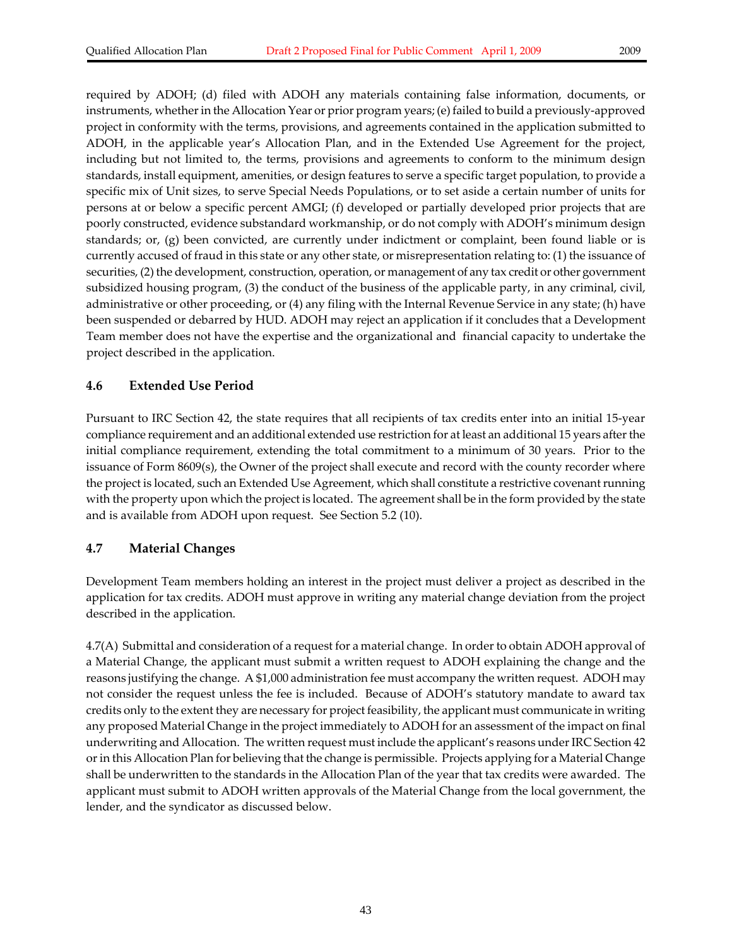required by ADOH; (d) filed with ADOH any materials containing false information, documents, or instruments, whether in the Allocation Year or prior program years; (e) failed to build a previously-approved project in conformity with the terms, provisions, and agreements contained in the application submitted to ADOH, in the applicable year's Allocation Plan, and in the Extended Use Agreement for the project, including but not limited to, the terms, provisions and agreements to conform to the minimum design standards, install equipment, amenities, or design features to serve a specific target population, to provide a specific mix of Unit sizes, to serve Special Needs Populations, or to set aside a certain number of units for persons at or below a specific percent AMGI; (f) developed or partially developed prior projects that are poorly constructed, evidence substandard workmanship, or do not comply with ADOH's minimum design standards; or, (g) been convicted, are currently under indictment or complaint, been found liable or is currently accused of fraud in this state or any other state, or misrepresentation relating to: (1) the issuance of securities, (2) the development, construction, operation, or management of any tax credit or other government subsidized housing program, (3) the conduct of the business of the applicable party, in any criminal, civil, administrative or other proceeding, or (4) any filing with the Internal Revenue Service in any state; (h) have been suspended or debarred by HUD. ADOH may reject an application if it concludes that a Development Team member does not have the expertise and the organizational and financial capacity to undertake the project described in the application.

### **4.6 Extended Use Period**

Pursuant to IRC Section 42, the state requires that all recipients of tax credits enter into an initial 15‐year compliance requirement and an additional extended use restriction for at least an additional 15 years afterthe initial compliance requirement, extending the total commitment to a minimum of 30 years. Prior to the issuance of Form 8609(s), the Owner of the project shall execute and record with the county recorder where the project is located, such an Extended Use Agreement, which shall constitute a restrictive covenantrunning with the property upon which the project is located. The agreement shall be in the form provided by the state and is available from ADOH upon request. See Section 5.2 (10).

# **4.7 Material Changes**

Development Team members holding an interest in the project must deliver a project as described in the application for tax credits. ADOH must approve in writing any material change deviation from the project described in the application.

4.7(A) Submittal and consideration of a request for a material change. In order to obtain ADOH approval of a Material Change, the applicant must submit a written request to ADOH explaining the change and the reasons justifying the change. A \$1,000 administration fee must accompany the written request. ADOH may not consider the request unless the fee is included. Because of ADOH's statutory mandate to award tax credits only to the extent they are necessary for project feasibility, the applicant must communicate in writing any proposed Material Change in the project immediately to ADOH for an assessment of the impact on final underwriting and Allocation. The written request must include the applicant's reasons under IRC Section 42 orin this Allocation Plan for believing that the change is permissible. Projects applying for a Material Change shall be underwritten to the standards in the Allocation Plan of the year that tax credits were awarded. The applicant must submit to ADOH written approvals of the Material Change from the local government, the lender, and the syndicator as discussed below.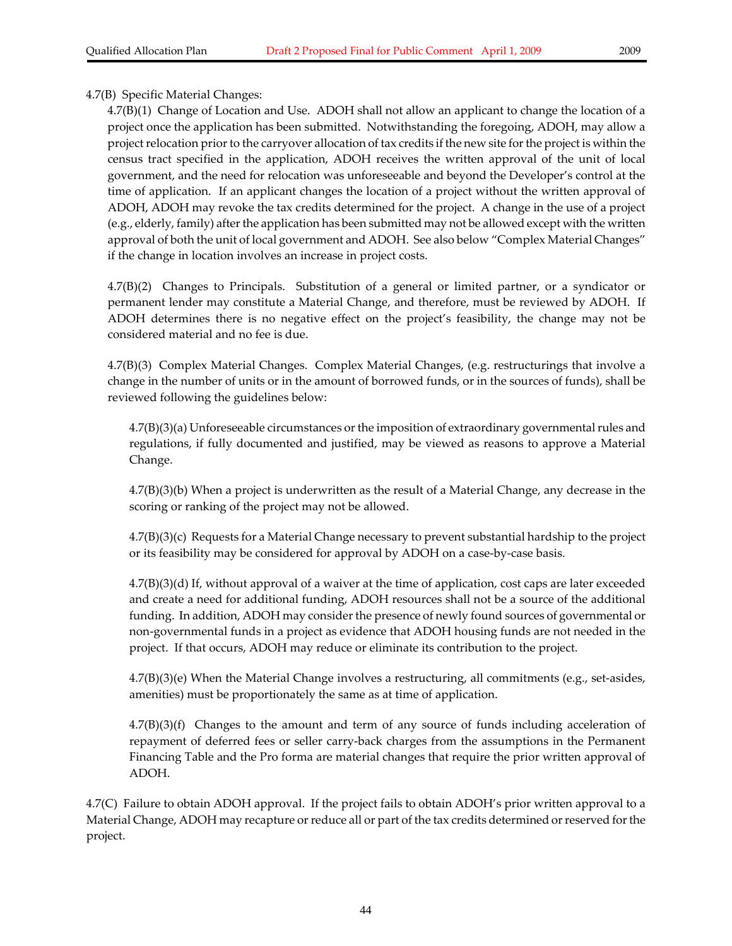### 4.7(B) Specific Material Changes:

4.7(B)(1) Change of Location and Use. ADOH shall not allow an applicant to change the location of a project once the application has been submitted. Notwithstanding the foregoing, ADOH, may allow a project relocation prior to the carryover allocation of tax credits if the new site for the project is within the census tract specified in the application, ADOH receives the written approval of the unit of local government, and the need for relocation was unforeseeable and beyond the Developer's control at the time of application. If an applicant changes the location of a project without the written approval of ADOH, ADOH may revoke the tax credits determined for the project. A change in the use of a project (e.g., elderly, family) afterthe application has been submitted may not be allowed except with the written approval of both the unit of local government and ADOH. See also below "Complex Material Changes" if the change in location involves an increase in project costs.

4.7(B)(2) Changes to Principals. Substitution of a general or limited partner, or a syndicator or permanent lender may constitute a Material Change, and therefore, must be reviewed by ADOH. If ADOH determines there is no negative effect on the project's feasibility, the change may not be considered material and no fee is due.

4.7(B)(3) Complex Material Changes. Complex Material Changes, (e.g. restructurings that involve a change in the number of units or in the amount of borrowed funds, or in the sources of funds), shall be reviewed following the guidelines below:

 $4.7(B)(3)(a)$  Unforeseeable circumstances or the imposition of extraordinary governmental rules and regulations, if fully documented and justified, may be viewed as reasons to approve a Material Change.

4.7(B)(3)(b) When a project is underwritten as the result of a Material Change, any decrease in the scoring or ranking of the project may not be allowed.

4.7(B)(3)(c) Requests for a Material Change necessary to prevent substantial hardship to the project or its feasibility may be considered for approval by ADOH on a case‐by‐case basis.

4.7(B)(3)(d) If, without approval of a waiver at the time of application, cost caps are later exceeded and create a need for additional funding, ADOH resources shall not be a source of the additional funding. In addition, ADOH may consider the presence of newly found sources of governmental or non‐governmental funds in a project as evidence that ADOH housing funds are not needed in the project. If that occurs, ADOH may reduce or eliminate its contribution to the project.

4.7(B)(3)(e) When the Material Change involves a restructuring, all commitments (e.g., set‐asides, amenities) must be proportionately the same as at time of application.

 $4.7(B)(3)(f)$  Changes to the amount and term of any source of funds including acceleration of repayment of deferred fees or seller carry‐back charges from the assumptions in the Permanent Financing Table and the Pro forma are material changes that require the prior written approval of ADOH.

4.7(C) Failure to obtain ADOH approval. If the project fails to obtain ADOH's prior written approval to a Material Change, ADOH may recapture or reduce all or part of the tax credits determined or reserved for the project.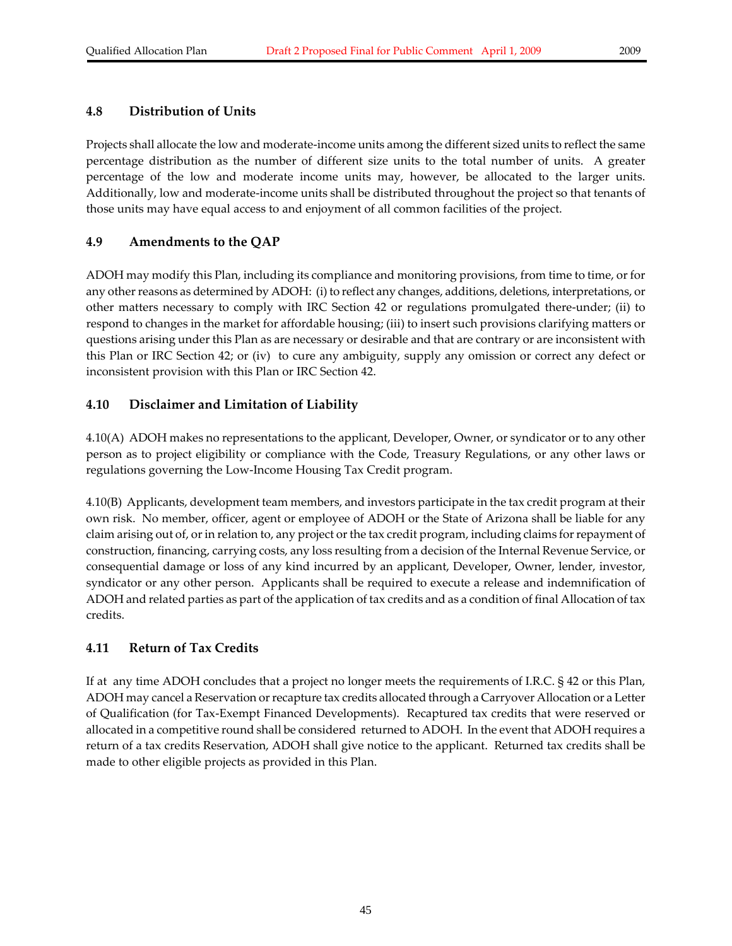### **4.8 Distribution of Units**

Projects shall allocate the low and moderate‐income units among the different sized units to reflect the same percentage distribution as the number of different size units to the total number of units. A greater percentage of the low and moderate income units may, however, be allocated to the larger units. Additionally, low and moderate‐income units shall be distributed throughout the project so that tenants of those units may have equal access to and enjoyment of all common facilities of the project.

### **4.9 Amendments to the QAP**

ADOH may modify this Plan, including its compliance and monitoring provisions, from time to time, or for any other reasons as determined by ADOH: (i) to reflect any changes, additions, deletions, interpretations, or other matters necessary to comply with IRC Section 42 or regulations promulgated there‐under; (ii) to respond to changes in the market for affordable housing; (iii) to insert such provisions clarifying matters or questions arising under this Plan as are necessary or desirable and that are contrary or are inconsistent with this Plan or IRC Section 42; or (iv) to cure any ambiguity, supply any omission or correct any defect or inconsistent provision with this Plan or IRC Section 42.

# **4.10 Disclaimer and Limitation of Liability**

4.10(A) ADOH makes no representations to the applicant, Developer, Owner, or syndicator or to any other person as to project eligibility or compliance with the Code, Treasury Regulations, or any other laws or regulations governing the Low‐Income Housing Tax Credit program.

4.10(B) Applicants, development team members, and investors participate in the tax credit program at their own risk. No member, officer, agent or employee of ADOH or the State of Arizona shall be liable for any claim arising out of, or in relation to, any project or the tax credit program, including claims for repayment of construction, financing, carrying costs, any loss resulting from a decision of the Internal Revenue Service, or consequential damage or loss of any kind incurred by an applicant, Developer, Owner, lender, investor, syndicator or any other person. Applicants shall be required to execute a release and indemnification of ADOH and related parties as part of the application of tax credits and as a condition of final Allocation of tax credits.

# **4.11 Return of Tax Credits**

If at any time ADOH concludes that a project no longer meets the requirements of I.R.C. § 42 or this Plan, ADOH may cancel a Reservation orrecapture tax credits allocated through a Carryover Allocation or a Letter of Qualification (for Tax‐Exempt Financed Developments). Recaptured tax credits that were reserved or allocated in a competitive round shall be considered returned to ADOH. In the event that ADOH requires a return of a tax credits Reservation, ADOH shall give notice to the applicant. Returned tax credits shall be made to other eligible projects as provided in this Plan.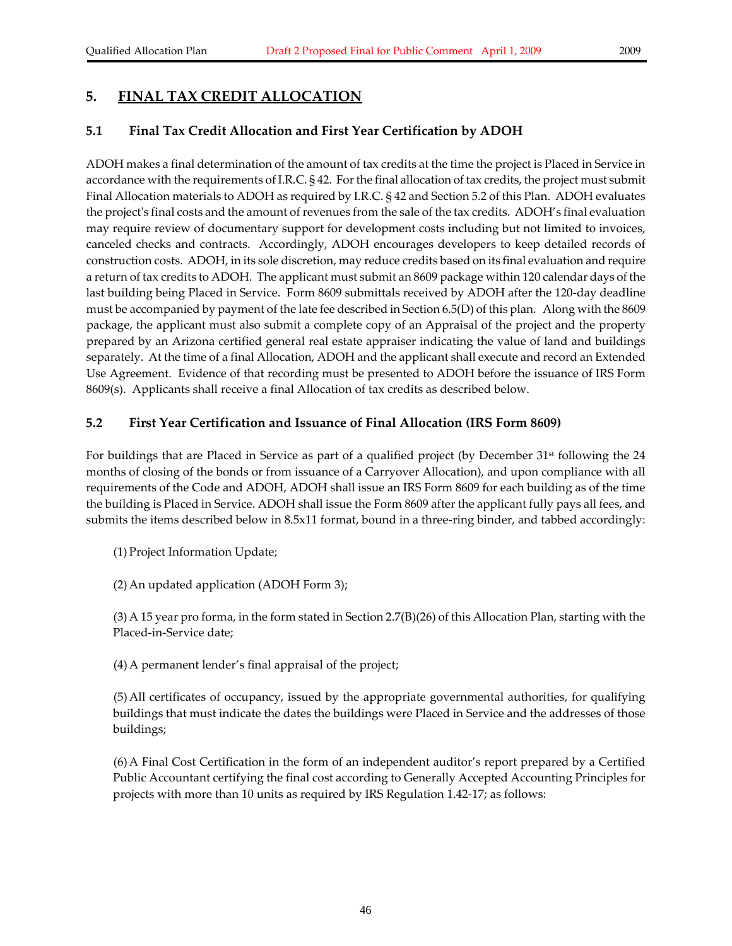# **5. FINAL TAX CREDIT ALLOCATION**

### **5.1 Final Tax Credit Allocation and First Year Certification by ADOH**

ADOH makes a final determination of the amount of tax credits at the time the project is Placed in Service in accordance with the requirements of I.R.C. § 42. For the final allocation of tax credits, the project must submit Final Allocation materials to ADOH as required by I.R.C. § 42 and Section 5.2 of this Plan. ADOH evaluates the projectʹs final costs and the amount ofrevenues from the sale of the tax credits. ADOH's final evaluation may require review of documentary support for development costs including but not limited to invoices, canceled checks and contracts. Accordingly, ADOH encourages developers to keep detailed records of construction costs. ADOH, in its sole discretion, may reduce credits based on its final evaluation and require a return of tax credits to ADOH. The applicant must submit an 8609 package within 120 calendar days of the last building being Placed in Service. Form 8609 submittals received by ADOH after the 120‐day deadline must be accompanied by payment of the late fee described in Section 6.5(D) of this plan. Along with the 8609 package, the applicant must also submit a complete copy of an Appraisal of the project and the property prepared by an Arizona certified general real estate appraiser indicating the value of land and buildings separately. At the time of a final Allocation, ADOH and the applicant shall execute and record an Extended Use Agreement. Evidence of that recording must be presented to ADOH before the issuance of IRS Form 8609(s). Applicants shall receive a final Allocation of tax credits as described below.

### **5.2 First Year Certification and Issuance of Final Allocation (IRS Form 8609)**

For buildings that are Placed in Service as part of a qualified project (by December 31<sup>st</sup> following the 24 months of closing of the bonds or from issuance of a Carryover Allocation), and upon compliance with all requirements of the Code and ADOH, ADOH shall issue an IRS Form 8609 for each building as of the time the building is Placed in Service. ADOH shall issue the Form 8609 after the applicant fully pays all fees, and submits the items described below in 8.5x11 format, bound in a three-ring binder, and tabbed accordingly:

(1) Project Information Update;

(2) An updated application (ADOH Form 3);

(3) A 15 year pro forma, in the form stated in Section 2.7(B)(26) of this Allocation Plan, starting with the Placed‐in‐Service date;

(4) A permanent lender's final appraisal of the project;

(5) All certificates of occupancy, issued by the appropriate governmental authorities, for qualifying buildings that must indicate the dates the buildings were Placed in Service and the addresses of those buildings;

(6) A Final Cost Certification in the form of an independent auditor's report prepared by a Certified Public Accountant certifying the final cost according to Generally Accepted Accounting Principles for projects with more than 10 units as required by IRS Regulation 1.42‐17; as follows: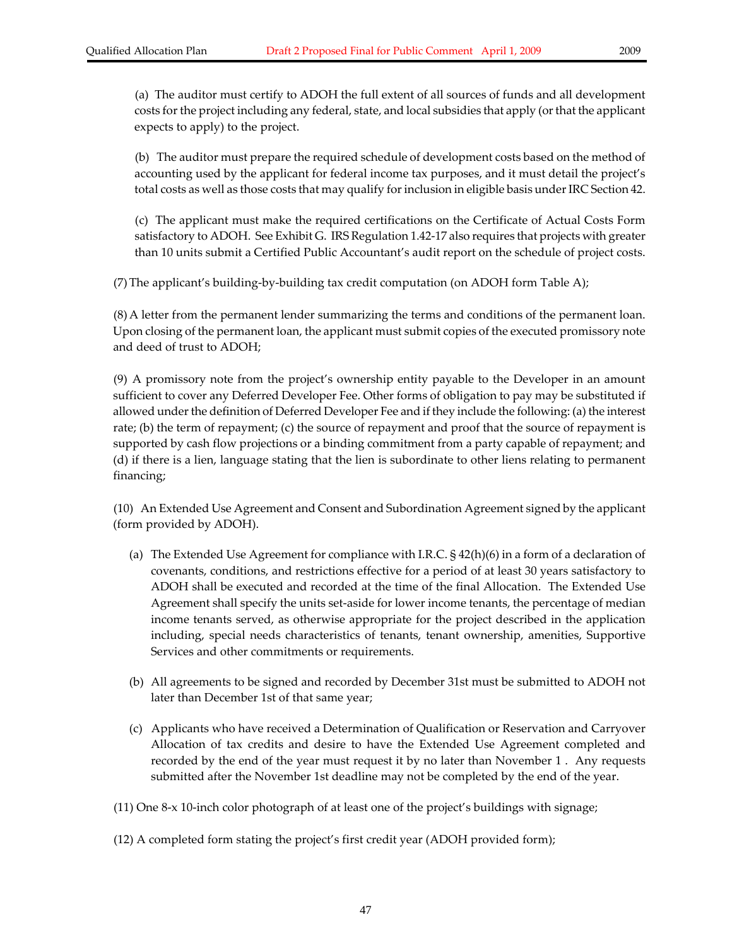(b) The auditor must prepare the required schedule of development costs based on the method of accounting used by the applicant for federal income tax purposes, and it must detail the project's total costs as well as those costs that may qualify for inclusion in eligible basis under IRC Section 42.

(c) The applicant must make the required certifications on the Certificate of Actual Costs Form satisfactory to ADOH. See Exhibit G. IRS Regulation 1.42-17 also requires that projects with greater than 10 units submit a Certified Public Accountant's audit report on the schedule of project costs.

(7) The applicant's building‐by‐building tax credit computation (on ADOH form Table A);

(8) A letter from the permanent lender summarizing the terms and conditions of the permanent loan. Upon closing of the permanent loan, the applicant must submit copies of the executed promissory note and deed of trust to ADOH;

(9) A promissory note from the project's ownership entity payable to the Developer in an amount sufficient to cover any Deferred Developer Fee. Other forms of obligation to pay may be substituted if allowed under the definition of Deferred Developer Fee and if they include the following: (a) the interest rate; (b) the term of repayment; (c) the source of repayment and proof that the source of repayment is supported by cash flow projections or a binding commitment from a party capable of repayment; and (d) if there is a lien, language stating that the lien is subordinate to other liens relating to permanent financing;

(10) An Extended Use Agreement and Consent and Subordination Agreement signed by the applicant (form provided by ADOH).

- (a) The Extended Use Agreement for compliance with I.R.C. § 42(h)(6) in a form of a declaration of covenants, conditions, and restrictions effective for a period of at least 30 years satisfactory to ADOH shall be executed and recorded at the time of the final Allocation. The Extended Use Agreement shall specify the units set‐aside for lower income tenants, the percentage of median income tenants served, as otherwise appropriate for the project described in the application including, special needs characteristics of tenants, tenant ownership, amenities, Supportive Services and other commitments or requirements.
- (b) All agreements to be signed and recorded by December 31st must be submitted to ADOH not later than December 1st of that same year;
- (c) Applicants who have received a Determination of Qualification or Reservation and Carryover Allocation of tax credits and desire to have the Extended Use Agreement completed and recorded by the end of the year must request it by no later than November 1 . Any requests submitted after the November 1st deadline may not be completed by the end of the year.

(11) One 8‐x 10‐inch color photograph of at least one of the project's buildings with signage;

(12) A completed form stating the project's first credit year (ADOH provided form);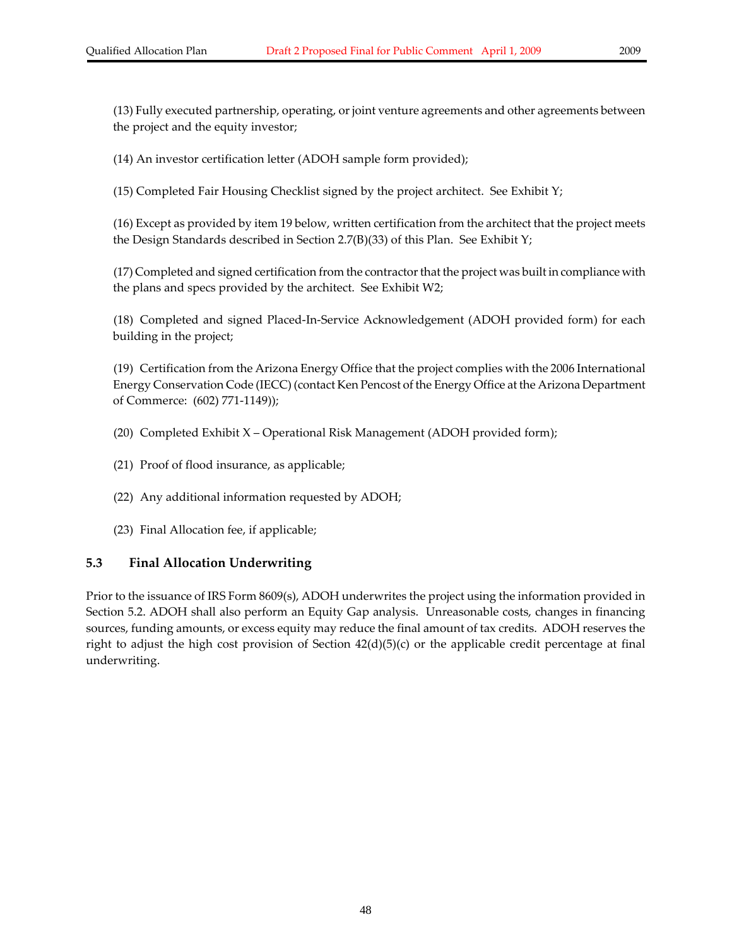(13) Fully executed partnership, operating, or joint venture agreements and other agreements between the project and the equity investor;

(14) An investor certification letter (ADOH sample form provided);

(15) Completed Fair Housing Checklist signed by the project architect. See Exhibit Y;

(16) Except as provided by item 19 below, written certification from the architect that the project meets the Design Standards described in Section 2.7(B)(33) of this Plan. See Exhibit Y;

(17) Completed and signed certification from the contractorthat the project was built in compliance with the plans and specs provided by the architect. See Exhibit W2;

(18) Completed and signed Placed‐In‐Service Acknowledgement (ADOH provided form) for each building in the project;

(19) Certification from the Arizona Energy Office that the project complies with the 2006 International Energy Conservation Code (IECC) (contact Ken Pencost of the Energy Office at the Arizona Department of Commerce: (602) 771‐1149));

- (20) Completed Exhibit X Operational Risk Management (ADOH provided form);
- (21) Proof of flood insurance, as applicable;
- (22) Any additional information requested by ADOH;
- (23) Final Allocation fee, if applicable;

# **5.3 Final Allocation Underwriting**

Prior to the issuance of IRS Form 8609(s), ADOH underwrites the project using the information provided in Section 5.2. ADOH shall also perform an Equity Gap analysis. Unreasonable costs, changes in financing sources, funding amounts, or excess equity may reduce the final amount of tax credits. ADOH reserves the right to adjust the high cost provision of Section  $42(d)(5)(c)$  or the applicable credit percentage at final underwriting.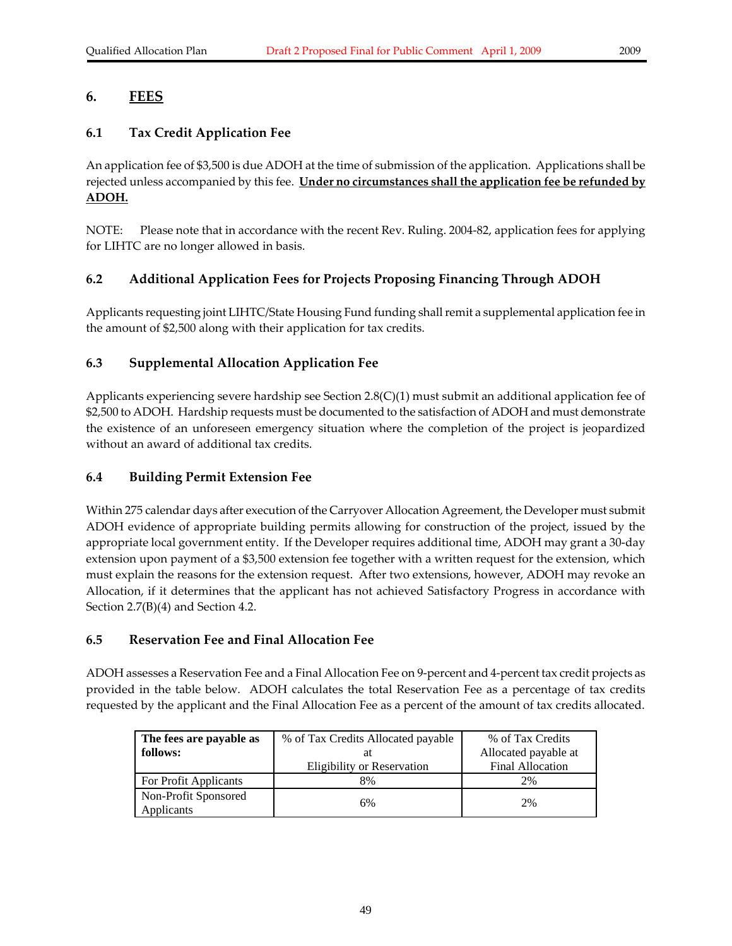# **6. FEES**

# **6.1 Tax Credit Application Fee**

An application fee of \$3,500 is due ADOH at the time of submission of the application. Applications shall be rejected unless accompanied by this fee. **Under no circumstances shall the application fee be refunded by ADOH.**

NOTE: Please note that in accordance with the recent Rev. Ruling. 2004‐82, application fees for applying for LIHTC are no longer allowed in basis.

# **6.2 Additional Application Fees for Projects Proposing Financing Through ADOH**

Applicants requesting joint LIHTC/State Housing Fund funding shallremit a supplemental application fee in the amount of \$2,500 along with their application for tax credits.

### **6.3 Supplemental Allocation Application Fee**

Applicants experiencing severe hardship see Section 2.8(C)(1) must submit an additional application fee of \$2,500 to ADOH. Hardship requests must be documented to the satisfaction of ADOH and must demonstrate the existence of an unforeseen emergency situation where the completion of the project is jeopardized without an award of additional tax credits.

## **6.4 Building Permit Extension Fee**

Within 275 calendar days after execution of the Carryover Allocation Agreement, the Developer must submit ADOH evidence of appropriate building permits allowing for construction of the project, issued by the appropriate local government entity. If the Developer requires additional time, ADOH may grant a 30‐day extension upon payment of a \$3,500 extension fee together with a written request for the extension, which must explain the reasons for the extension request. After two extensions, however, ADOH may revoke an Allocation, if it determines that the applicant has not achieved Satisfactory Progress in accordance with Section 2.7(B)(4) and Section 4.2.

### **6.5 Reservation Fee and Final Allocation Fee**

ADOH assesses a Reservation Fee and a Final Allocation Fee on 9‐percent and 4‐percent tax credit projects as provided in the table below. ADOH calculates the total Reservation Fee as a percentage of tax credits requested by the applicant and the Final Allocation Fee as a percent of the amount of tax credits allocated.

| The fees are payable as<br>follows: | % of Tax Credits Allocated payable<br>at<br>Eligibility or Reservation | % of Tax Credits<br>Allocated payable at<br><b>Final Allocation</b> |
|-------------------------------------|------------------------------------------------------------------------|---------------------------------------------------------------------|
| For Profit Applicants               | 8%                                                                     | 2%                                                                  |
| Non-Profit Sponsored<br>Applicants  | 6%                                                                     | 2%                                                                  |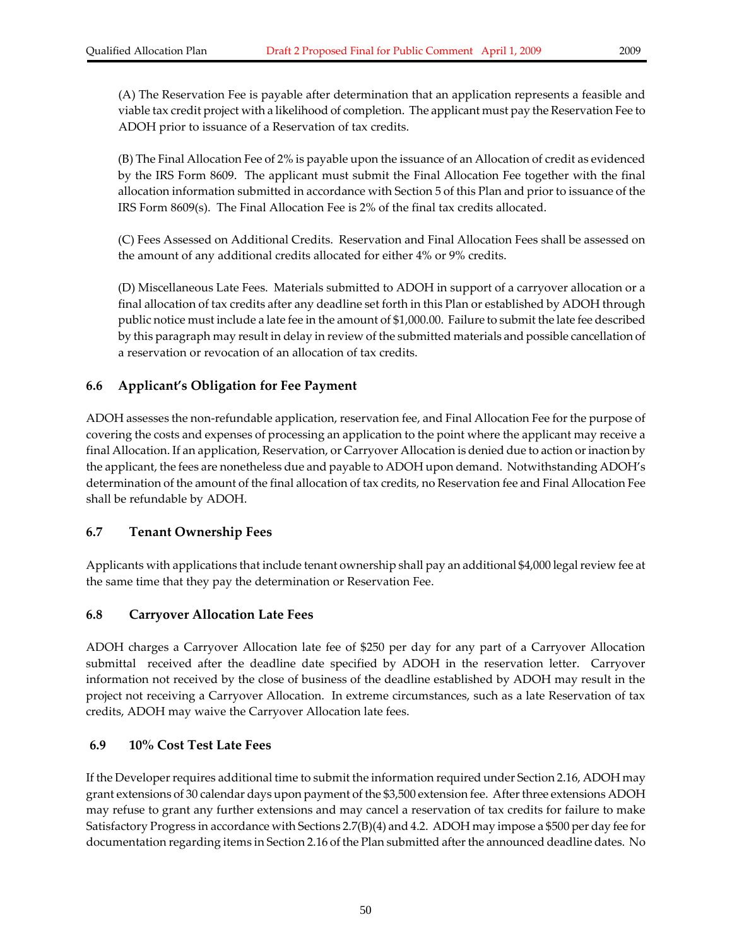(A) The Reservation Fee is payable after determination that an application represents a feasible and viable tax credit project with a likelihood of completion. The applicant must pay the Reservation Fee to ADOH prior to issuance of a Reservation of tax credits.

(B) The Final Allocation Fee of 2% is payable upon the issuance of an Allocation of credit as evidenced by the IRS Form 8609. The applicant must submit the Final Allocation Fee together with the final allocation information submitted in accordance with Section 5 of this Plan and prior to issuance of the IRS Form 8609(s). The Final Allocation Fee is 2% of the final tax credits allocated.

(C) Fees Assessed on Additional Credits. Reservation and Final Allocation Fees shall be assessed on the amount of any additional credits allocated for either 4% or 9% credits.

(D) Miscellaneous Late Fees. Materials submitted to ADOH in support of a carryover allocation or a final allocation of tax credits after any deadline set forth in this Plan or established by ADOH through public notice must include a late fee in the amount of \$1,000.00. Failure to submit the late fee described by this paragraph may result in delay in review of the submitted materials and possible cancellation of a reservation or revocation of an allocation of tax credits.

### **6.6 Applicant's Obligation for Fee Payment**

ADOH assesses the non‐refundable application, reservation fee, and Final Allocation Fee for the purpose of covering the costs and expenses of processing an application to the point where the applicant may receive a final Allocation. If an application, Reservation, or Carryover Allocation is denied due to action or inaction by the applicant, the fees are nonetheless due and payable to ADOH upon demand. Notwithstanding ADOH's determination of the amount of the final allocation of tax credits, no Reservation fee and Final Allocation Fee shall be refundable by ADOH.

### **6.7 Tenant Ownership Fees**

Applicants with applications that include tenant ownership shall pay an additional \$4,000 legalreview fee at the same time that they pay the determination or Reservation Fee.

### **6.8 Carryover Allocation Late Fees**

ADOH charges a Carryover Allocation late fee of \$250 per day for any part of a Carryover Allocation submittal received after the deadline date specified by ADOH in the reservation letter. Carryover information not received by the close of business of the deadline established by ADOH may result in the project not receiving a Carryover Allocation. In extreme circumstances, such as a late Reservation of tax credits, ADOH may waive the Carryover Allocation late fees.

#### **6.9 10% Cost Test Late Fees**

If the Developer requires additional time to submit the information required under Section 2.16, ADOH may grant extensions of 30 calendar days upon payment of the \$3,500 extension fee. Afterthree extensions ADOH may refuse to grant any further extensions and may cancel a reservation of tax credits for failure to make Satisfactory Progress in accordance with Sections 2.7(B)(4) and 4.2.ADOH may impose a \$500 per day fee for documentation regarding items in Section 2.16 of the Plan submitted after the announced deadline dates. No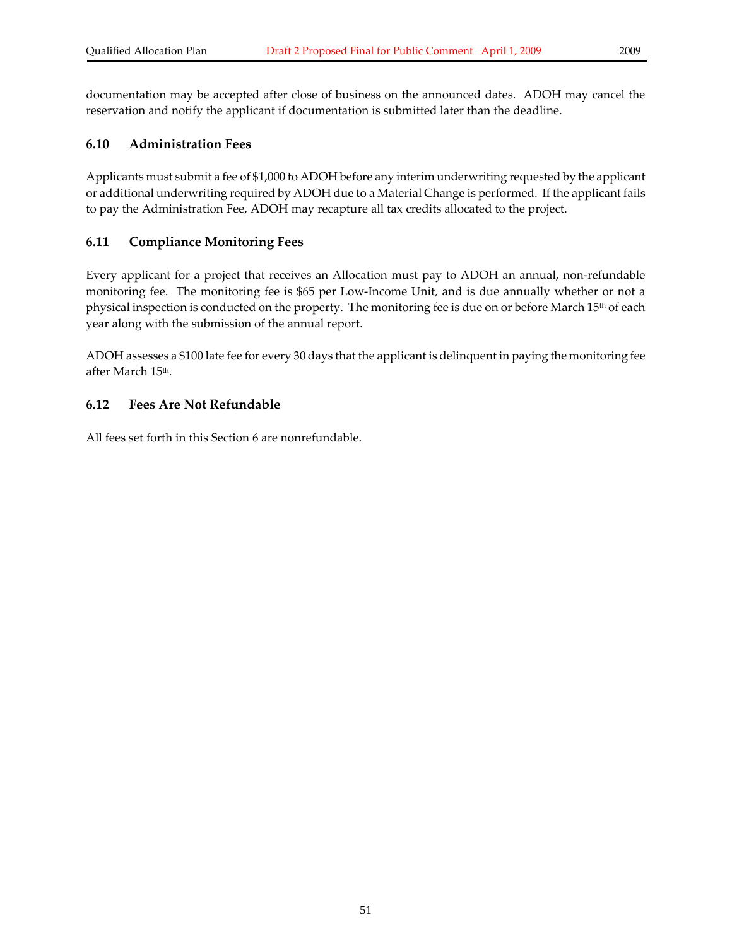documentation may be accepted after close of business on the announced dates. ADOH may cancel the reservation and notify the applicant if documentation is submitted later than the deadline.

### **6.10 Administration Fees**

Applicants must submit a fee of \$1,000 to ADOH before any interim underwriting requested by the applicant or additional underwriting required by ADOH due to a Material Change is performed. If the applicant fails to pay the Administration Fee, ADOH may recapture all tax credits allocated to the project.

### **6.11 Compliance Monitoring Fees**

Every applicant for a project that receives an Allocation must pay to ADOH an annual, non-refundable monitoring fee. The monitoring fee is \$65 per Low‐Income Unit, and is due annually whether or not a physical inspection is conducted on the property. The monitoring fee is due on or before March 15<sup>th</sup> of each year along with the submission of the annual report.

ADOH assesses a \$100 late fee for every 30 days that the applicant is delinquent in paying the monitoring fee after March 15th.

### **6.12 Fees Are Not Refundable**

All fees set forth in this Section 6 are nonrefundable.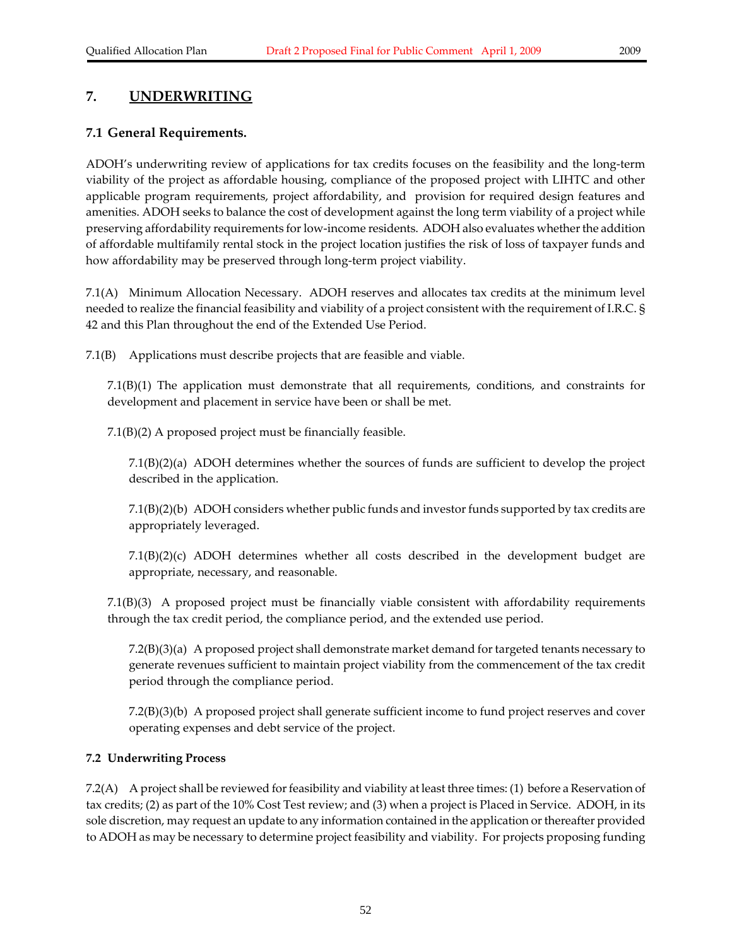# **7. UNDERWRITING**

## **7.1 General Requirements.**

ADOH's underwriting review of applications for tax credits focuses on the feasibility and the long‐term viability of the project as affordable housing, compliance of the proposed project with LIHTC and other applicable program requirements, project affordability, and provision for required design features and amenities. ADOH seeks to balance the cost of development against the long term viability of a project while preserving affordability requirements for low-income residents. ADOH also evaluates whether the addition of affordable multifamily rental stock in the project location justifies the risk of loss of taxpayer funds and how affordability may be preserved through long-term project viability.

7.1(A) Minimum Allocation Necessary. ADOH reserves and allocates tax credits at the minimum level needed to realize the financial feasibility and viability of a project consistent with the requirement of I.R.C. § 42 and this Plan throughout the end of the Extended Use Period.

7.1(B) Applications must describe projects that are feasible and viable.

7.1(B)(1) The application must demonstrate that all requirements, conditions, and constraints for development and placement in service have been or shall be met.

7.1(B)(2) A proposed project must be financially feasible.

7.1(B)(2)(a) ADOH determines whether the sources of funds are sufficient to develop the project described in the application.

7.1(B)(2)(b) ADOH considers whether public funds and investorfunds supported by tax credits are appropriately leveraged.

 $7.1(B)(2)(c)$  ADOH determines whether all costs described in the development budget are appropriate, necessary, and reasonable.

 $7.1(B)(3)$  A proposed project must be financially viable consistent with affordability requirements through the tax credit period, the compliance period, and the extended use period.

 $7.2(B)(3)(a)$  A proposed project shall demonstrate market demand for targeted tenants necessary to generate revenues sufficient to maintain project viability from the commencement of the tax credit period through the compliance period.

7.2(B)(3)(b) A proposed project shall generate sufficient income to fund project reserves and cover operating expenses and debt service of the project.

### **7.2 Underwriting Process**

7.2(A) A project shall be reviewed for feasibility and viability at least three times: (1) before a Reservation of tax credits; (2) as part of the 10% Cost Test review; and (3) when a project is Placed in Service. ADOH, in its sole discretion, may request an update to any information contained in the application orthereafter provided to ADOH as may be necessary to determine project feasibility and viability. For projects proposing funding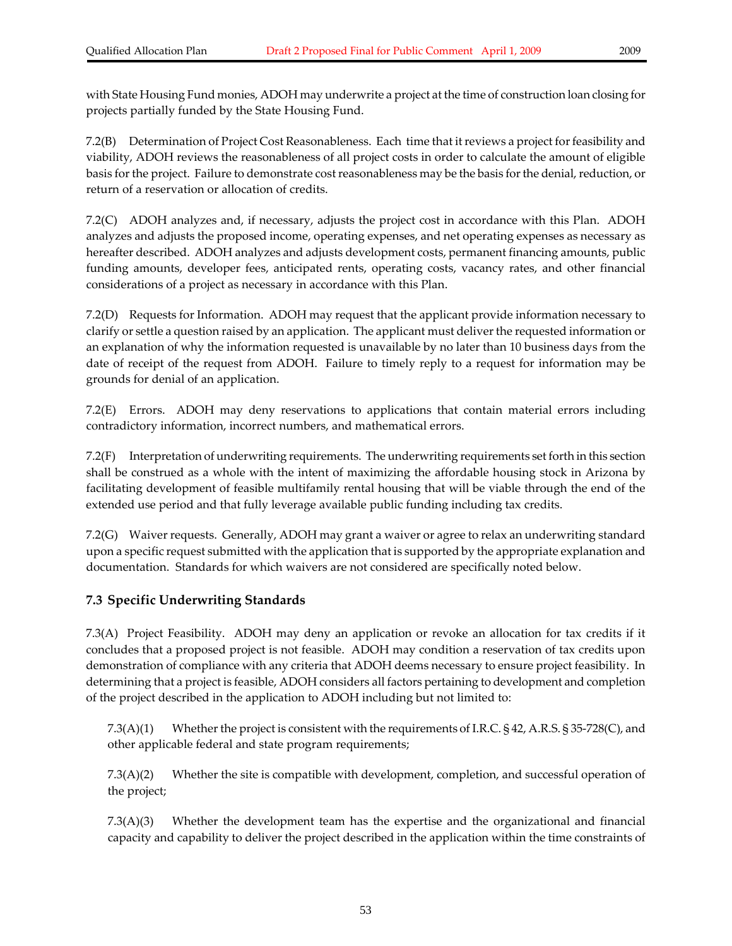with State Housing Fund monies, ADOH may underwrite a project at the time of construction loan closing for projects partially funded by the State Housing Fund.

7.2(B) Determination of Project Cost Reasonableness. Each time that itreviews a project forfeasibility and viability, ADOH reviews the reasonableness of all project costs in order to calculate the amount of eligible basis for the project. Failure to demonstrate cost reasonableness may be the basis for the denial, reduction, or return of a reservation or allocation of credits.

7.2(C) ADOH analyzes and, if necessary, adjusts the project cost in accordance with this Plan. ADOH analyzes and adjusts the proposed income, operating expenses, and net operating expenses as necessary as hereafter described. ADOH analyzes and adjusts development costs, permanent financing amounts, public funding amounts, developer fees, anticipated rents, operating costs, vacancy rates, and other financial considerations of a project as necessary in accordance with this Plan.

7.2(D) Requests for Information. ADOH may request that the applicant provide information necessary to clarify or settle a question raised by an application. The applicant must deliverthe requested information or an explanation of why the information requested is unavailable by no later than 10 business days from the date of receipt of the request from ADOH. Failure to timely reply to a request for information may be grounds for denial of an application.

7.2(E) Errors. ADOH may deny reservations to applications that contain material errors including contradictory information, incorrect numbers, and mathematical errors.

7.2(F) Interpretation of underwriting requirements. The underwriting requirements set forth in this section shall be construed as a whole with the intent of maximizing the affordable housing stock in Arizona by facilitating development of feasible multifamily rental housing that will be viable through the end of the extended use period and that fully leverage available public funding including tax credits.

7.2(G) Waiver requests. Generally, ADOH may grant a waiver or agree to relax an underwriting standard upon a specific request submitted with the application that is supported by the appropriate explanation and documentation. Standards for which waivers are not considered are specifically noted below.

### **7.3 Specific Underwriting Standards**

7.3(A) Project Feasibility. ADOH may deny an application or revoke an allocation for tax credits if it concludes that a proposed project is not feasible. ADOH may condition a reservation of tax credits upon demonstration of compliance with any criteria that ADOH deems necessary to ensure project feasibility. In determining that a project is feasible, ADOH considers all factors pertaining to development and completion of the project described in the application to ADOH including but not limited to:

7.3(A)(1) Whether the project is consistent with the requirements of I.R.C. § 42, A.R.S. § 35-728(C), and other applicable federal and state program requirements;

7.3(A)(2) Whether the site is compatible with development, completion, and successful operation of the project;

7.3(A)(3) Whether the development team has the expertise and the organizational and financial capacity and capability to deliver the project described in the application within the time constraints of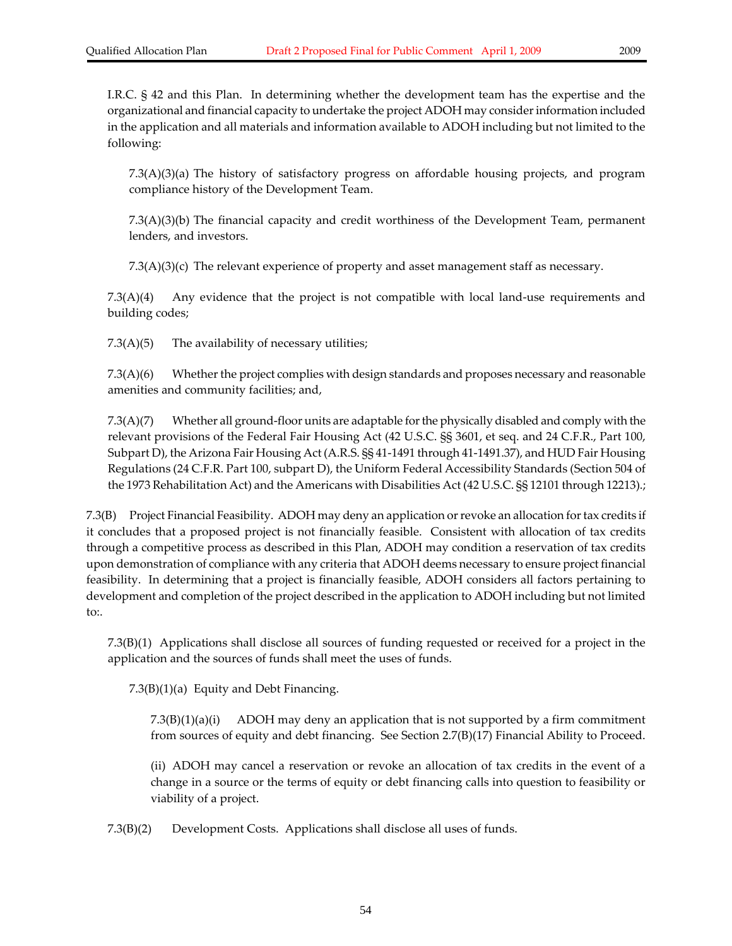I.R.C. § 42 and this Plan. In determining whether the development team has the expertise and the organizational and financial capacity to undertake the project ADOH may considerinformation included in the application and all materials and information available to ADOH including but not limited to the following:

7.3(A)(3)(a) The history of satisfactory progress on affordable housing projects, and program compliance history of the Development Team.

7.3(A)(3)(b) The financial capacity and credit worthiness of the Development Team, permanent lenders, and investors.

 $7.3(A)(3)(c)$  The relevant experience of property and asset management staff as necessary.

7.3(A)(4) Any evidence that the project is not compatible with local land‐use requirements and building codes;

7.3(A)(5) The availability of necessary utilities;

 $7.3(A)(6)$  Whether the project complies with design standards and proposes necessary and reasonable amenities and community facilities; and,

7.3(A)(7) Whether all ground‐floor units are adaptable forthe physically disabled and comply with the relevant provisions of the Federal Fair Housing Act (42 U.S.C. §§ 3601, et seq. and 24 C.F.R., Part 100, Subpart D), the Arizona Fair Housing Act (A.R.S. §§ 41‐1491 through 41‐1491.37), and HUD Fair Housing Regulations (24 C.F.R. Part 100, subpart D), the Uniform Federal Accessibility Standards (Section 504 of the 1973 Rehabilitation Act) and the Americans with Disabilities Act (42 U.S.C. §§ 12101 through 12213).;

7.3(B) Project Financial Feasibility. ADOH may deny an application orrevoke an allocation fortax credits if it concludes that a proposed project is not financially feasible. Consistent with allocation of tax credits through a competitive process as described in this Plan, ADOH may condition a reservation of tax credits upon demonstration of compliance with any criteria that ADOH deems necessary to ensure project financial feasibility. In determining that a project is financially feasible, ADOH considers all factors pertaining to development and completion of the project described in the application to ADOH including but not limited to:.

7.3(B)(1) Applications shall disclose all sources of funding requested or received for a project in the application and the sources of funds shall meet the uses of funds.

7.3(B)(1)(a) Equity and Debt Financing.

7.3(B)(1)(a)(i) ADOH may deny an application that is not supported by a firm commitment from sources of equity and debt financing. See Section 2.7(B)(17) Financial Ability to Proceed.

(ii) ADOH may cancel a reservation or revoke an allocation of tax credits in the event of a change in a source or the terms of equity or debt financing calls into question to feasibility or viability of a project.

7.3(B)(2) Development Costs. Applications shall disclose all uses of funds.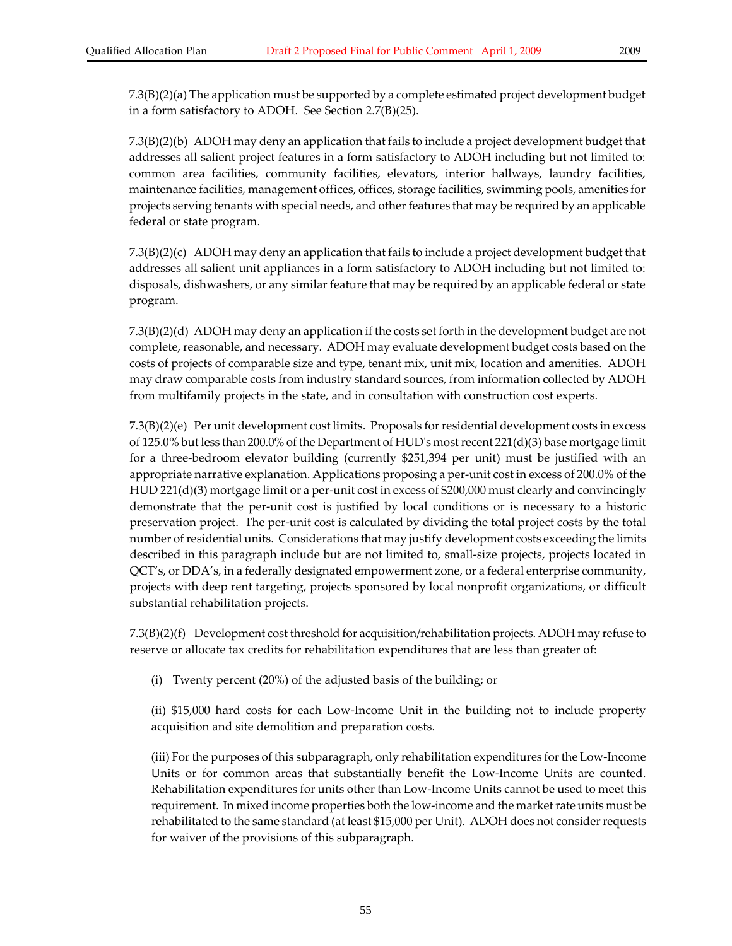7.3(B)(2)(a) The application must be supported by a complete estimated project development budget in a form satisfactory to ADOH. See Section 2.7(B)(25).

7.3(B)(2)(b) ADOH may deny an application that fails to include a project development budget that addresses all salient project features in a form satisfactory to ADOH including but not limited to: common area facilities, community facilities, elevators, interior hallways, laundry facilities, maintenance facilities, management offices, offices, storage facilities, swimming pools, amenities for projects serving tenants with special needs, and other features that may be required by an applicable federal or state program.

7.3(B)(2)(c) ADOH may deny an application that fails to include a project development budget that addresses all salient unit appliances in a form satisfactory to ADOH including but not limited to: disposals, dishwashers, or any similar feature that may be required by an applicable federal or state program.

7.3(B)(2)(d) ADOH may deny an application if the costs set forth in the development budget are not complete, reasonable, and necessary. ADOH may evaluate development budget costs based on the costs of projects of comparable size and type, tenant mix, unit mix, location and amenities. ADOH may draw comparable costs from industry standard sources, from information collected by ADOH from multifamily projects in the state, and in consultation with construction cost experts.

7.3(B)(2)(e) Per unit development cost limits. Proposals forresidential development costs in excess of 125.0% but less than 200.0% of the Department of HUDʹs mostrecent 221(d)(3) base mortgage limit for a three‐bedroom elevator building (currently \$251,394 per unit) must be justified with an appropriate narrative explanation. Applications proposing a per‐unit cost in excess of 200.0% of the HUD 221(d)(3) mortgage limit or a per‐unit cost in excess of \$200,000 must clearly and convincingly demonstrate that the per-unit cost is justified by local conditions or is necessary to a historic preservation project. The per‐unit cost is calculated by dividing the total project costs by the total number of residential units. Considerations that may justify development costs exceeding the limits described in this paragraph include but are not limited to, small‐size projects, projects located in QCT's, or DDA's, in a federally designated empowerment zone, or a federal enterprise community, projects with deep rent targeting, projects sponsored by local nonprofit organizations, or difficult substantial rehabilitation projects.

7.3(B)(2)(f) Development cost threshold for acquisition/rehabilitation projects. ADOH may refuse to reserve or allocate tax credits for rehabilitation expenditures that are less than greater of:

(i) Twenty percent (20%) of the adjusted basis of the building; or

(ii) \$15,000 hard costs for each Low‐Income Unit in the building not to include property acquisition and site demolition and preparation costs.

(iii) Forthe purposes of this subparagraph, only rehabilitation expenditures forthe Low‐Income Units or for common areas that substantially benefit the Low‐Income Units are counted. Rehabilitation expenditures for units other than Low‐Income Units cannot be used to meet this requirement. In mixed income properties both the low-income and the market rate units must be rehabilitated to the same standard (at least \$15,000 per Unit). ADOH does not consider requests for waiver of the provisions of this subparagraph.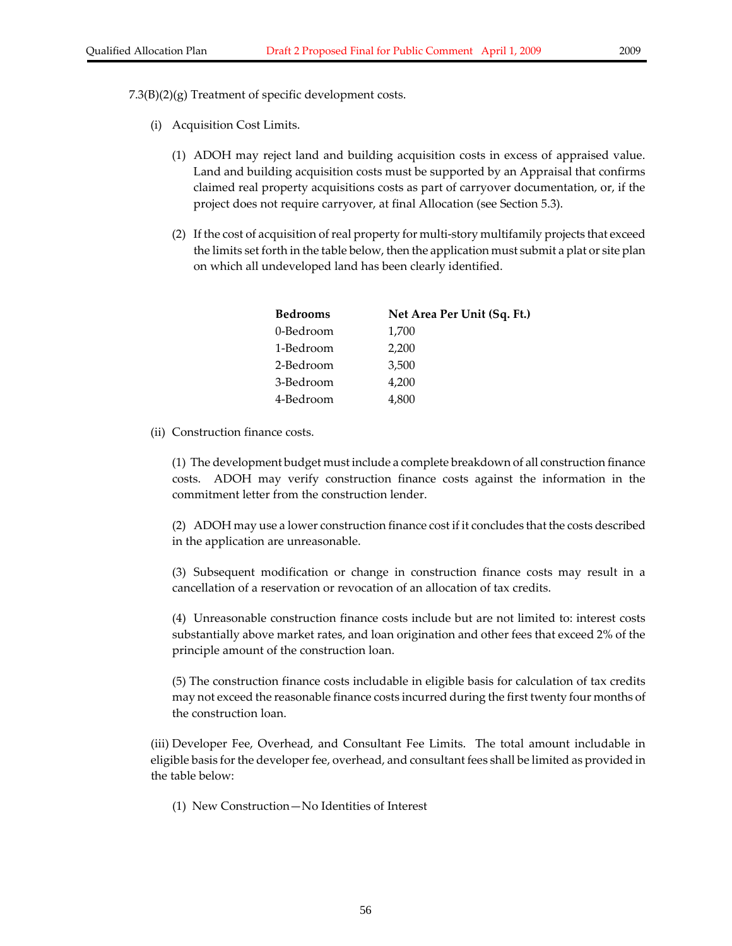7.3(B)(2)(g) Treatment of specific development costs.

- (i) Acquisition Cost Limits.
	- (1) ADOH may reject land and building acquisition costs in excess of appraised value. Land and building acquisition costs must be supported by an Appraisal that confirms claimed real property acquisitions costs as part of carryover documentation, or, if the project does not require carryover, at final Allocation (see Section 5.3).
	- (2) If the cost of acquisition of real property for multi-story multifamily projects that exceed the limits set forth in the table below, then the application must submit a plat or site plan on which all undeveloped land has been clearly identified.

| <b>Bedrooms</b> | Net Area Per Unit (Sq. Ft.) |  |  |  |
|-----------------|-----------------------------|--|--|--|
| 0-Bedroom       | 1,700                       |  |  |  |
| 1-Bedroom       | 2,200                       |  |  |  |
| 2-Bedroom       | 3,500                       |  |  |  |
| 3-Bedroom       | 4,200                       |  |  |  |
| 4-Bedroom       | 4,800                       |  |  |  |

(ii) Construction finance costs.

(1) The development budget must include a complete breakdown of all construction finance costs. ADOH may verify construction finance costs against the information in the commitment letter from the construction lender.

(2) ADOH may use a lower construction finance cost if it concludes that the costs described in the application are unreasonable.

(3) Subsequent modification or change in construction finance costs may result in a cancellation of a reservation or revocation of an allocation of tax credits.

(4) Unreasonable construction finance costs include but are not limited to: interest costs substantially above market rates, and loan origination and other fees that exceed 2% of the principle amount of the construction loan.

(5) The construction finance costs includable in eligible basis for calculation of tax credits may not exceed the reasonable finance costs incurred during the first twenty four months of the construction loan.

(iii) Developer Fee, Overhead, and Consultant Fee Limits. The total amount includable in eligible basis for the developer fee, overhead, and consultant fees shall be limited as provided in the table below:

(1) New Construction—No Identities of Interest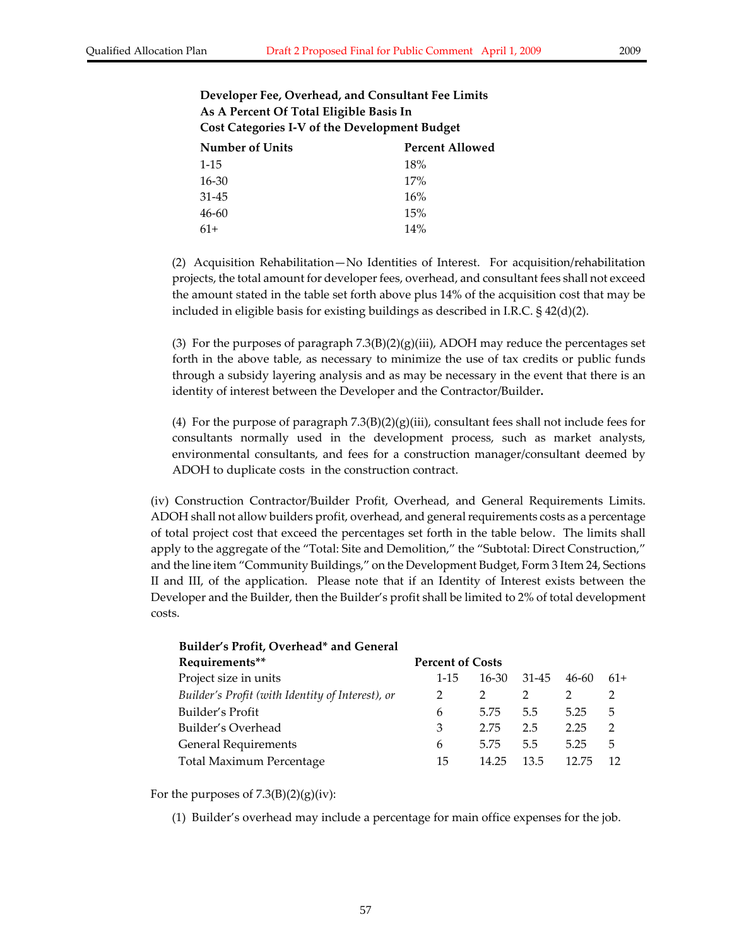| Developer Fee, Overhead, and Consultant Fee Limits |
|----------------------------------------------------|
| As A Percent Of Total Eligible Basis In            |
| Cost Categories I-V of the Development Budget      |

| Number of Units | <b>Percent Allowed</b> |  |  |
|-----------------|------------------------|--|--|
| $1 - 15$        | 18%                    |  |  |
| $16 - 30$       | 17%                    |  |  |
| $31 - 45$       | 16%                    |  |  |
| $46 - 60$       | 15%                    |  |  |
| $61+$           | 14%                    |  |  |

(2) Acquisition Rehabilitation—No Identities of Interest. For acquisition/rehabilitation projects, the total amount for developerfees, overhead, and consultant fees shall not exceed the amount stated in the table set forth above plus 14% of the acquisition cost that may be included in eligible basis for existing buildings as described in I.R.C. § 42(d)(2).

(3) For the purposes of paragraph  $7.3(B)(2)(g)(iii)$ , ADOH may reduce the percentages set forth in the above table, as necessary to minimize the use of tax credits or public funds through a subsidy layering analysis and as may be necessary in the event that there is an identity of interest between the Developer and the Contractor/Builder**.**

(4) For the purpose of paragraph  $7.3(B)(2)(g)(iii)$ , consultant fees shall not include fees for consultants normally used in the development process, such as market analysts, environmental consultants, and fees for a construction manager/consultant deemed by ADOH to duplicate costs in the construction contract.

(iv) Construction Contractor/Builder Profit, Overhead, and General Requirements Limits. ADOH shall not allow builders profit, overhead, and general requirements costs as a percentage of total project cost that exceed the percentages set forth in the table below. The limits shall apply to the aggregate of the "Total: Site and Demolition," the "Subtotal: Direct Construction," and the line item "Community Buildings," on the Development Budget, Form 3 Item 24, Sections II and III, of the application. Please note that if an Identity of Interest exists between the Developer and the Builder, then the Builder's profit shall be limited to 2% of total development costs.

| <b>Builder's Profit, Overhead* and General</b>   |                         |           |       |       |               |
|--------------------------------------------------|-------------------------|-----------|-------|-------|---------------|
| Requirements**                                   | <b>Percent of Costs</b> |           |       |       |               |
| Project size in units                            | 1-15                    | $16 - 30$ | 31-45 | 46-60 | $61+$         |
| Builder's Profit (with Identity of Interest), or | 2                       |           |       |       |               |
| Builder's Profit                                 | 6                       | 5.75      | 5.5   | 5.25  | 5             |
| Builder's Overhead                               | 3                       | 2.75      | 2.5   | 2.25  | $\mathcal{D}$ |
| <b>General Requirements</b>                      | 6                       | 5.75      | 5.5   | 5.25  | 5             |
| Total Maximum Percentage                         | 15                      | 14.25     | 13.5  | 12.75 |               |

For the purposes of  $7.3(B)(2)(g)(iv)$ :

(1) Builder's overhead may include a percentage for main office expenses for the job.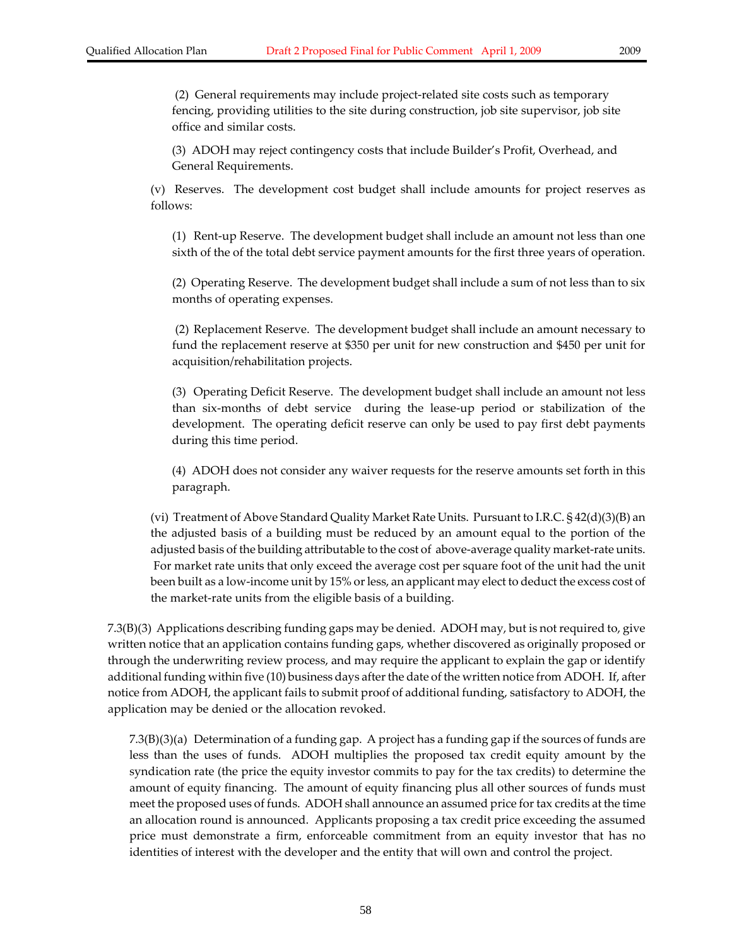(2) General requirements may include project‐related site costs such as temporary fencing, providing utilities to the site during construction, job site supervisor, job site office and similar costs.

(3) ADOH may reject contingency costs that include Builder's Profit, Overhead, and General Requirements.

(v) Reserves. The development cost budget shall include amounts for project reserves as follows:

(1) Rent‐up Reserve. The development budget shall include an amount not less than one sixth of the of the total debt service payment amounts for the first three years of operation.

(2) Operating Reserve. The development budget shall include a sum of not less than to six months of operating expenses.

(2) Replacement Reserve. The development budget shall include an amount necessary to fund the replacement reserve at \$350 per unit for new construction and \$450 per unit for acquisition/rehabilitation projects.

(3) Operating Deficit Reserve. The development budget shall include an amount not less than six‐months of debt service during the lease‐up period or stabilization of the development. The operating deficit reserve can only be used to pay first debt payments during this time period.

(4) ADOH does not consider any waiver requests for the reserve amounts set forth in this paragraph.

(vi) Treatment of Above Standard Quality Market Rate Units. Pursuant to I.R.C. § 42(d)(3)(B) an the adjusted basis of a building must be reduced by an amount equal to the portion of the adjusted basis of the building attributable to the cost of above‐average quality market‐rate units. For market rate units that only exceed the average cost per square foot of the unit had the unit been built as a low-income unit by 15% or less, an applicant may elect to deduct the excess cost of the market‐rate units from the eligible basis of a building.

7.3(B)(3) Applications describing funding gaps may be denied. ADOH may, but is notrequired to, give written notice that an application contains funding gaps, whether discovered as originally proposed or through the underwriting review process, and may require the applicant to explain the gap or identify additional funding within five (10) business days after the date of the written notice from ADOH. If, after notice from ADOH, the applicant fails to submit proof of additional funding, satisfactory to ADOH, the application may be denied or the allocation revoked.

7.3(B)(3)(a) Determination of a funding gap. A project has a funding gap if the sources of funds are less than the uses of funds. ADOH multiplies the proposed tax credit equity amount by the syndication rate (the price the equity investor commits to pay for the tax credits) to determine the amount of equity financing. The amount of equity financing plus all other sources of funds must meet the proposed uses of funds. ADOH shall announce an assumed price for tax credits at the time an allocation round is announced. Applicants proposing a tax credit price exceeding the assumed price must demonstrate a firm, enforceable commitment from an equity investor that has no identities of interest with the developer and the entity that will own and control the project.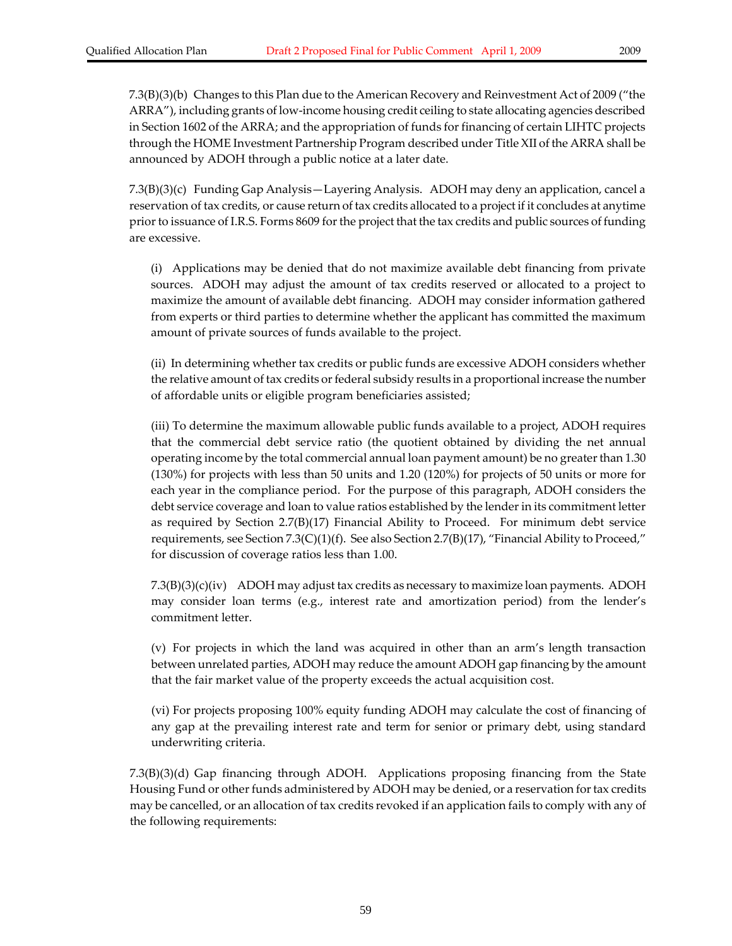7.3(B)(3)(b) Changes to this Plan due to the American Recovery and Reinvestment Act of 2009 ("the ARRA"), including grants of low‐income housing credit ceiling to state allocating agencies described in Section 1602 of the ARRA; and the appropriation of funds for financing of certain LIHTC projects through the HOME Investment Partnership Program described under Title XII of the ARRA shall be announced by ADOH through a public notice at a later date.

7.3(B)(3)(c) Funding Gap Analysis—Layering Analysis. ADOH may deny an application, cancel a reservation of tax credits, or cause return of tax credits allocated to a project if it concludes at anytime prior to issuance of I.R.S. Forms 8609 for the project that the tax credits and public sources of funding are excessive.

(i) Applications may be denied that do not maximize available debt financing from private sources. ADOH may adjust the amount of tax credits reserved or allocated to a project to maximize the amount of available debt financing. ADOH may consider information gathered from experts or third parties to determine whether the applicant has committed the maximum amount of private sources of funds available to the project.

(ii) In determining whether tax credits or public funds are excessive ADOH considers whether the relative amount of tax credits or federal subsidy results in a proportional increase the number of affordable units or eligible program beneficiaries assisted;

(iii) To determine the maximum allowable public funds available to a project, ADOH requires that the commercial debt service ratio (the quotient obtained by dividing the net annual operating income by the total commercial annual loan payment amount) be no greater than 1.30 (130%) for projects with less than 50 units and 1.20 (120%) for projects of 50 units or more for each year in the compliance period. For the purpose of this paragraph, ADOH considers the debt service coverage and loan to value ratios established by the lender in its commitment letter as required by Section  $2.7(B)(17)$  Financial Ability to Proceed. For minimum debt service requirements, see Section 7.3(C)(1)(f). See also Section 2.7(B)(17), "Financial Ability to Proceed," for discussion of coverage ratios less than 1.00.

7.3(B)(3)(c)(iv) ADOH may adjust tax credits as necessary to maximize loan payments. ADOH may consider loan terms (e.g., interest rate and amortization period) from the lender's commitment letter.

(v) For projects in which the land was acquired in other than an arm's length transaction between unrelated parties, ADOH may reduce the amount ADOH gap financing by the amount that the fair market value of the property exceeds the actual acquisition cost.

(vi) For projects proposing 100% equity funding ADOH may calculate the cost of financing of any gap at the prevailing interest rate and term for senior or primary debt, using standard underwriting criteria.

7.3(B)(3)(d) Gap financing through ADOH. Applications proposing financing from the State Housing Fund or other funds administered by ADOH may be denied, or a reservation for tax credits may be cancelled, or an allocation of tax credits revoked if an application fails to comply with any of the following requirements: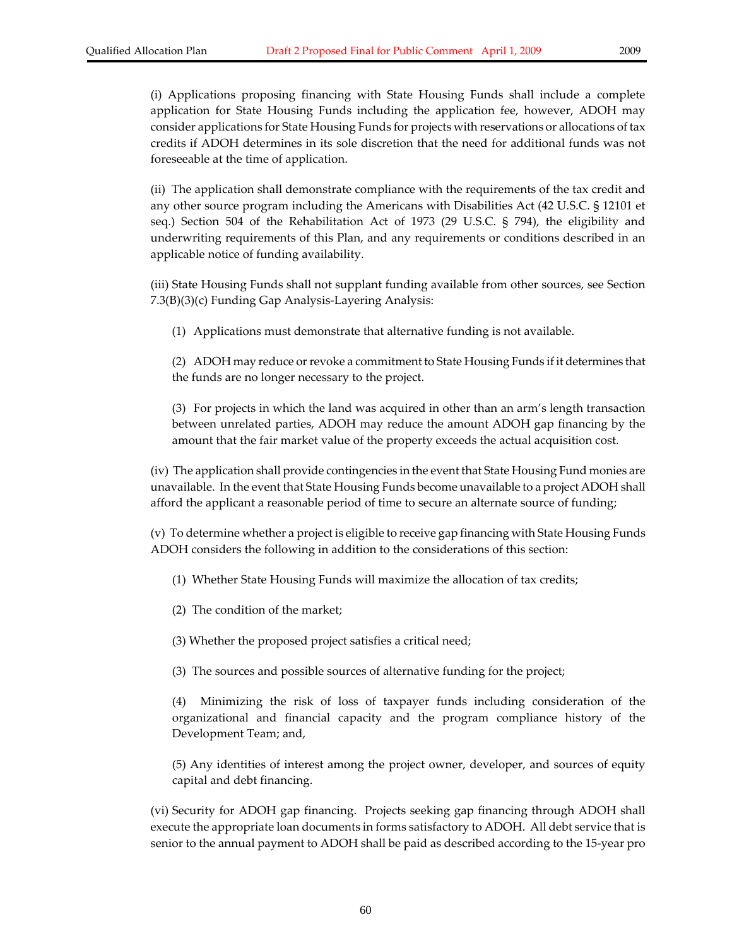(i) Applications proposing financing with State Housing Funds shall include a complete application for State Housing Funds including the application fee, however, ADOH may consider applications for State Housing Funds for projects with reservations or allocations of tax credits if ADOH determines in its sole discretion that the need for additional funds was not foreseeable at the time of application.

(ii) The application shall demonstrate compliance with the requirements of the tax credit and any other source program including the Americans with Disabilities Act (42 U.S.C. § 12101 et seq.) Section 504 of the Rehabilitation Act of 1973 (29 U.S.C. § 794), the eligibility and underwriting requirements of this Plan, and any requirements or conditions described in an applicable notice of funding availability.

(iii) State Housing Funds shall not supplant funding available from other sources, see Section 7.3(B)(3)(c) Funding Gap Analysis‐Layering Analysis:

(1) Applications must demonstrate that alternative funding is not available.

(2) ADOH may reduce orrevoke a commitment to State Housing Funds if it determines that the funds are no longer necessary to the project.

(3) For projects in which the land was acquired in other than an arm's length transaction between unrelated parties, ADOH may reduce the amount ADOH gap financing by the amount that the fair market value of the property exceeds the actual acquisition cost.

(iv) The application shall provide contingencies in the event that State Housing Fund monies are unavailable. In the event that State Housing Funds become unavailable to a project ADOH shall afford the applicant a reasonable period of time to secure an alternate source of funding;

(v) To determine whether a project is eligible to receive gap financing with State Housing Funds ADOH considers the following in addition to the considerations of this section:

- (1) Whether State Housing Funds will maximize the allocation of tax credits;
- (2) The condition of the market;

(3) Whether the proposed project satisfies a critical need;

(3) The sources and possible sources of alternative funding for the project;

Minimizing the risk of loss of taxpayer funds including consideration of the organizational and financial capacity and the program compliance history of the Development Team; and,

(5) Any identities of interest among the project owner, developer, and sources of equity capital and debt financing.

(vi) Security for ADOH gap financing. Projects seeking gap financing through ADOH shall execute the appropriate loan documents in forms satisfactory to ADOH. All debt service that is senior to the annual payment to ADOH shall be paid as described according to the 15‐year pro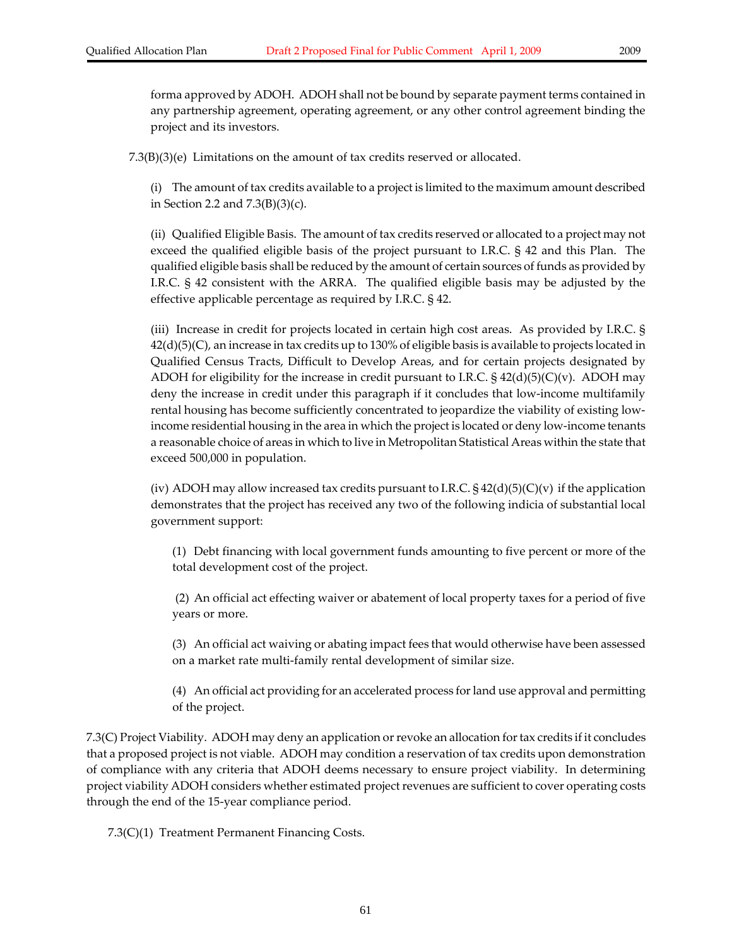forma approved by ADOH. ADOH shall not be bound by separate payment terms contained in any partnership agreement, operating agreement, or any other control agreement binding the project and its investors.

7.3(B)(3)(e) Limitations on the amount of tax credits reserved or allocated.

(i) The amount of tax credits available to a project is limited to the maximum amount described in Section 2.2 and 7.3(B)(3)(c).

(ii) Qualified Eligible Basis. The amount of tax credits reserved or allocated to a project may not exceed the qualified eligible basis of the project pursuant to I.R.C. § 42 and this Plan. The qualified eligible basis shall be reduced by the amount of certain sources of funds as provided by I.R.C. § 42 consistent with the ARRA. The qualified eligible basis may be adjusted by the effective applicable percentage as required by I.R.C. § 42.

(iii) Increase in credit for projects located in certain high cost areas. As provided by I.R.C. § 42(d)(5)(C), an increase in tax credits up to 130% of eligible basis is available to projects located in Qualified Census Tracts, Difficult to Develop Areas, and for certain projects designated by ADOH for eligibility for the increase in credit pursuant to I.R.C.  $\S$  42(d)(5)(C)(v). ADOH may deny the increase in credit under this paragraph if it concludes that low‐income multifamily rental housing has become sufficiently concentrated to jeopardize the viability of existing low‐ income residential housing in the area in which the project is located or deny low‐income tenants a reasonable choice of areas in which to live in Metropolitan Statistical Areas within the state that exceed 500,000 in population.

(iv) ADOH may allow increased tax credits pursuant to I.R.C.  $\S 42(d)(5)(C)(v)$  if the application demonstrates that the project has received any two of the following indicia of substantial local government support:

(1) Debt financing with local government funds amounting to five percent or more of the total development cost of the project.

(2) An official act effecting waiver or abatement of local property taxes for a period of five years or more.

(3) An official act waiving or abating impact fees that would otherwise have been assessed on a market rate multi‐family rental development of similar size.

(4) An official act providing for an accelerated process forland use approval and permitting of the project.

7.3(C) Project Viability. ADOH may deny an application orrevoke an allocation fortax credits if it concludes that a proposed project is not viable. ADOH may condition a reservation of tax credits upon demonstration of compliance with any criteria that ADOH deems necessary to ensure project viability. In determining project viability ADOH considers whether estimated project revenues are sufficient to cover operating costs through the end of the 15‐year compliance period.

7.3(C)(1) Treatment Permanent Financing Costs.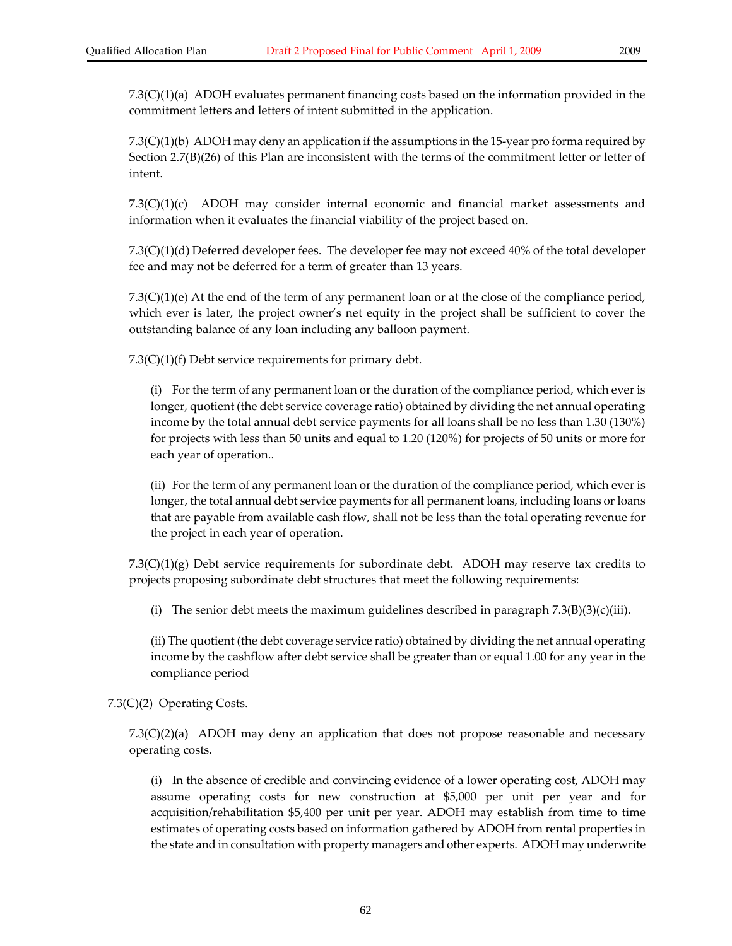7.3(C)(1)(b) ADOH may deny an application if the assumptions in the 15‐year pro forma required by Section 2.7(B)(26) of this Plan are inconsistent with the terms of the commitment letter or letter of intent.

 $7.3(C)(1)(c)$  ADOH may consider internal economic and financial market assessments and information when it evaluates the financial viability of the project based on.

7.3(C)(1)(d) Deferred developer fees. The developer fee may not exceed 40% of the total developer fee and may not be deferred for a term of greater than 13 years.

7.3(C)(1)(e) At the end of the term of any permanent loan or at the close of the compliance period, which ever is later, the project owner's net equity in the project shall be sufficient to cover the outstanding balance of any loan including any balloon payment.

7.3(C)(1)(f) Debt service requirements for primary debt.

(i) For the term of any permanent loan or the duration of the compliance period, which ever is longer, quotient (the debt service coverage ratio) obtained by dividing the net annual operating income by the total annual debt service payments for all loans shall be no less than 1.30 (130%) for projects with less than 50 units and equal to 1.20 (120%) for projects of 50 units or more for each year of operation..

(ii) For the term of any permanent loan or the duration of the compliance period, which ever is longer, the total annual debt service payments for all permanent loans, including loans or loans that are payable from available cash flow, shall not be less than the total operating revenue for the project in each year of operation.

7.3(C)(1)(g) Debt service requirements for subordinate debt. ADOH may reserve tax credits to projects proposing subordinate debt structures that meet the following requirements:

(i) The senior debt meets the maximum guidelines described in paragraph  $7.3(B)(3)(c)(iii)$ .

(ii) The quotient (the debt coverage service ratio) obtained by dividing the net annual operating income by the cashflow after debt service shall be greater than or equal 1.00 for any year in the compliance period

7.3(C)(2) Operating Costs.

7.3(C)(2)(a) ADOH may deny an application that does not propose reasonable and necessary operating costs.

(i) In the absence of credible and convincing evidence of a lower operating cost, ADOH may assume operating costs for new construction at \$5,000 per unit per year and for acquisition/rehabilitation \$5,400 per unit per year. ADOH may establish from time to time estimates of operating costs based on information gathered by ADOH from rental properties in the state and in consultation with property managers and other experts. ADOH may underwrite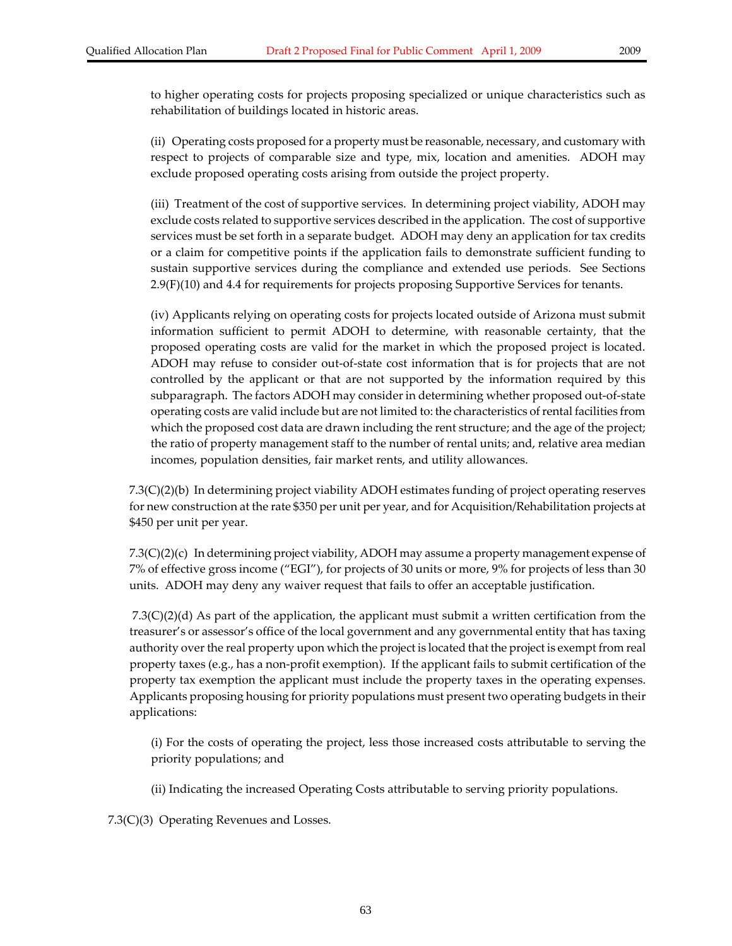to higher operating costs for projects proposing specialized or unique characteristics such as rehabilitation of buildings located in historic areas.

(ii) Operating costs proposed for a property must be reasonable, necessary, and customary with respect to projects of comparable size and type, mix, location and amenities. ADOH may exclude proposed operating costs arising from outside the project property.

(iii) Treatment of the cost of supportive services. In determining project viability, ADOH may exclude costs related to supportive services described in the application. The cost of supportive services must be set forth in a separate budget. ADOH may deny an application for tax credits or a claim for competitive points if the application fails to demonstrate sufficient funding to sustain supportive services during the compliance and extended use periods. See Sections 2.9(F)(10) and 4.4 for requirements for projects proposing Supportive Services for tenants.

(iv) Applicants relying on operating costs for projects located outside of Arizona must submit information sufficient to permit ADOH to determine, with reasonable certainty, that the proposed operating costs are valid for the market in which the proposed project is located. ADOH may refuse to consider out‐of‐state cost information that is for projects that are not controlled by the applicant or that are not supported by the information required by this subparagraph. The factors ADOH may considerin determining whether proposed out‐of‐state operating costs are valid include but are not limited to: the characteristics ofrental facilities from which the proposed cost data are drawn including the rent structure; and the age of the project; the ratio of property management staff to the number of rental units; and, relative area median incomes, population densities, fair market rents, and utility allowances.

7.3(C)(2)(b) In determining project viability ADOH estimates funding of project operating reserves for new construction at the rate \$350 per unit per year, and for Acquisition/Rehabilitation projects at \$450 per unit per year.

7.3(C)(2)(c) In determining project viability, ADOH may assume a property management expense of 7% of effective gross income ("EGI"), for projects of 30 units or more, 9% for projects of less than 30 units. ADOH may deny any waiver request that fails to offer an acceptable justification.

7.3(C)(2)(d) As part of the application, the applicant must submit a written certification from the treasurer's or assessor's office of the local government and any governmental entity that has taxing authority over the real property upon which the project is located that the project is exempt from real property taxes (e.g., has a non‐profit exemption). If the applicant fails to submit certification of the property tax exemption the applicant must include the property taxes in the operating expenses. Applicants proposing housing for priority populations must present two operating budgets in their applications:

(i) For the costs of operating the project, less those increased costs attributable to serving the priority populations; and

(ii) Indicating the increased Operating Costs attributable to serving priority populations.

7.3(C)(3) Operating Revenues and Losses.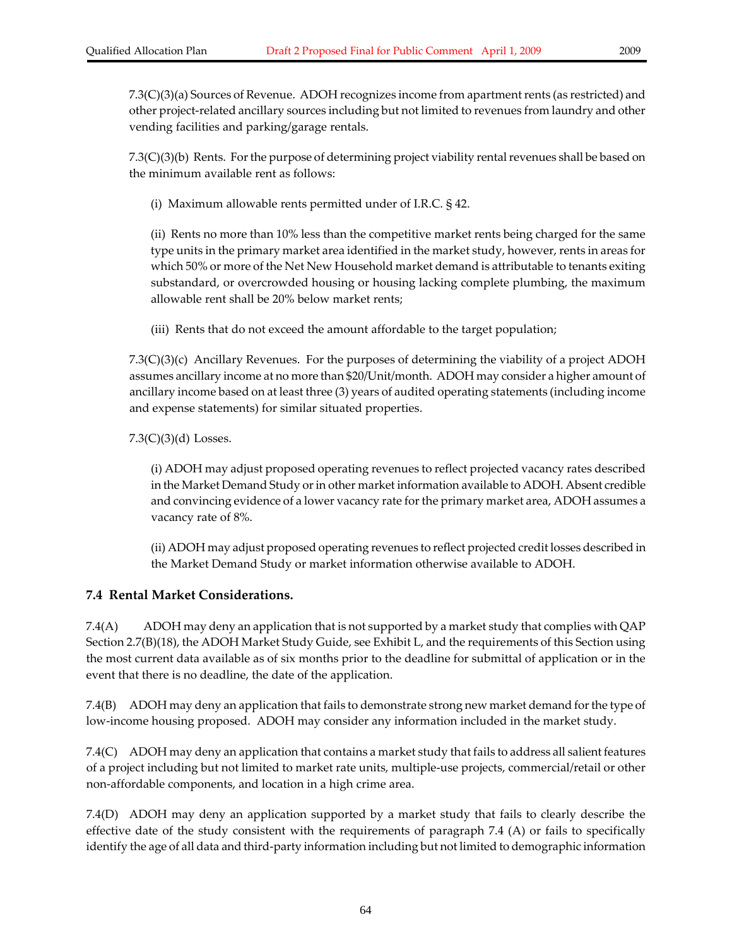7.3(C)(3)(a) Sources of Revenue. ADOH recognizes income from apartment rents (as restricted) and other project‐related ancillary sources including but not limited to revenues from laundry and other vending facilities and parking/garage rentals.

 $7.3(C)(3)(b)$  Rents. For the purpose of determining project viability rental revenues shall be based on the minimum available rent as follows:

(i) Maximum allowable rents permitted under of I.R.C. § 42.

(ii) Rents no more than 10% less than the competitive market rents being charged for the same type units in the primary market area identified in the market study, however, rents in areas for which 50% or more of the Net New Household market demand is attributable to tenants exiting substandard, or overcrowded housing or housing lacking complete plumbing, the maximum allowable rent shall be 20% below market rents;

(iii) Rents that do not exceed the amount affordable to the target population;

7.3(C)(3)(c) Ancillary Revenues. For the purposes of determining the viability of a project ADOH assumes ancillary income at no more than \$20/Unit/month. ADOH may consider a higher amount of ancillary income based on at least three (3) years of audited operating statements (including income and expense statements) for similar situated properties.

7.3(C)(3)(d) Losses.

(i) ADOH may adjust proposed operating revenues to reflect projected vacancy rates described in the Market Demand Study or in other market information available to ADOH. Absent credible and convincing evidence of a lower vacancy rate forthe primary market area, ADOH assumes a vacancy rate of 8%.

(ii) ADOH may adjust proposed operating revenues to reflect projected credit losses described in the Market Demand Study or market information otherwise available to ADOH.

# **7.4 Rental Market Considerations.**

7.4(A) ADOH may deny an application that is not supported by a market study that complies with QAP Section 2.7(B)(18), the ADOH Market Study Guide, see Exhibit L, and the requirements of this Section using the most current data available as of six months prior to the deadline for submittal of application or in the event that there is no deadline, the date of the application.

7.4(B) ADOH may deny an application that fails to demonstrate strong new market demand forthe type of low-income housing proposed. ADOH may consider any information included in the market study.

7.4(C) ADOH may deny an application that contains a market study that fails to address all salient features of a project including but not limited to market rate units, multiple‐use projects, commercial/retail or other non‐affordable components, and location in a high crime area.

7.4(D) ADOH may deny an application supported by a market study that fails to clearly describe the effective date of the study consistent with the requirements of paragraph 7.4 (A) or fails to specifically identify the age of all data and third‐party information including but not limited to demographic information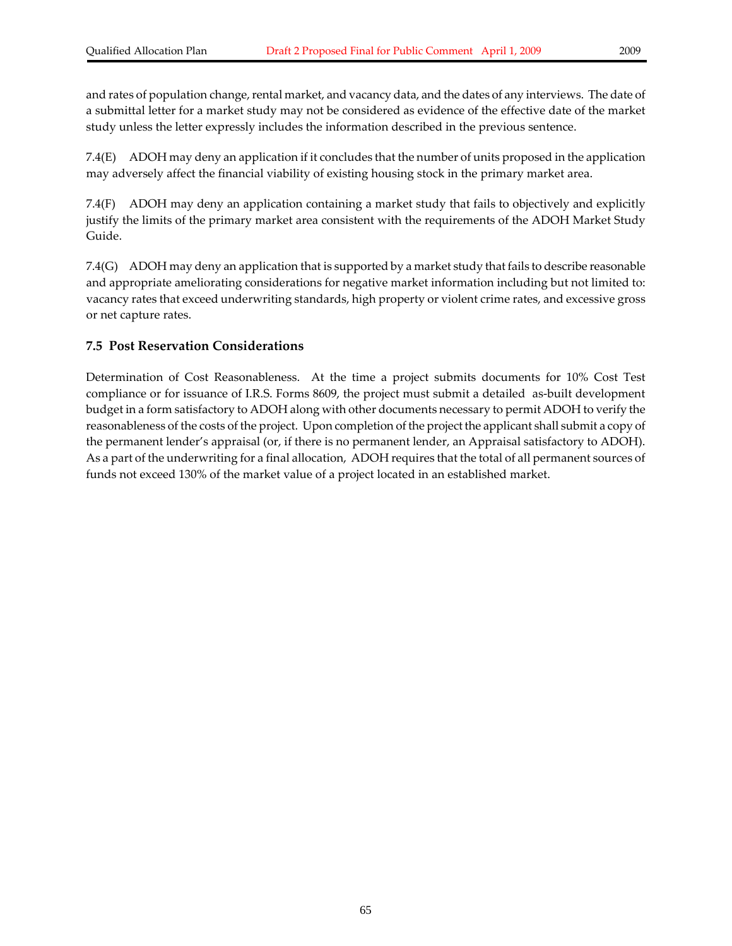and rates of population change, rental market, and vacancy data, and the dates of any interviews. The date of a submittal letter for a market study may not be considered as evidence of the effective date of the market study unless the letter expressly includes the information described in the previous sentence.

7.4(E) ADOH may deny an application if it concludes that the number of units proposed in the application may adversely affect the financial viability of existing housing stock in the primary market area.

7.4(F) ADOH may deny an application containing a market study that fails to objectively and explicitly justify the limits of the primary market area consistent with the requirements of the ADOH Market Study Guide.

7.4(G) ADOH may deny an application that is supported by a market study that fails to describe reasonable and appropriate ameliorating considerations for negative market information including but not limited to: vacancy rates that exceed underwriting standards, high property or violent crime rates, and excessive gross or net capture rates.

### **7.5 Post Reservation Considerations**

Determination of Cost Reasonableness. At the time a project submits documents for 10% Cost Test compliance or for issuance of I.R.S. Forms 8609, the project must submit a detailed as‐built development budget in a form satisfactory to ADOH along with other documents necessary to permit ADOH to verify the reasonableness of the costs of the project. Upon completion of the project the applicant shall submit a copy of the permanent lender's appraisal (or, if there is no permanent lender, an Appraisal satisfactory to ADOH). As a part of the underwriting for a final allocation, ADOH requires that the total of all permanent sources of funds not exceed 130% of the market value of a project located in an established market.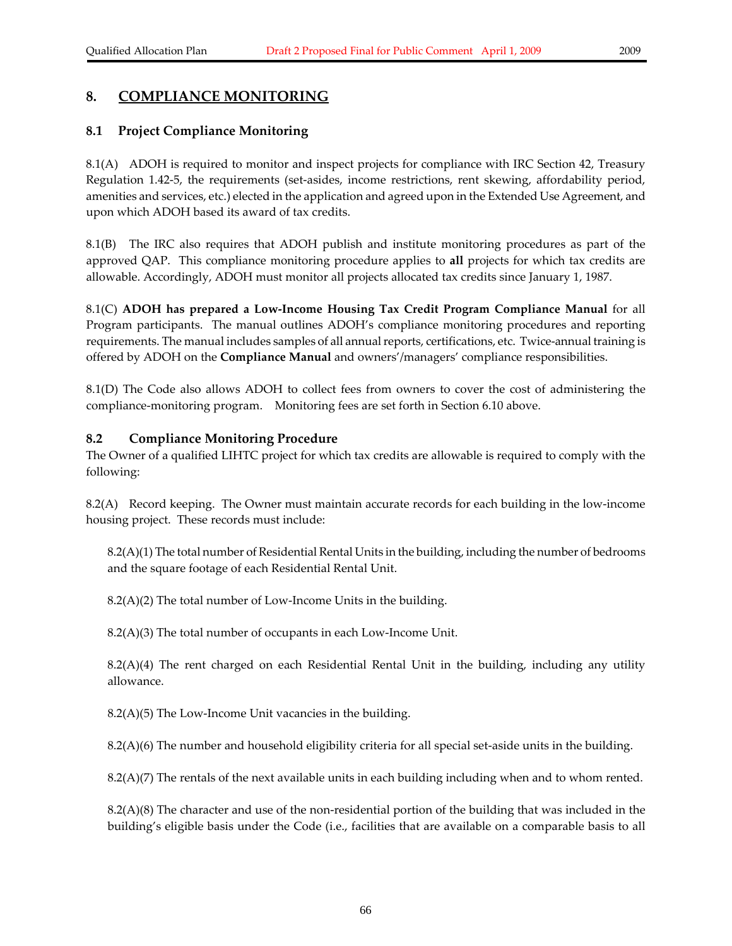# **8. COMPLIANCE MONITORING**

### **8.1 Project Compliance Monitoring**

8.1(A) ADOH is required to monitor and inspect projects for compliance with IRC Section 42, Treasury Regulation 1.42‐5, the requirements (set‐asides, income restrictions, rent skewing, affordability period, amenities and services, etc.) elected in the application and agreed upon in the Extended Use Agreement, and upon which ADOH based its award of tax credits.

8.1(B) The IRC also requires that ADOH publish and institute monitoring procedures as part of the approved QAP. This compliance monitoring procedure applies to **all** projects for which tax credits are allowable. Accordingly, ADOH must monitor all projects allocated tax credits since January 1, 1987.

8.1(C) **ADOH has prepared a Low‐Income Housing Tax Credit Program Compliance Manual** for all Program participants. The manual outlines ADOH's compliance monitoring procedures and reporting requirements. The manual includes samples of all annual reports, certifications, etc. Twice-annual training is offered by ADOH on the **Compliance Manual** and owners'/managers' compliance responsibilities.

8.1(D) The Code also allows ADOH to collect fees from owners to cover the cost of administering the compliance-monitoring program. Monitoring fees are set forth in Section 6.10 above.

### **8.2 Compliance Monitoring Procedure**

The Owner of a qualified LIHTC project for which tax credits are allowable is required to comply with the following:

8.2(A) Record keeping. The Owner must maintain accurate records for each building in the low‐income housing project. These records must include:

8.2(A)(1) The total number of Residential Rental Units in the building, including the number of bedrooms and the square footage of each Residential Rental Unit.

8.2(A)(2) The total number of Low‐Income Units in the building.

8.2(A)(3) The total number of occupants in each Low‐Income Unit.

 $8.2(A)(4)$  The rent charged on each Residential Rental Unit in the building, including any utility allowance.

8.2(A)(5) The Low‐Income Unit vacancies in the building.

8.2(A)(6) The number and household eligibility criteria for all special set‐aside units in the building.

8.2(A)(7) The rentals of the next available units in each building including when and to whom rented.

8.2(A)(8) The character and use of the non‐residential portion of the building that was included in the building's eligible basis under the Code (i.e., facilities that are available on a comparable basis to all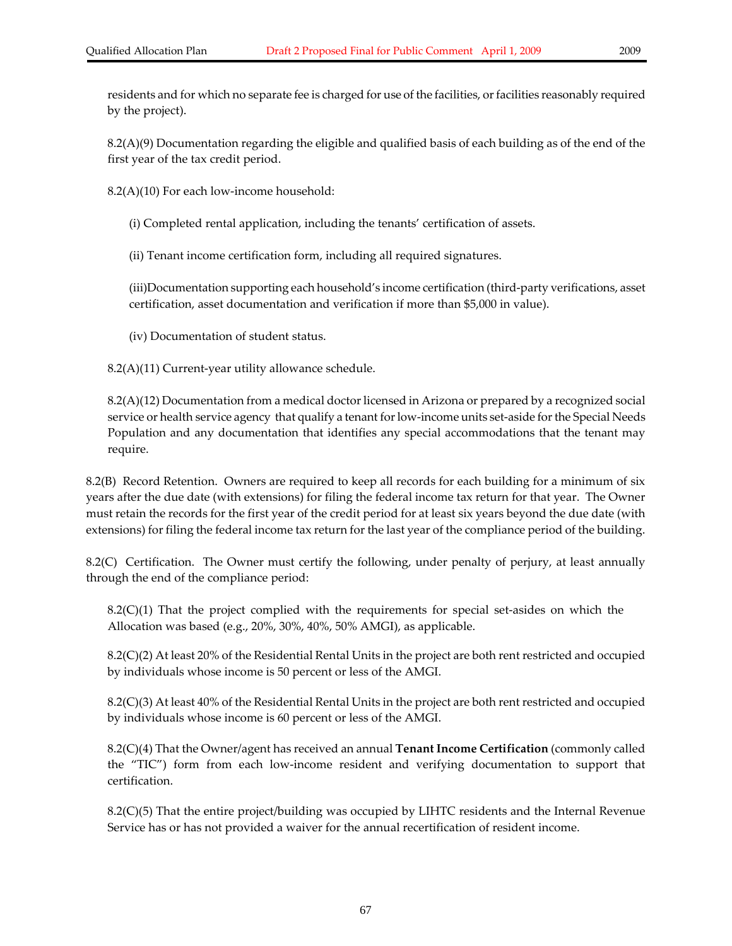8.2(A)(9) Documentation regarding the eligible and qualified basis of each building as of the end of the first year of the tax credit period.

8.2(A)(10) For each low‐income household:

(i) Completed rental application, including the tenants' certification of assets.

(ii) Tenant income certification form, including all required signatures.

(iii)Documentation supporting each household's income certification (third‐party verifications, asset certification, asset documentation and verification if more than \$5,000 in value).

(iv) Documentation of student status.

8.2(A)(11) Current‐year utility allowance schedule.

8.2(A)(12) Documentation from a medical doctor licensed in Arizona or prepared by a recognized social service or health service agency that qualify a tenant for low-income units set-aside for the Special Needs Population and any documentation that identifies any special accommodations that the tenant may require.

8.2(B) Record Retention. Owners are required to keep all records for each building for a minimum of six years after the due date (with extensions) for filing the federal income tax return for that year. The Owner must retain the records for the first year of the credit period for at least six years beyond the due date (with extensions) for filing the federal income tax return for the last year of the compliance period of the building.

8.2(C) Certification. The Owner must certify the following, under penalty of perjury, at least annually through the end of the compliance period:

 $8.2(C)(1)$  That the project complied with the requirements for special set-asides on which the Allocation was based (e.g., 20%, 30%, 40%, 50% AMGI), as applicable.

8.2(C)(2) At least 20% of the Residential Rental Units in the project are both rent restricted and occupied by individuals whose income is 50 percent or less of the AMGI.

8.2(C)(3) At least 40% of the Residential Rental Units in the project are both rent restricted and occupied by individuals whose income is 60 percent or less of the AMGI.

8.2(C)(4) That the Owner/agent has received an annual **Tenant Income Certification** (commonly called the "TIC") form from each low‐income resident and verifying documentation to support that certification.

8.2(C)(5) That the entire project/building was occupied by LIHTC residents and the Internal Revenue Service has or has not provided a waiver for the annual recertification of resident income.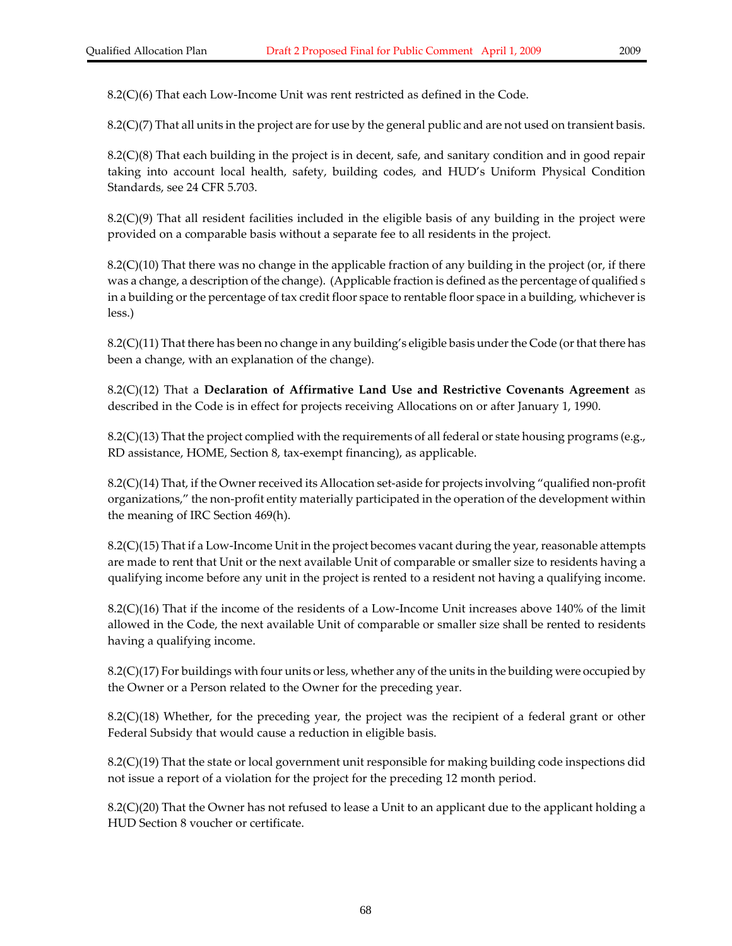$8.2(C)(7)$  That all units in the project are for use by the general public and are not used on transient basis.

8.2(C)(8) That each building in the project is in decent, safe, and sanitary condition and in good repair taking into account local health, safety, building codes, and HUD's Uniform Physical Condition Standards, see 24 CFR 5.703.

8.2(C)(9) That all resident facilities included in the eligible basis of any building in the project were provided on a comparable basis without a separate fee to all residents in the project.

 $8.2(C)(10)$  That there was no change in the applicable fraction of any building in the project (or, if there was a change, a description of the change). (Applicable fraction is defined as the percentage of qualified s in a building or the percentage of tax credit floor space to rentable floor space in a building, whichever is less.)

 $8.2(C)(11)$  That there has been no change in any building's eligible basis under the Code (or that there has been a change, with an explanation of the change).

8.2(C)(12) That a **Declaration of Affirmative Land Use and Restrictive Covenants Agreement** as described in the Code is in effect for projects receiving Allocations on or after January 1, 1990.

 $8.2(C)(13)$  That the project complied with the requirements of all federal or state housing programs (e.g., RD assistance, HOME, Section 8, tax‐exempt financing), as applicable.

8.2(C)(14) That, if the Owner received its Allocation set-aside for projects involving "qualified non-profit organizations," the non‐profit entity materially participated in the operation of the development within the meaning of IRC Section 469(h).

 $8.2(C)(15)$  That if a Low-Income Unit in the project becomes vacant during the year, reasonable attempts are made to rent that Unit or the next available Unit of comparable or smaller size to residents having a qualifying income before any unit in the project is rented to a resident not having a qualifying income.

8.2(C)(16) That if the income of the residents of a Low‐Income Unit increases above 140% of the limit allowed in the Code, the next available Unit of comparable or smaller size shall be rented to residents having a qualifying income.

8.2(C)(17) For buildings with four units orless, whether any of the units in the building were occupied by the Owner or a Person related to the Owner for the preceding year.

 $8.2(C)(18)$  Whether, for the preceding year, the project was the recipient of a federal grant or other Federal Subsidy that would cause a reduction in eligible basis.

8.2(C)(19) That the state or local government unit responsible for making building code inspections did not issue a report of a violation for the project for the preceding 12 month period.

8.2(C)(20) That the Owner has not refused to lease a Unit to an applicant due to the applicant holding a HUD Section 8 voucher or certificate.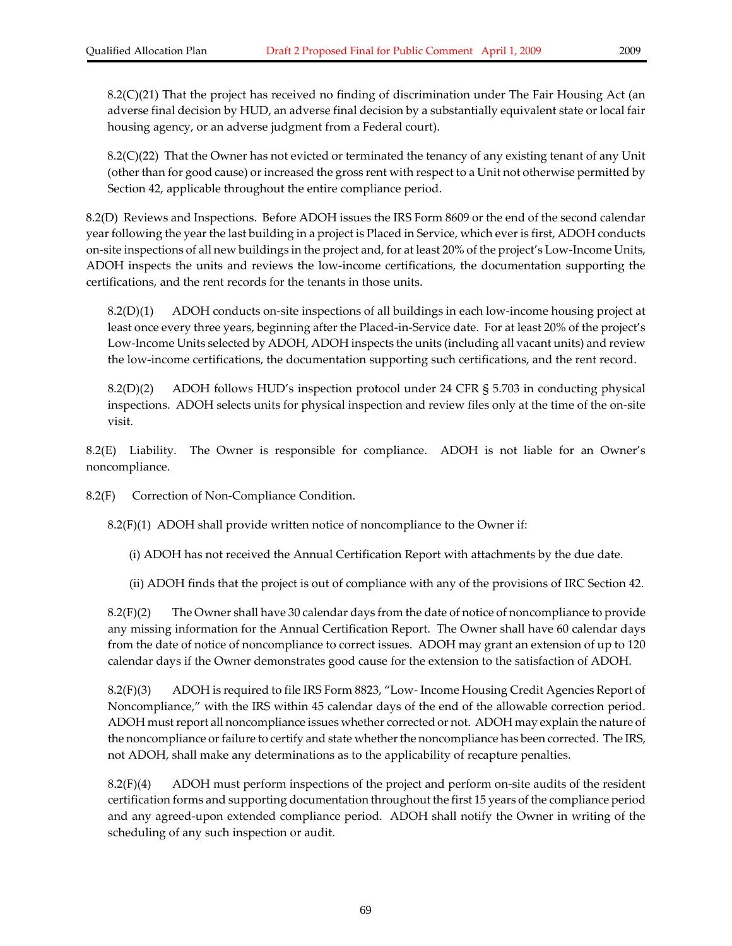8.2(C)(21) That the project has received no finding of discrimination under The Fair Housing Act (an adverse final decision by HUD, an adverse final decision by a substantially equivalent state or local fair housing agency, or an adverse judgment from a Federal court).

8.2(C)(22) That the Owner has not evicted or terminated the tenancy of any existing tenant of any Unit (other than for good cause) or increased the gross rent with respect to a Unit not otherwise permitted by Section 42, applicable throughout the entire compliance period.

8.2(D) Reviews and Inspections. Before ADOH issues the IRS Form 8609 or the end of the second calendar year following the year the last building in a project is Placed in Service, which ever is first, ADOH conducts on‐site inspections of all new buildings in the project and, for at least 20% of the project's Low‐Income Units, ADOH inspects the units and reviews the low‐income certifications, the documentation supporting the certifications, and the rent records for the tenants in those units.

8.2(D)(1) ADOH conducts on-site inspections of all buildings in each low-income housing project at least once every three years, beginning after the Placed-in-Service date. For at least 20% of the project's Low‐Income Units selected by ADOH, ADOH inspects the units (including all vacant units) and review the low-income certifications, the documentation supporting such certifications, and the rent record.

8.2(D)(2) ADOH follows HUD's inspection protocol under 24 CFR § 5.703 in conducting physical inspections. ADOH selects units for physical inspection and review files only at the time of the on‐site visit.

8.2(E) Liability. The Owner is responsible for compliance. ADOH is not liable for an Owner's noncompliance.

8.2(F) Correction of Non‐Compliance Condition.

 $8.2(F)(1)$  ADOH shall provide written notice of noncompliance to the Owner if:

(i) ADOH has not received the Annual Certification Report with attachments by the due date.

(ii) ADOH finds that the project is out of compliance with any of the provisions of IRC Section 42.

8.2(F)(2) The Owner shall have 30 calendar days from the date of notice of noncompliance to provide any missing information for the Annual Certification Report. The Owner shall have 60 calendar days from the date of notice of noncompliance to correct issues. ADOH may grant an extension of up to 120 calendar days if the Owner demonstrates good cause for the extension to the satisfaction of ADOH.

8.2(F)(3) ADOH is required to file IRS Form 8823, "Low‐ Income Housing Credit Agencies Report of Noncompliance," with the IRS within 45 calendar days of the end of the allowable correction period. ADOH mustreport all noncompliance issues whether corrected or not. ADOH may explain the nature of the noncompliance or failure to certify and state whether the noncompliance has been corrected. The IRS, not ADOH, shall make any determinations as to the applicability of recapture penalties.

8.2(F)(4) ADOH must perform inspections of the project and perform on‐site audits of the resident certification forms and supporting documentation throughout the first 15 years of the compliance period and any agreed‐upon extended compliance period. ADOH shall notify the Owner in writing of the scheduling of any such inspection or audit.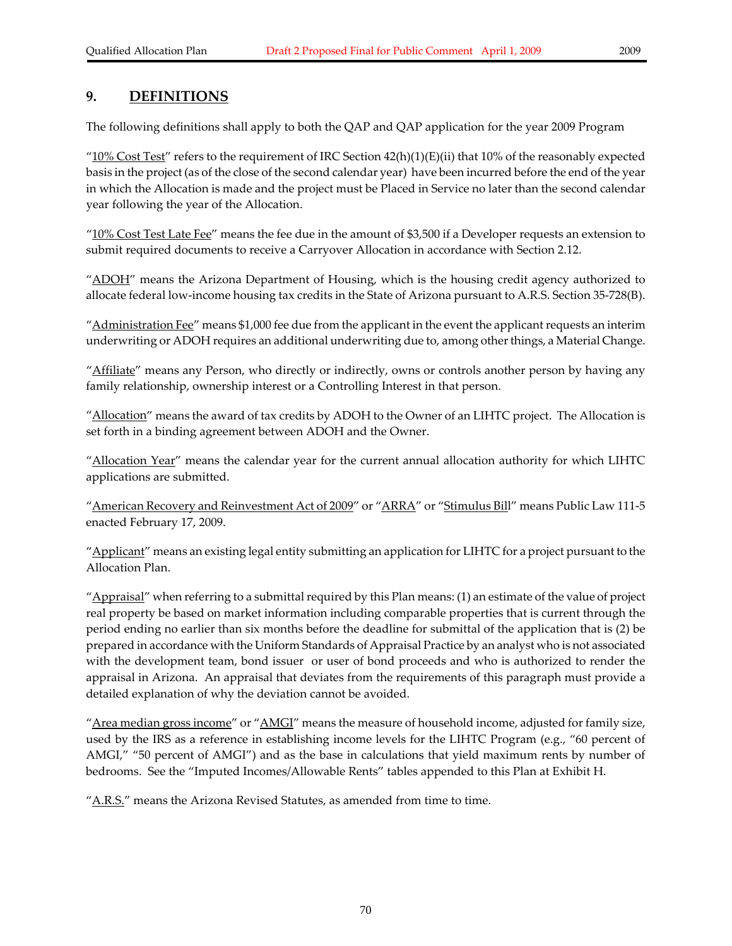## **9. DEFINITIONS**

The following definitions shall apply to both the QAP and QAP application for the year 2009 Program

" $10\%$  Cost Test" refers to the requirement of IRC Section  $42(h)(1)(E)(ii)$  that 10% of the reasonably expected basis in the project (as of the close of the second calendar year) have been incurred before the end of the year in which the Allocation is made and the project must be Placed in Service no later than the second calendar year following the year of the Allocation.

 $"10\%$  Cost Test Late Fee" means the fee due in the amount of \$3,500 if a Developer requests an extension to submit required documents to receive a Carryover Allocation in accordance with Section 2.12.

"ADOH" means the Arizona Department of Housing, which is the housing credit agency authorized to allocate federal low‐income housing tax credits in the State of Arizona pursuant to A.R.S. Section 35‐728(B).

"<u>Administration Fee</u>" means \$1,000 fee due from the applicant in the event the applicant requests an interim underwriting or ADOH requires an additional underwriting due to, among otherthings, a Material Change.

"Affiliate" means any Person, who directly or indirectly, owns or controls another person by having any family relationship, ownership interest or a Controlling Interest in that person.

"Allocation" means the award of tax credits by ADOH to the Owner of an LIHTC project. The Allocation is set forth in a binding agreement between ADOH and the Owner.

"Allocation Year" means the calendar year for the current annual allocation authority for which LIHTC applications are submitted.

"American Recovery and Reinvestment Act of 2009" or "ARRA" or "Stimulus Bill" means Public Law 111-5 enacted February 17, 2009.

"Applicant" means an existing legal entity submitting an application for LIHTC for a project pursuant to the Allocation Plan.

"Appraisal" when referring to a submittal required by this Plan means: (1) an estimate of the value of project real property be based on market information including comparable properties that is current through the period ending no earlier than six months before the deadline for submittal of the application that is (2) be prepared in accordance with the Uniform Standards of Appraisal Practice by an analyst who is not associated with the development team, bond issuer or user of bond proceeds and who is authorized to render the appraisal in Arizona. An appraisal that deviates from the requirements of this paragraph must provide a detailed explanation of why the deviation cannot be avoided.

"Area median gross income" or "AMGI" means the measure of household income, adjusted for family size, used by the IRS as a reference in establishing income levels for the LIHTC Program (e.g., "60 percent of AMGI," "50 percent of AMGI") and as the base in calculations that yield maximum rents by number of bedrooms. See the "Imputed Incomes/Allowable Rents" tables appended to this Plan at Exhibit H.

"A.R.S." means the Arizona Revised Statutes, as amended from time to time.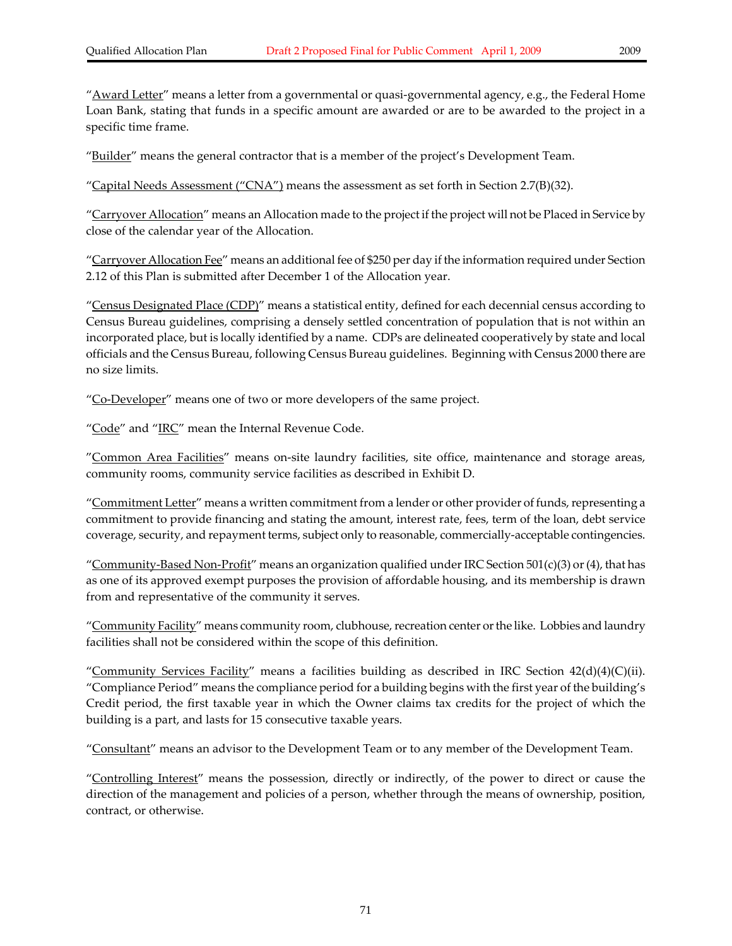"<u>Award Letter</u>" means a letter from a governmental or quasi-governmental agency, e.g., the Federal Home Loan Bank, stating that funds in a specific amount are awarded or are to be awarded to the project in a specific time frame.

"Builder" means the general contractor that is a member of the project's Development Team.

"Capital Needs Assessment ("CNA") means the assessment as set forth in Section 2.7(B)(32).

"Carryover Allocation" means an Allocation made to the project if the project will not be Placed in Service by close of the calendar year of the Allocation.

"Carryover Allocation Fee" means an additional fee of \$250 per day if the information required under Section 2.12 of this Plan is submitted after December 1 of the Allocation year.

"Census Designated Place (CDP)" means a statistical entity, defined for each decennial census according to Census Bureau guidelines, comprising a densely settled concentration of population that is not within an incorporated place, but is locally identified by a name. CDPs are delineated cooperatively by state and local officials and the Census Bureau, following Census Bureau guidelines. Beginning with Census 2000 there are no size limits.

"Co-Developer" means one of two or more developers of the same project.

" $Code$ " and " $IRC$ " mean the Internal Revenue Code.

"Common Area Facilities" means on-site laundry facilities, site office, maintenance and storage areas, community rooms, community service facilities as described in Exhibit D.

"Commitment Letter" means a written commitment from a lender or other provider of funds, representing a commitment to provide financing and stating the amount, interest rate, fees, term of the loan, debt service coverage, security, and repayment terms, subject only to reasonable, commercially‐acceptable contingencies.

"Community-Based Non-Profit" means an organization qualified under IRC Section 501(c)(3) or (4), that has as one of its approved exempt purposes the provision of affordable housing, and its membership is drawn from and representative of the community it serves.

"Community Facility" means community room, clubhouse, recreation center or the like. Lobbies and laundry facilities shall not be considered within the scope of this definition.

"Community Services Facility" means a facilities building as described in IRC Section  $42(d)(4)(C)(ii)$ . "Compliance Period" means the compliance period for a building begins with the first year of the building's Credit period, the first taxable year in which the Owner claims tax credits for the project of which the building is a part, and lasts for 15 consecutive taxable years.

"Consultant" means an advisor to the Development Team or to any member of the Development Team.

"Controlling Interest" means the possession, directly or indirectly, of the power to direct or cause the direction of the management and policies of a person, whether through the means of ownership, position, contract, or otherwise.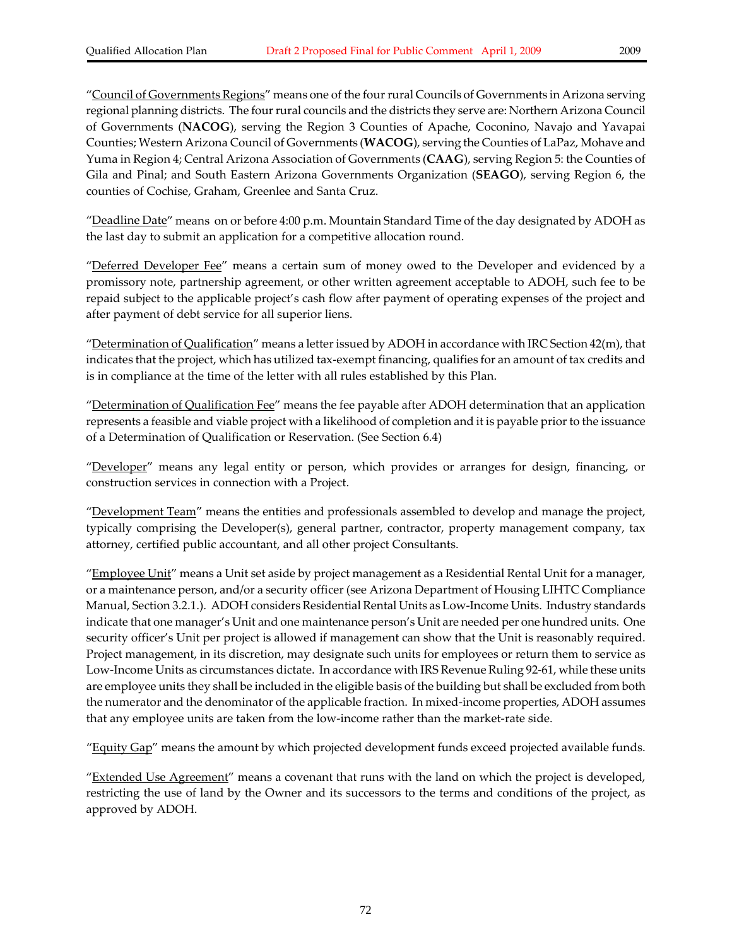"Council of Governments Regions" means one of the fourrural Councils of Governments in Arizona serving regional planning districts. The fourrural councils and the districts they serve are: Northern Arizona Council of Governments (**NACOG**), serving the Region 3 Counties of Apache, Coconino, Navajo and Yavapai Counties; Western Arizona Council of Governments (**WACOG**), serving the Counties of LaPaz, Mohave and Yuma in Region 4; Central Arizona Association of Governments (**CAAG**), serving Region 5: the Counties of Gila and Pinal; and South Eastern Arizona Governments Organization (**SEAGO**), serving Region 6, the counties of Cochise, Graham, Greenlee and Santa Cruz.

"<u>Deadline Date</u>" means on or before 4:00 p.m. Mountain Standard Time of the day designated by ADOH as the last day to submit an application for a competitive allocation round.

"Deferred Developer Fee" means a certain sum of money owed to the Developer and evidenced by a promissory note, partnership agreement, or other written agreement acceptable to ADOH, such fee to be repaid subject to the applicable project's cash flow after payment of operating expenses of the project and after payment of debt service for all superior liens.

"Determination of Qualification" means a letter issued by ADOH in accordance with IRC Section 42(m), that indicates that the project, which has utilized tax-exempt financing, qualifies for an amount of tax credits and is in compliance at the time of the letter with all rules established by this Plan.

"Determination of Qualification Fee" means the fee payable after ADOH determination that an application represents a feasible and viable project with a likelihood of completion and it is payable priorto the issuance of a Determination of Qualification or Reservation. (See Section 6.4)

"Developer" means any legal entity or person, which provides or arranges for design, financing, or construction services in connection with a Project.

"Development Team" means the entities and professionals assembled to develop and manage the project, typically comprising the Developer(s), general partner, contractor, property management company, tax attorney, certified public accountant, and all other project Consultants.

"Employee Unit" means a Unit set aside by project management as a Residential Rental Unit for a manager, or a maintenance person, and/or a security officer (see Arizona Department of Housing LIHTC Compliance Manual, Section 3.2.1.). ADOH considers Residential Rental Units as Low‐Income Units. Industry standards indicate that one manager's Unit and one maintenance person's Unit are needed per one hundred units. One security officer's Unit per project is allowed if management can show that the Unit is reasonably required. Project management, in its discretion, may designate such units for employees or return them to service as Low‐Income Units as circumstances dictate. In accordance with IRS Revenue Ruling 92‐61, while these units are employee units they shall be included in the eligible basis of the building but shall be excluded from both the numerator and the denominator of the applicable fraction. In mixed-income properties, ADOH assumes that any employee units are taken from the low‐income rather than the market‐rate side.

"Equity Gap" means the amount by which projected development funds exceed projected available funds.

"**Extended Use Agreement**" means a covenant that runs with the land on which the project is developed, restricting the use of land by the Owner and its successors to the terms and conditions of the project, as approved by ADOH.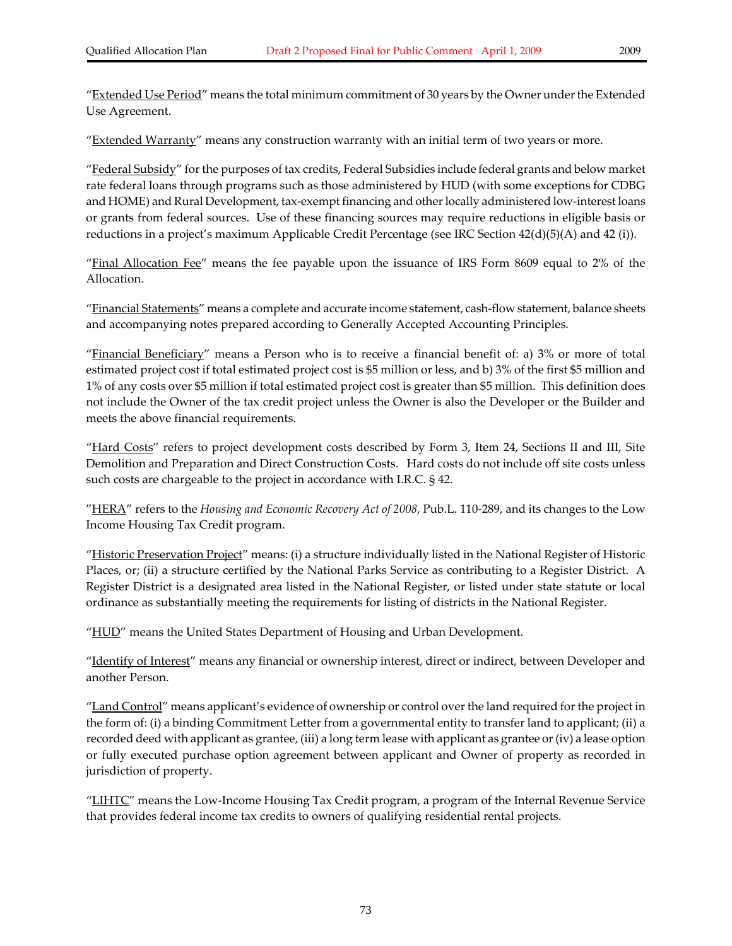"Extended Use Period" means the total minimum commitment of 30 years by the Owner under the Extended Use Agreement.

"Extended Warranty" means any construction warranty with an initial term of two years or more.

"Federal Subsidy" for the purposes of tax credits, Federal Subsidies include federal grants and below market rate federal loans through programs such as those administered by HUD (with some exceptions for CDBG and HOME) and Rural Development, tax-exempt financing and other locally administered low-interest loans or grants from federal sources. Use of these financing sources may require reductions in eligible basis or reductions in a project's maximum Applicable Credit Percentage (see IRC Section 42(d)(5)(A) and 42 (i)).

"Final Allocation Fee" means the fee payable upon the issuance of IRS Form 8609 equal to 2% of the Allocation.

"Financial Statements" means a complete and accurate income statement, cash-flow statement, balance sheets and accompanying notes prepared according to Generally Accepted Accounting Principles.

"Financial Beneficiary" means a Person who is to receive a financial benefit of: a) 3% or more of total estimated project cost if total estimated project cost is \$5 million or less, and b) 3% of the first \$5 million and 1% of any costs over \$5 million if total estimated project cost is greater than \$5 million. This definition does not include the Owner of the tax credit project unless the Owner is also the Developer or the Builder and meets the above financial requirements.

"Hard Costs" refers to project development costs described by Form 3, Item 24, Sections II and III, Site Demolition and Preparation and Direct Construction Costs. Hard costs do not include off site costs unless such costs are chargeable to the project in accordance with I.R.C. § 42.

"HERA" refers to the *Housing and Economic Recovery Act of 2008*, Pub.L. 110‐289, and its changes to the Low Income Housing Tax Credit program.

"Historic Preservation Project" means: (i) a structure individually listed in the National Register of Historic Places, or; (ii) a structure certified by the National Parks Service as contributing to a Register District. A Register District is a designated area listed in the National Register, or listed under state statute or local ordinance as substantially meeting the requirements for listing of districts in the National Register.

" $HUD$ " means the United States Department of Housing and Urban Development.

"Identify of Interest" means any financial or ownership interest, direct or indirect, between Developer and another Person.

"Land Control" means applicant's evidence of ownership or control over the land required for the project in the form of: (i) a binding Commitment Letter from a governmental entity to transfer land to applicant; (ii) a recorded deed with applicant as grantee, (iii) a long term lease with applicant as grantee or (iv) a lease option or fully executed purchase option agreement between applicant and Owner of property as recorded in jurisdiction of property.

"LIHTC" means the Low-Income Housing Tax Credit program, a program of the Internal Revenue Service that provides federal income tax credits to owners of qualifying residential rental projects.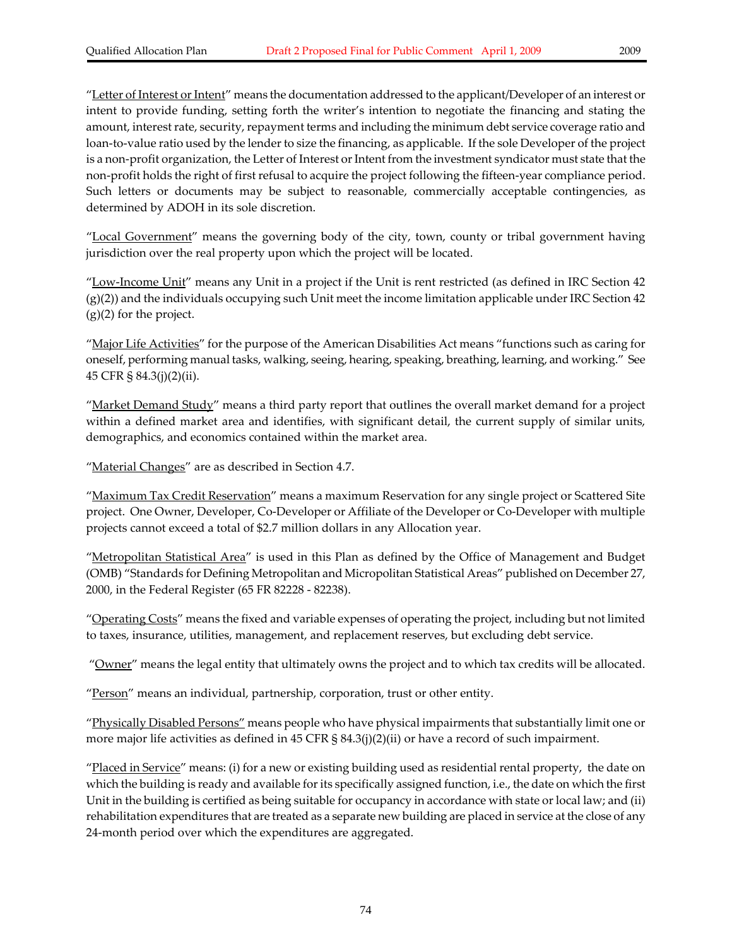"Letter of Interest or Intent" means the documentation addressed to the applicant/Developer of an interest or intent to provide funding, setting forth the writer's intention to negotiate the financing and stating the amount, interest rate, security, repayment terms and including the minimum debt service coverage ratio and loan-to-value ratio used by the lender to size the financing, as applicable. If the sole Developer of the project is a non-profit organization, the Letter of Interest or Intent from the investment syndicator must state that the non‐profit holds the right of first refusal to acquire the project following the fifteen‐year compliance period. Such letters or documents may be subject to reasonable, commercially acceptable contingencies, as determined by ADOH in its sole discretion.

"Local Government" means the governing body of the city, town, county or tribal government having jurisdiction over the real property upon which the project will be located.

"Low-Income Unit" means any Unit in a project if the Unit is rent restricted (as defined in IRC Section 42  $(g)(2)$ ) and the individuals occupying such Unit meet the income limitation applicable under IRC Section 42 (g)(2) for the project.

"Major Life Activities" for the purpose of the American Disabilities Act means "functions such as caring for oneself, performing manual tasks, walking, seeing, hearing, speaking, breathing, learning, and working." See 45 CFR § 84.3(j)(2)(ii).

"Market Demand Study" means a third party report that outlines the overall market demand for a project within a defined market area and identifies, with significant detail, the current supply of similar units, demographics, and economics contained within the market area.

"Material Changes" are as described in Section 4.7.

"Maximum Tax Credit Reservation" means a maximum Reservation for any single project or Scattered Site project. One Owner, Developer, Co‐Developer or Affiliate of the Developer or Co‐Developer with multiple projects cannot exceed a total of \$2.7 million dollars in any Allocation year.

"Metropolitan Statistical Area" is used in this Plan as defined by the Office of Management and Budget (OMB) "Standards for Defining Metropolitan and Micropolitan Statistical Areas" published on December 27, 2000, in the Federal Register (65 FR 82228 ‐ 82238).

"Operating Costs" means the fixed and variable expenses of operating the project, including but not limited to taxes, insurance, utilities, management, and replacement reserves, but excluding debt service.

"Owner" means the legal entity that ultimately owns the project and to which tax credits will be allocated.

"Person" means an individual, partnership, corporation, trust or other entity.

"Physically Disabled Persons" means people who have physical impairments that substantially limit one or more major life activities as defined in 45 CFR § 84.3(j)(2)(ii) or have a record of such impairment.

"<u>Placed in Service</u>" means: (i) for a new or existing building used as residential rental property, the date on which the building is ready and available for its specifically assigned function, i.e., the date on which the first Unit in the building is certified as being suitable for occupancy in accordance with state or local law; and (ii) rehabilitation expenditures that are treated as a separate new building are placed in service at the close of any 24‐month period over which the expenditures are aggregated.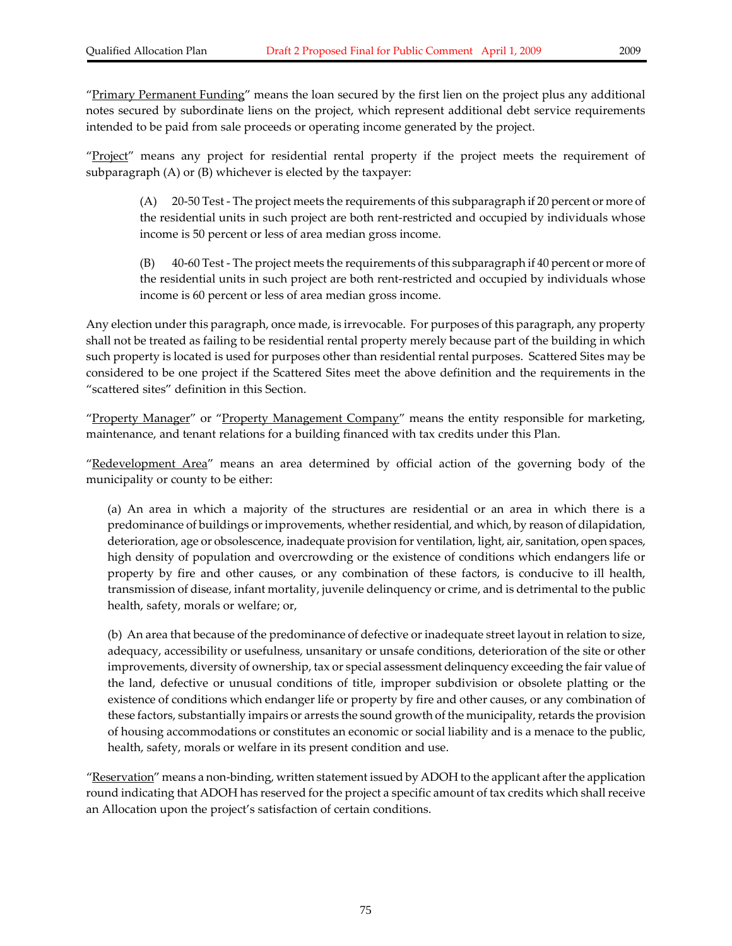"Primary Permanent Funding" means the loan secured by the first lien on the project plus any additional notes secured by subordinate liens on the project, which represent additional debt service requirements intended to be paid from sale proceeds or operating income generated by the project.

"Project" means any project for residential rental property if the project meets the requirement of subparagraph (A) or (B) whichever is elected by the taxpayer:

(A) 20‐50 Test ‐ The project meets the requirements of this subparagraph if 20 percent or more of the residential units in such project are both rent‐restricted and occupied by individuals whose income is 50 percent or less of area median gross income.

(B) 40‐60 Test ‐ The project meets the requirements of this subparagraph if 40 percent or more of the residential units in such project are both rent‐restricted and occupied by individuals whose income is 60 percent or less of area median gross income.

Any election under this paragraph, once made, is irrevocable. For purposes of this paragraph, any property shall not be treated as failing to be residential rental property merely because part of the building in which such property is located is used for purposes other than residential rental purposes. Scattered Sites may be considered to be one project if the Scattered Sites meet the above definition and the requirements in the "scattered sites" definition in this Section.

"Property Manager" or "Property Management Company" means the entity responsible for marketing, maintenance, and tenant relations for a building financed with tax credits under this Plan.

"Redevelopment Area" means an area determined by official action of the governing body of the municipality or county to be either:

(a) An area in which a majority of the structures are residential or an area in which there is a predominance of buildings or improvements, whether residential, and which, by reason of dilapidation, deterioration, age or obsolescence, inadequate provision for ventilation, light, air, sanitation, open spaces, high density of population and overcrowding or the existence of conditions which endangers life or property by fire and other causes, or any combination of these factors, is conducive to ill health, transmission of disease, infant mortality, juvenile delinquency or crime, and is detrimental to the public health, safety, morals or welfare; or,

(b) An area that because of the predominance of defective or inadequate street layout in relation to size, adequacy, accessibility or usefulness, unsanitary or unsafe conditions, deterioration of the site or other improvements, diversity of ownership, tax or special assessment delinquency exceeding the fair value of the land, defective or unusual conditions of title, improper subdivision or obsolete platting or the existence of conditions which endanger life or property by fire and other causes, or any combination of these factors, substantially impairs or arrests the sound growth of the municipality, retards the provision of housing accommodations or constitutes an economic or social liability and is a menace to the public, health, safety, morals or welfare in its present condition and use.

"<u>Reservation</u>" means a non-binding, written statement issued by ADOH to the applicant after the application round indicating that ADOH has reserved for the project a specific amount of tax credits which shall receive an Allocation upon the project's satisfaction of certain conditions.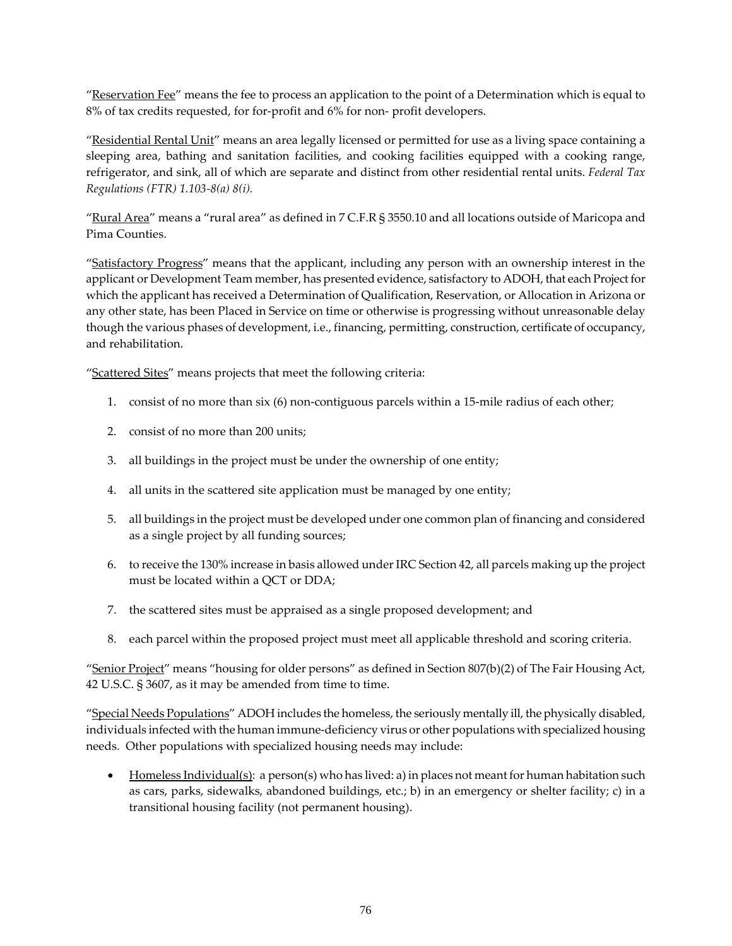"Reservation Fee" means the fee to process an application to the point of a Determination which is equal to 8% of tax credits requested, for for-profit and 6% for non-profit developers.

"Residential Rental Unit" means an area legally licensed or permitted for use as a living space containing a sleeping area, bathing and sanitation facilities, and cooking facilities equipped with a cooking range, refrigerator, and sink, all of which are separate and distinct from other residential rental units. *Federal Tax Regulations (FTR) 1.103‐8(a) 8(i).*

"Rural Area" means a "rural area" as defined in 7 C.F.R § 3550.10 and all locations outside of Maricopa and Pima Counties.

"Satisfactory Progress" means that the applicant, including any person with an ownership interest in the applicant or Development Team member, has presented evidence, satisfactory to ADOH, that each Project for which the applicant has received a Determination of Qualification, Reservation, or Allocation in Arizona or any other state, has been Placed in Service on time or otherwise is progressing without unreasonable delay though the various phases of development, i.e., financing, permitting, construction, certificate of occupancy, and rehabilitation.

"Scattered Sites" means projects that meet the following criteria:

- 1. consist of no more than six (6) non-contiguous parcels within a 15-mile radius of each other;
- 2. consist of no more than 200 units;
- 3. all buildings in the project must be under the ownership of one entity;
- 4. all units in the scattered site application must be managed by one entity;
- 5. all buildings in the project must be developed under one common plan of financing and considered as a single project by all funding sources;
- 6. to receive the 130% increase in basis allowed under IRC Section 42, all parcels making up the project must be located within a QCT or DDA;
- 7. the scattered sites must be appraised as a single proposed development; and
- 8. each parcel within the proposed project must meet all applicable threshold and scoring criteria.

"Senior Project" means "housing for older persons" as defined in Section 807(b)(2) of The Fair Housing Act, 42 U.S.C. § 3607, as it may be amended from time to time.

"Special Needs Populations" ADOH includes the homeless, the seriously mentally ill, the physically disabled, individuals infected with the human immune‐deficiency virus or other populations with specialized housing needs. Other populations with specialized housing needs may include:

• Homeless Individual(s): a person(s) who has lived: a) in places not meant for human habitation such as cars, parks, sidewalks, abandoned buildings, etc.; b) in an emergency or shelter facility; c) in a transitional housing facility (not permanent housing).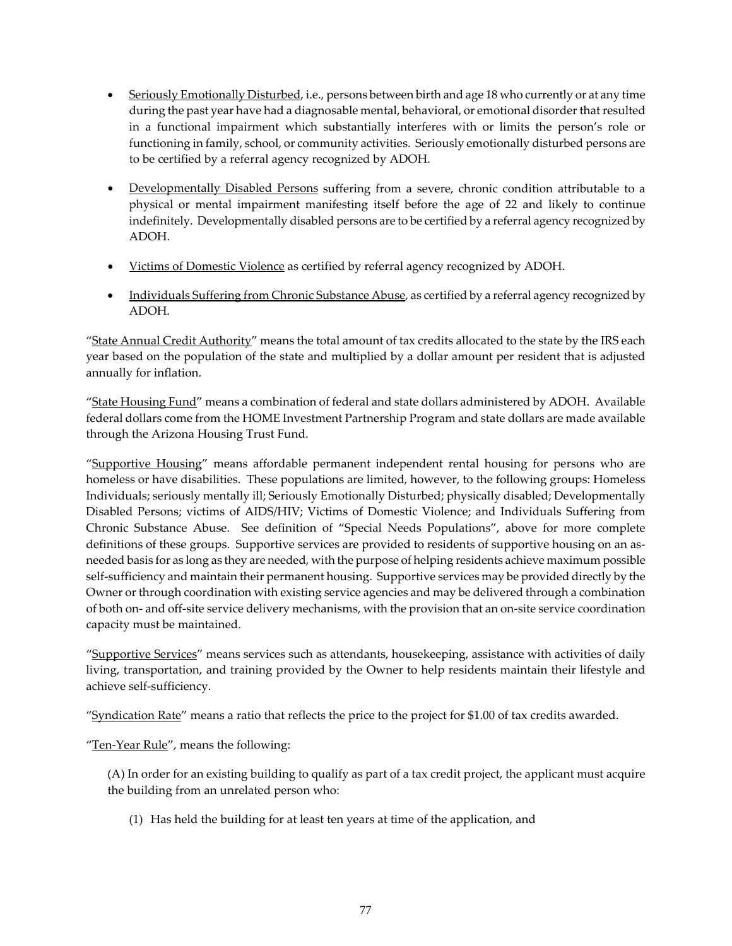- Seriously Emotionally Disturbed, i.e., persons between birth and age 18 who currently or at any time during the past year have had a diagnosable mental, behavioral, or emotional disorder that resulted in a functional impairment which substantially interferes with or limits the person's role or functioning in family, school, or community activities. Seriously emotionally disturbed persons are to be certified by a referral agency recognized by ADOH.
- Developmentally Disabled Persons suffering from a severe, chronic condition attributable to a physical or mental impairment manifesting itself before the age of 22 and likely to continue indefinitely. Developmentally disabled persons are to be certified by a referral agency recognized by ADOH.
- Victims of Domestic Violence as certified by referral agency recognized by ADOH.
- Individuals Suffering from Chronic Substance Abuse, as certified by a referral agency recognized by ADOH.

"State Annual Credit Authority" means the total amount of tax credits allocated to the state by the IRS each year based on the population of the state and multiplied by a dollar amount per resident that is adjusted annually for inflation.

"State Housing Fund" means a combination of federal and state dollars administered by ADOH. Available federal dollars come from the HOME Investment Partnership Program and state dollars are made available through the Arizona Housing Trust Fund.

"Supportive Housing" means affordable permanent independent rental housing for persons who are homeless or have disabilities. These populations are limited, however, to the following groups: Homeless Individuals; seriously mentally ill; Seriously Emotionally Disturbed; physically disabled; Developmentally Disabled Persons; victims of AIDS/HIV; Victims of Domestic Violence; and Individuals Suffering from Chronic Substance Abuse. See definition of "Special Needs Populations", above for more complete definitions of these groups. Supportive services are provided to residents of supportive housing on an asneeded basis for as long as they are needed, with the purpose of helping residents achieve maximum possible self-sufficiency and maintain their permanent housing. Supportive services may be provided directly by the Owner or through coordination with existing service agencies and may be delivered through a combination of both on‐ and off‐site service delivery mechanisms, with the provision that an on‐site service coordination capacity must be maintained.

"Supportive Services" means services such as attendants, housekeeping, assistance with activities of daily living, transportation, and training provided by the Owner to help residents maintain their lifestyle and achieve self‐sufficiency.

"Syndication Rate" means a ratio that reflects the price to the project for \$1.00 of tax credits awarded.

"Ten-Year Rule", means the following:

(A) In order for an existing building to qualify as part of a tax credit project, the applicant must acquire the building from an unrelated person who:

(1) Has held the building for at least ten years at time of the application, and